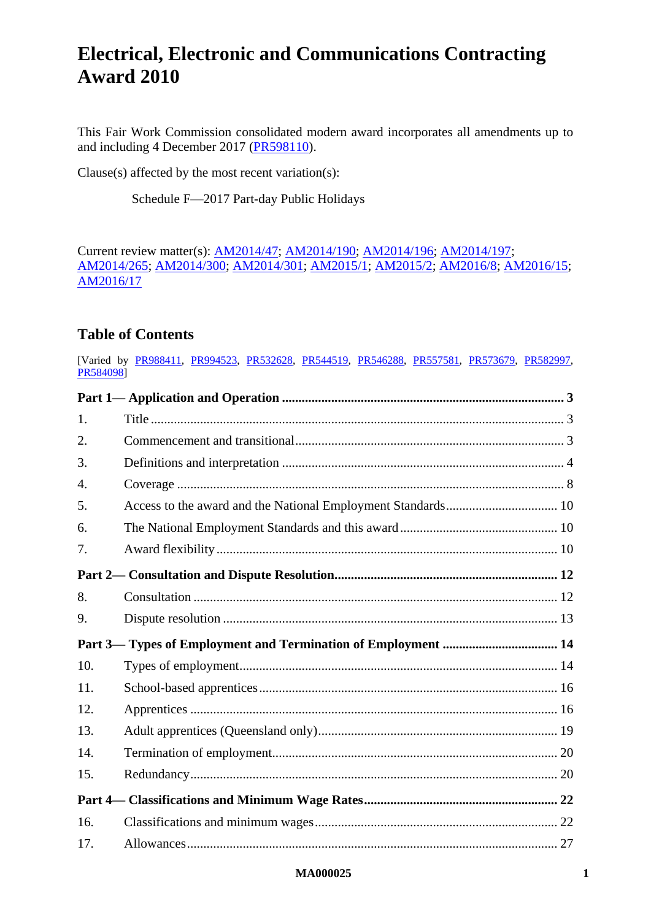This Fair Work Commission consolidated modern award incorporates all amendments up to and including 4 December 2017 [\(PR598110\)](http://www.fwc.gov.au/documents/awardsandorders/html/pr598110.htm).

Clause(s) affected by the most recent variation(s):

[Schedule F—2017 Part-day Public Holidays](#page-75-0)

Current review matter(s): [AM2014/47;](https://www.fwc.gov.au/awards-agreements/awards/modern-award-reviews/4-yearly-review/common-issues/am201447-annual-leave) [AM2014/190;](https://www.fwc.gov.au/awards-agreements/awards/modern-award-reviews/4-yearly-review/common-issues/am2014190-transitional) [AM2014/196;](https://www.fwc.gov.au/awards-agreements/awards/modern-award-reviews/4-yearly-review/common-issues/am2014196-part-time) [AM2014/197;](https://www.fwc.gov.au/awards-agreements/awards/modern-award-reviews/4-yearly-review/common-issues/am2014197-casual) [AM2014/265;](https://www.fwc.gov.au/awards-and-agreements/modern-award-reviews/4-yearly-review/award-stage/award-review-documents/MA000025?m=AM2014/265) [AM2014/300;](https://www.fwc.gov.au/awards-agreements/awards/modern-award-reviews/4-yearly-review/common-issues/am2014300-award) [AM2014/301;](https://www.fwc.gov.au/awards-agreements/awards/modern-award-reviews/4-yearly-review/common-issues/am2014301-public) [AM2015/1;](https://www.fwc.gov.au/awards-agreements/awards/modern-award-reviews/4-yearly-review/common-issues/am20151-family-and) [AM2015/2;](https://www.fwc.gov.au/awards-and-agreements/modern-award-reviews/4-yearly-review/am20152-family-friendly-work-arrangemen-0) [AM2016/8;](https://www.fwc.gov.au/awards-agreements/awards/modern-award-reviews/4-yearly-review/common-issues/am20168-payment-wages) [AM2016/15;](https://www.fwc.gov.au/awards-agreements/awards/modern-award-reviews/4-yearly-review/common-issues/am201615-plain-language) [AM2016/17](https://www.fwc.gov.au/awards-agreements/awards/modern-award-reviews/4-yearly-review/common-issues/am201617-national)

# **Table of Contents**

[Varied by [PR988411,](http://www.fwc.gov.au/awardsandorders/html/PR988411.htm) [PR994523,](http://www.fwc.gov.au/awardsandorders/html/PR994523.htm) [PR532628,](http://www.fwc.gov.au/awardsandorders/html/pr532628.htm) [PR544519,](http://www.fwc.gov.au/awardsandorders/html/PR544519.htm) [PR546288,](http://www.fwc.gov.au/awardsandorders/html/pr546288.htm) [PR557581,](http://www.fwc.gov.au/awardsandorders/html/PR557581.htm) [PR573679,](http://www.fwc.gov.au/awardsandorders/html/PR573679.htm) [PR582997,](http://www.fwc.gov.au/awardsandorders/html/PR582997.htm) [PR584098\]](http://www.fwc.gov.au/awardsandorders/html/PR584098.htm)

| 1.  |  |
|-----|--|
| 2.  |  |
| 3.  |  |
| 4.  |  |
| 5.  |  |
| 6.  |  |
| 7.  |  |
|     |  |
| 8.  |  |
| 9.  |  |
|     |  |
| 10. |  |
|     |  |
| 11. |  |
| 12. |  |
| 13. |  |
| 14. |  |
| 15. |  |
|     |  |
| 16. |  |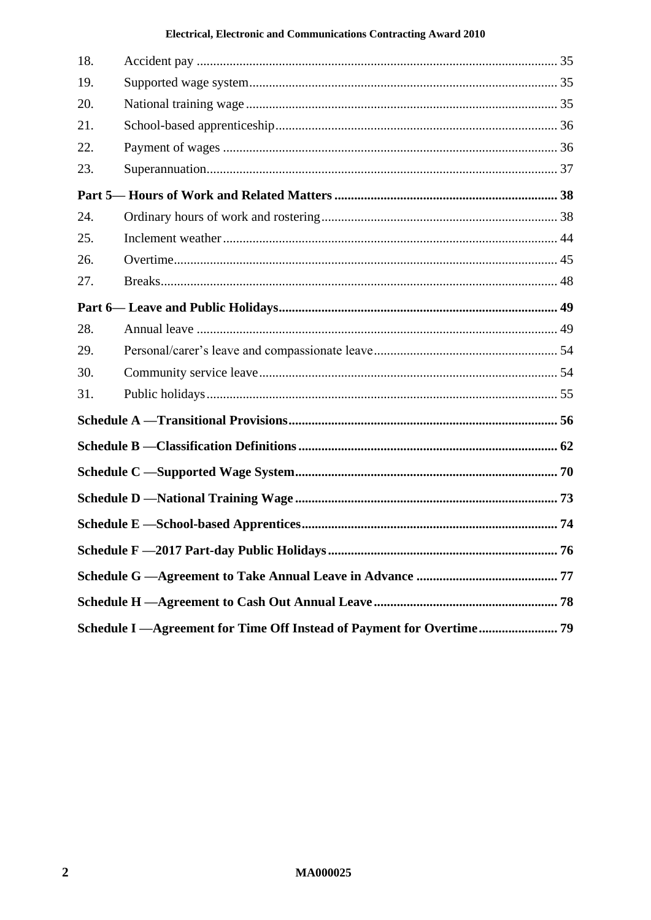| 18. |  |  |
|-----|--|--|
| 19. |  |  |
| 20. |  |  |
| 21. |  |  |
| 22. |  |  |
| 23. |  |  |
|     |  |  |
| 24. |  |  |
| 25. |  |  |
| 26. |  |  |
| 27. |  |  |
|     |  |  |
| 28. |  |  |
| 29. |  |  |
| 30. |  |  |
| 31. |  |  |
|     |  |  |
|     |  |  |
|     |  |  |
|     |  |  |
|     |  |  |
|     |  |  |
|     |  |  |
|     |  |  |
|     |  |  |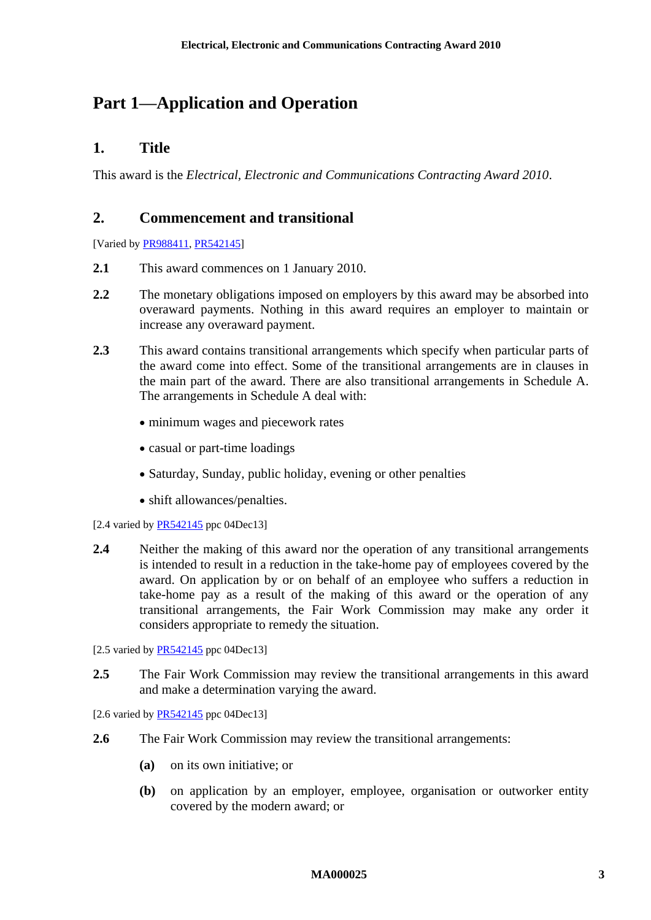# <span id="page-2-1"></span><span id="page-2-0"></span>**Part 1—Application and Operation**

# **1. Title**

<span id="page-2-2"></span>This award is the *Electrical, Electronic and Communications Contracting Award 2010*.

# **2. Commencement and transitional**

[Varied b[y PR988411,](http://www.fwc.gov.au/awardsandorders/html/PR988411.htm) [PR542145\]](http://www.fwc.gov.au/awardsandorders/html/PR542145.htm)

- **2.1** This award commences on 1 January 2010.
- **2.2** The monetary obligations imposed on employers by this award may be absorbed into overaward payments. Nothing in this award requires an employer to maintain or increase any overaward payment.
- **2.3** This award contains transitional arrangements which specify when particular parts of the award come into effect. Some of the transitional arrangements are in clauses in the main part of the award. There are also transitional arrangements in [Schedule A.](#page-55-0) The arrangements in [Schedule A](#page-55-0) deal with:
	- minimum wages and piecework rates
	- casual or part-time loadings
	- Saturday, Sunday, public holiday, evening or other penalties
	- shift allowances/penalties.
- [2.4 varied by  $PR542145$  ppc 04Dec13]
- **2.4** Neither the making of this award nor the operation of any transitional arrangements is intended to result in a reduction in the take-home pay of employees covered by the award. On application by or on behalf of an employee who suffers a reduction in take-home pay as a result of the making of this award or the operation of any transitional arrangements, the Fair Work Commission may make any order it considers appropriate to remedy the situation.
- [2.5 varied by [PR542145](http://www.fwc.gov.au/awardsandorders/html/PR542145.htm) ppc 04Dec13]
- **2.5** The Fair Work Commission may review the transitional arrangements in this award and make a determination varying the award.

[2.6 varied by [PR542145](http://www.fwc.gov.au/awardsandorders/html/PR542145.htm) ppc 04Dec13]

- **2.6** The Fair Work Commission may review the transitional arrangements:
	- **(a)** on its own initiative; or
	- **(b)** on application by an employer, employee, organisation or outworker entity covered by the modern award; or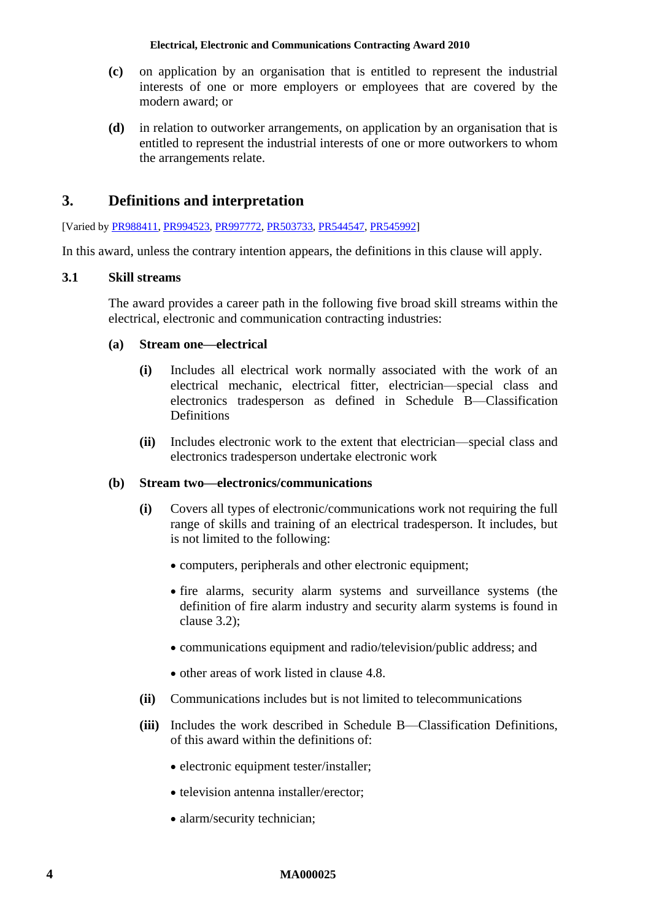- **(c)** on application by an organisation that is entitled to represent the industrial interests of one or more employers or employees that are covered by the modern award; or
- **(d)** in relation to outworker arrangements, on application by an organisation that is entitled to represent the industrial interests of one or more outworkers to whom the arrangements relate.

# <span id="page-3-0"></span>**3. Definitions and interpretation**

[Varied by [PR988411,](http://www.fwc.gov.au/awardsandorders/html/PR988411.htm) [PR994523,](http://www.fwc.gov.au/awardsandorders/html/PR994523.htm) [PR997772,](http://www.fwc.gov.au/awardsandorders/html/PR997772.htm) [PR503733,](http://www.fwc.gov.au/awardsandorders/html/PR503733.htm) [PR544547,](http://www.fwc.gov.au/awardsandorders/html/PR544547.htm) [PR545992\]](http://www.fwc.gov.au/awardsandorders/html/PR545992.htm)

In this award, unless the contrary intention appears, the definitions in this clause will apply.

# **3.1 Skill streams**

The award provides a career path in the following five broad skill streams within the electrical, electronic and communication contracting industries:

# **(a) Stream one—electrical**

- **(i)** Includes all electrical work normally associated with the work of an electrical mechanic, electrical fitter, electrician—special class and electronics tradesperson as defined in [Schedule B—Classification](#page-61-0)  **[Definitions](#page-61-0)**
- **(ii)** Includes electronic work to the extent that electrician—special class and electronics tradesperson undertake electronic work

# **(b) Stream two—electronics/communications**

- **(i)** Covers all types of electronic/communications work not requiring the full range of skills and training of an electrical tradesperson. It includes, but is not limited to the following:
	- computers, peripherals and other electronic equipment;
	- fire alarms, security alarm systems and surveillance systems (the definition of fire alarm industry and security alarm systems is found in clause [3.2\)](#page-4-0);
	- communications equipment and radio/television/public address; and
	- other areas of work listed in clause [4.8.](#page-8-0)
- **(ii)** Communications includes but is not limited to telecommunications
- **(iii)** Includes the work described in [Schedule B—Classification Definitions,](#page-61-0) of this award within the definitions of:
	- electronic equipment tester/installer;
	- television antenna installer/erector;
	- alarm/security technician;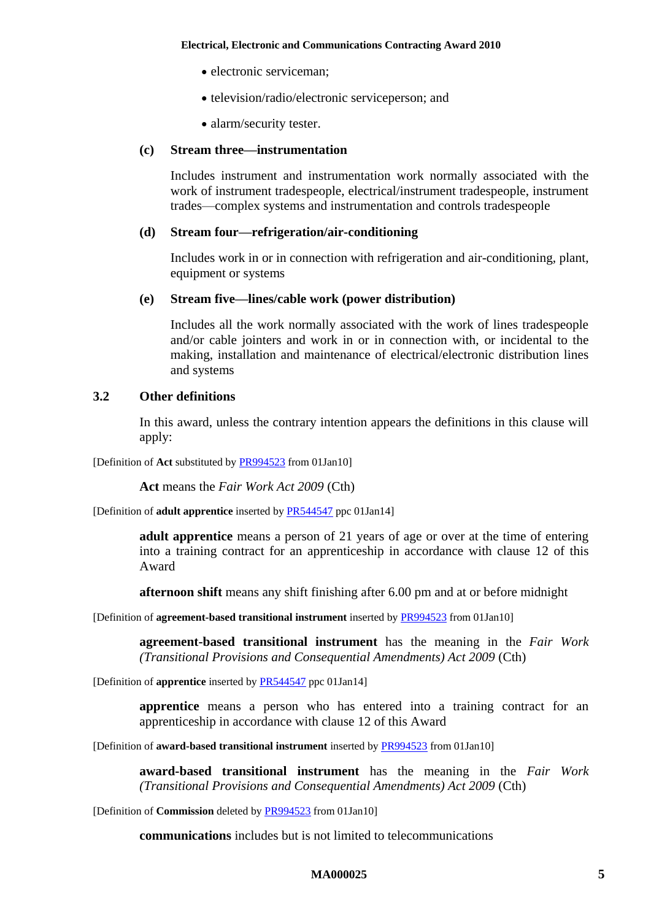- electronic serviceman;
- television/radio/electronic serviceperson; and
- alarm/security tester.

# **(c) Stream three—instrumentation**

Includes instrument and instrumentation work normally associated with the work of instrument tradespeople, electrical/instrument tradespeople, instrument trades—complex systems and instrumentation and controls tradespeople

#### **(d) Stream four—refrigeration/air-conditioning**

Includes work in or in connection with refrigeration and air-conditioning, plant, equipment or systems

#### **(e) Stream five—lines/cable work (power distribution)**

Includes all the work normally associated with the work of lines tradespeople and/or cable jointers and work in or in connection with, or incidental to the making, installation and maintenance of electrical/electronic distribution lines and systems

#### <span id="page-4-0"></span>**3.2 Other definitions**

In this award, unless the contrary intention appears the definitions in this clause will apply:

[Definition of **Act** substituted b[y PR994523](http://www.fwc.gov.au/awardsandorders/html/PR994523.htm) from 01Jan10]

**Act** means the *Fair Work Act 2009* (Cth)

[Definition of **adult apprentice** inserted by [PR544547](http://www.fwc.gov.au/awardsandorders/html/PR544547.htm) ppc 01Jan14]

**adult apprentice** means a person of 21 years of age or over at the time of entering into a training contract for an apprenticeship in accordance with clause [12](#page-15-1) of this Award

**afternoon shift** means any shift finishing after 6.00 pm and at or before midnight

[Definition of **agreement-based transitional instrument** inserted b[y PR994523](http://www.fwc.gov.au/awardsandorders/html/PR994523.htm) from 01Jan10]

**agreement-based transitional instrument** has the meaning in the *Fair Work (Transitional Provisions and Consequential Amendments) Act 2009* (Cth)

[Definition of **apprentice** inserted b[y PR544547](http://www.fwc.gov.au/awardsandorders/html/PR544547.htm) ppc 01Jan14]

**apprentice** means a person who has entered into a training contract for an apprenticeship in accordance with clause [12](#page-15-1) of this Award

[Definition of **award-based transitional instrument** inserted b[y PR994523](http://www.fwc.gov.au/awardsandorders/html/PR994523.htm) from 01Jan10]

**award-based transitional instrument** has the meaning in the *Fair Work (Transitional Provisions and Consequential Amendments) Act 2009* (Cth)

[Definition of **Commission** deleted by [PR994523](http://www.fwc.gov.au/awardsandorders/html/PR994523.htm) from 01Jan10]

**communications** includes but is not limited to telecommunications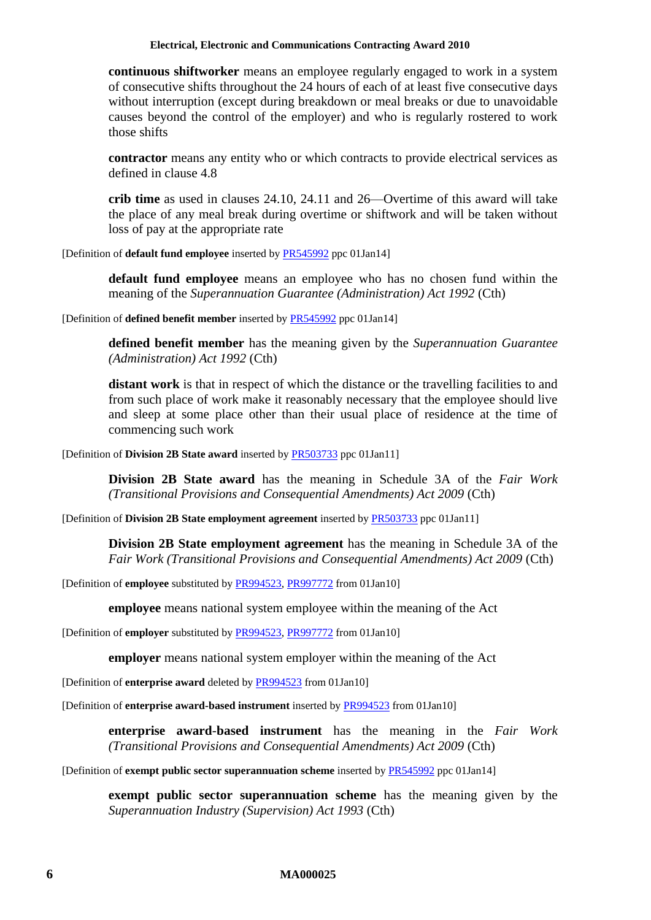**continuous shiftworker** means an employee regularly engaged to work in a system of consecutive shifts throughout the 24 hours of each of at least five consecutive days without interruption (except during breakdown or meal breaks or due to unavoidable causes beyond the control of the employer) and who is regularly rostered to work those shifts

**contractor** means any entity who or which contracts to provide electrical services as defined in clause [4.8](#page-8-0)

**crib time** as used in clauses [24.10,](#page-40-0) [24.11](#page-41-0) and [26—Overtime](#page-44-0) of this award will take the place of any meal break during overtime or shiftwork and will be taken without loss of pay at the appropriate rate

[Definition of **default fund employee** inserted b[y PR545992](http://www.fwc.gov.au/awardsandorders/html/PR545992.htm) ppc 01Jan14]

**default fund employee** means an employee who has no chosen fund within the meaning of the *Superannuation Guarantee (Administration) Act 1992* (Cth)

[Definition of **defined benefit member** inserted by [PR545992](http://www.fwc.gov.au/awardsandorders/html/PR545992.htm) ppc 01Jan14]

**defined benefit member** has the meaning given by the *Superannuation Guarantee (Administration) Act 1992* (Cth)

**distant work** is that in respect of which the distance or the travelling facilities to and from such place of work make it reasonably necessary that the employee should live and sleep at some place other than their usual place of residence at the time of commencing such work

[Definition of **Division 2B State award** inserted b[y PR503733](http://www.fwc.gov.au/awardsandorders/html/PR503733.htm) ppc 01Jan11]

**Division 2B State award** has the meaning in Schedule 3A of the *Fair Work (Transitional Provisions and Consequential Amendments) Act 2009* (Cth)

[Definition of **Division 2B State employment agreement** inserted b[y PR503733](http://www.fwc.gov.au/awardsandorders/html/PR503733.htm) ppc 01Jan11]

**Division 2B State employment agreement** has the meaning in Schedule 3A of the *Fair Work (Transitional Provisions and Consequential Amendments) Act 2009* (Cth)

[Definition of **employee** substituted by [PR994523,](http://www.fwc.gov.au/awardsandorders/html/PR994523.htm) [PR997772](http://www.fwc.gov.au/awardsandorders/html/PR997772.htm) from 01Jan10]

**employee** means national system employee within the meaning of the Act

[Definition of **employer** substituted by [PR994523,](http://www.fwc.gov.au/awardsandorders/html/PR994523.htm) [PR997772](http://www.fwc.gov.au/awardsandorders/html/PR997772.htm) from 01Jan10]

**employer** means national system employer within the meaning of the Act

[Definition of **enterprise award** deleted by [PR994523](http://www.fwc.gov.au/awardsandorders/html/PR994523.htm) from 01Jan10]

[Definition of **enterprise award-based instrument** inserted by [PR994523](http://www.fwc.gov.au/awardsandorders/html/PR994523.htm) from 01Jan10]

**enterprise award**-**based instrument** has the meaning in the *Fair Work (Transitional Provisions and Consequential Amendments) Act 2009* (Cth)

[Definition of **exempt public sector superannuation scheme** inserted by [PR545992](http://www.fwc.gov.au/awardsandorders/html/PR545992.htm) ppc 01Jan14]

**exempt public sector superannuation scheme** has the meaning given by the *Superannuation Industry (Supervision) Act 1993* (Cth)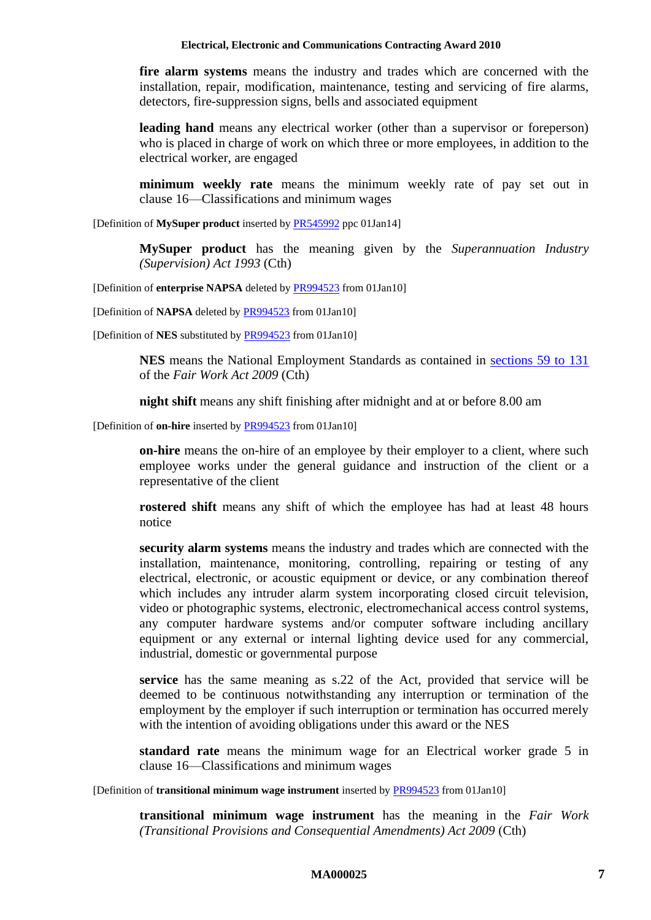**fire alarm systems** means the industry and trades which are concerned with the installation, repair, modification, maintenance, testing and servicing of fire alarms, detectors, fire-suppression signs, bells and associated equipment

**leading hand** means any electrical worker (other than a supervisor or foreperson) who is placed in charge of work on which three or more employees, in addition to the electrical worker, are engaged

**minimum weekly rate** means the minimum weekly rate of pay set out in clause [16—Classifications and minimum wages](#page-21-1)

[Definition of **MySuper product** inserted by [PR545992](http://www.fwc.gov.au/awardsandorders/html/PR545992.htm) ppc 01Jan14]

**MySuper product** has the meaning given by the *Superannuation Industry (Supervision) Act 1993* (Cth)

[Definition of **enterprise NAPSA** deleted by [PR994523](http://www.fwc.gov.au/awardsandorders/html/PR994523.htm) from 01Jan10]

[Definition of **NAPSA** deleted b[y PR994523](http://www.fwc.gov.au/awardsandorders/html/PR994523.htm) from 01Jan10]

[Definition of **NES** substituted by [PR994523](http://www.fwc.gov.au/awardsandorders/html/PR994523.htm) from 01Jan10]

**NES** means the National Employment Standards as contained in [sections 59 to 131](http://www.fwc.gov.au/awardmod/download/nes.pdf) of the *Fair Work Act 2009* (Cth)

**night shift** means any shift finishing after midnight and at or before 8.00 am

[Definition of **on-hire** inserted by [PR994523](http://www.fwc.gov.au/awardsandorders/html/PR994523.htm) from 01Jan10]

**on-hire** means the on-hire of an employee by their employer to a client, where such employee works under the general guidance and instruction of the client or a representative of the client

**rostered shift** means any shift of which the employee has had at least 48 hours notice

**security alarm systems** means the industry and trades which are connected with the installation, maintenance, monitoring, controlling, repairing or testing of any electrical, electronic, or acoustic equipment or device, or any combination thereof which includes any intruder alarm system incorporating closed circuit television, video or photographic systems, electronic, electromechanical access control systems, any computer hardware systems and/or computer software including ancillary equipment or any external or internal lighting device used for any commercial, industrial, domestic or governmental purpose

**service** has the same meaning as s.22 of the Act, provided that service will be deemed to be continuous notwithstanding any interruption or termination of the employment by the employer if such interruption or termination has occurred merely with the intention of avoiding obligations under this award or the NES

<span id="page-6-0"></span>**standard rate** means the minimum wage for an Electrical worker grade 5 in clause [16—Classifications and minimum wages](#page-21-1)

[Definition of **transitional minimum wage instrument** inserted b[y PR994523](http://www.fwc.gov.au/awardsandorders/html/PR994523.htm) from 01Jan10]

**transitional minimum wage instrument** has the meaning in the *Fair Work (Transitional Provisions and Consequential Amendments) Act 2009* (Cth)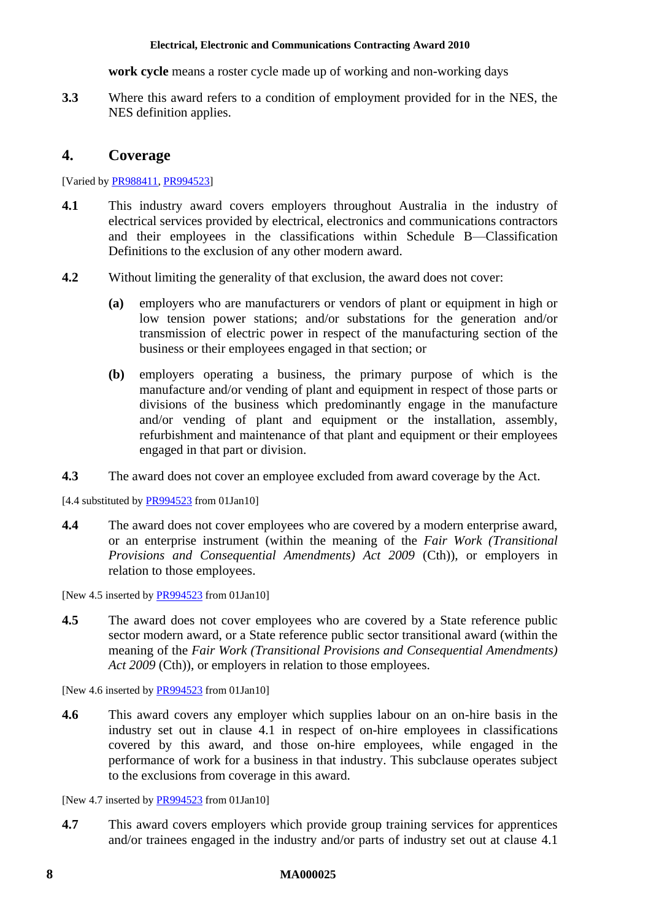**work cycle** means a roster cycle made up of working and non-working days

**3.3** Where this award refers to a condition of employment provided for in the NES, the NES definition applies.

# <span id="page-7-0"></span>**4. Coverage**

[Varied by [PR988411,](http://www.fwc.gov.au/awardsandorders/html/PR988411.htm) [PR994523\]](http://www.fwc.gov.au/awardsandorders/html/PR994523.htm)

- <span id="page-7-1"></span>**4.1** This industry award covers employers throughout Australia in the industry of electrical services provided by electrical, electronics and communications contractors and their employees in the classifications within [Schedule B—Classification](#page-61-0)  [Definitions](#page-61-0) to the exclusion of any other modern award.
- **4.2** Without limiting the generality of that exclusion, the award does not cover:
	- **(a)** employers who are manufacturers or vendors of plant or equipment in high or low tension power stations; and/or substations for the generation and/or transmission of electric power in respect of the manufacturing section of the business or their employees engaged in that section; or
	- **(b)** employers operating a business, the primary purpose of which is the manufacture and/or vending of plant and equipment in respect of those parts or divisions of the business which predominantly engage in the manufacture and/or vending of plant and equipment or the installation, assembly, refurbishment and maintenance of that plant and equipment or their employees engaged in that part or division.
- **4.3** The award does not cover an employee excluded from award coverage by the Act.

[4.4 substituted by [PR994523](http://www.fwc.gov.au/awardsandorders/html/PR994523.htm) from 01Jan10]

**4.4** The award does not cover employees who are covered by a modern enterprise award, or an enterprise instrument (within the meaning of the *Fair Work (Transitional Provisions and Consequential Amendments) Act 2009* (Cth)), or employers in relation to those employees.

[New 4.5 inserted by [PR994523](http://www.fwc.gov.au/awardsandorders/html/PR994523.htm) from 01Jan10]

**4.5** The award does not cover employees who are covered by a State reference public sector modern award, or a State reference public sector transitional award (within the meaning of the *Fair Work (Transitional Provisions and Consequential Amendments)*  Act 2009 (Cth)), or employers in relation to those employees.

[New 4.6 inserted by [PR994523](http://www.fwc.gov.au/awardsandorders/html/PR994523.htm) from 01Jan10]

**4.6** This award covers any employer which supplies labour on an on-hire basis in the industry set out in clause [4.1](#page-7-1) in respect of on-hire employees in classifications covered by this award, and those on-hire employees, while engaged in the performance of work for a business in that industry. This subclause operates subject to the exclusions from coverage in this award.

[New 4.7 inserted by [PR994523](http://www.fwc.gov.au/awardsandorders/html/PR994523.htm) from 01Jan10]

**4.7** This award covers employers which provide group training services for apprentices and/or trainees engaged in the industry and/or parts of industry set out at clause [4.1](#page-7-1)

#### **8 MA000025**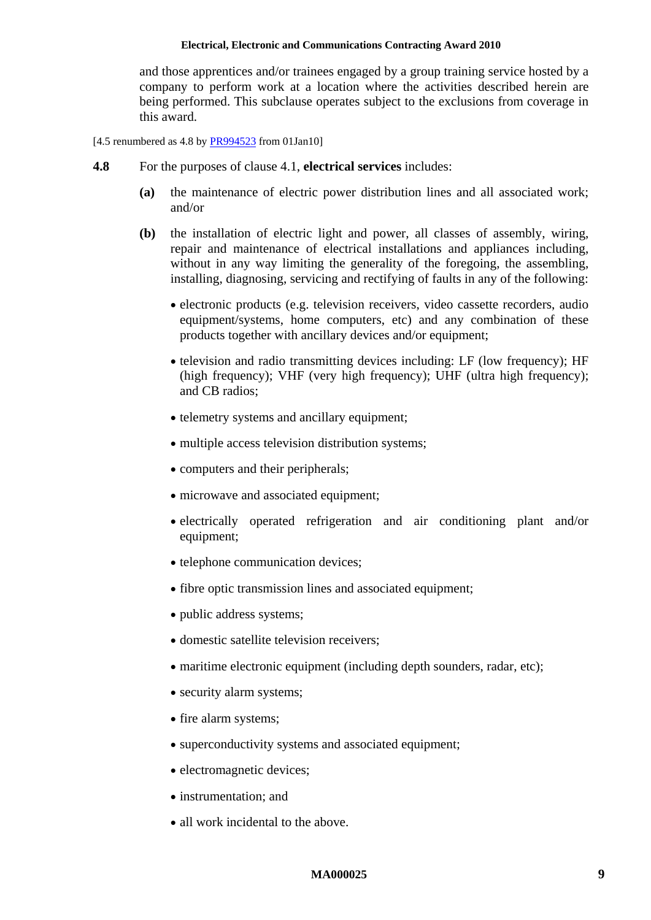and those apprentices and/or trainees engaged by a group training service hosted by a company to perform work at a location where the activities described herein are being performed. This subclause operates subject to the exclusions from coverage in this award.

<span id="page-8-0"></span>[4.5 renumbered as  $4.8$  by [PR994523](http://www.fwc.gov.au/awardsandorders/html/PR994523.htm) from 01Jan10]

- **4.8** For the purposes of clause [4.1,](#page-7-1) **electrical services** includes:
	- **(a)** the maintenance of electric power distribution lines and all associated work; and/or
	- **(b)** the installation of electric light and power, all classes of assembly, wiring, repair and maintenance of electrical installations and appliances including, without in any way limiting the generality of the foregoing, the assembling, installing, diagnosing, servicing and rectifying of faults in any of the following:
		- electronic products (e.g. television receivers, video cassette recorders, audio equipment/systems, home computers, etc) and any combination of these products together with ancillary devices and/or equipment;
		- television and radio transmitting devices including: LF (low frequency); HF (high frequency); VHF (very high frequency); UHF (ultra high frequency); and CB radios;
		- telemetry systems and ancillary equipment:
		- multiple access television distribution systems;
		- computers and their peripherals;
		- microwave and associated equipment;
		- electrically operated refrigeration and air conditioning plant and/or equipment;
		- telephone communication devices;
		- fibre optic transmission lines and associated equipment;
		- public address systems;
		- domestic satellite television receivers:
		- maritime electronic equipment (including depth sounders, radar, etc);
		- security alarm systems;
		- fire alarm systems;
		- superconductivity systems and associated equipment;
		- electromagnetic devices:
		- instrumentation: and
		- all work incidental to the above.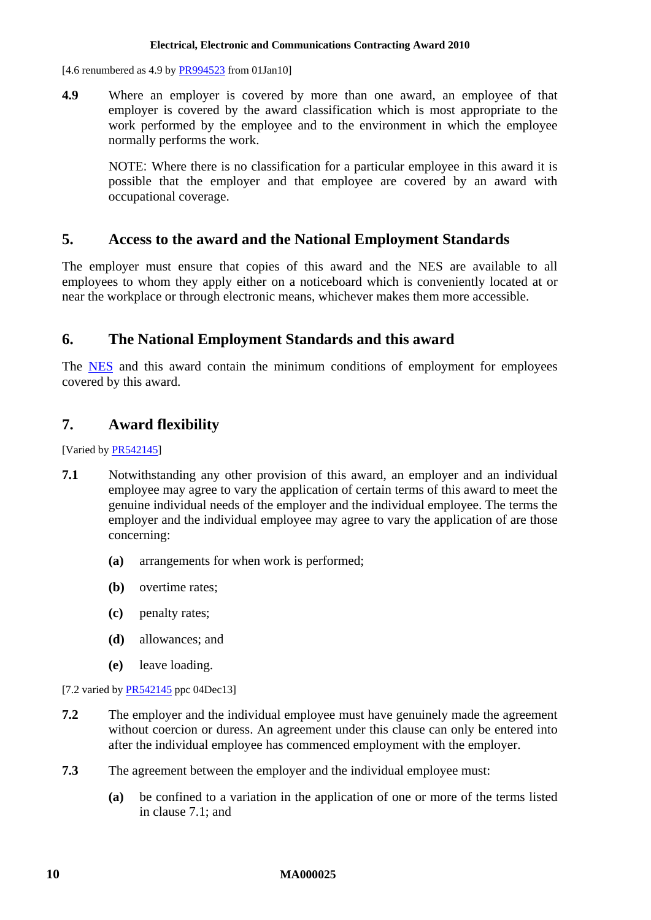[4.6 renumbered as 4.9 by  $PR994523$  from 01Jan10]

**4.9** Where an employer is covered by more than one award, an employee of that employer is covered by the award classification which is most appropriate to the work performed by the employee and to the environment in which the employee normally performs the work.

NOTE: Where there is no classification for a particular employee in this award it is possible that the employer and that employee are covered by an award with occupational coverage.

# <span id="page-9-0"></span>**5. Access to the award and the National Employment Standards**

The employer must ensure that copies of this award and the NES are available to all employees to whom they apply either on a noticeboard which is conveniently located at or near the workplace or through electronic means, whichever makes them more accessible.

# <span id="page-9-1"></span>**6. The National Employment Standards and this award**

The [NES](http://www.fwc.gov.au/awardmod/download/nes.pdf) and this award contain the minimum conditions of employment for employees covered by this award.

# <span id="page-9-2"></span>**7. Award flexibility**

[Varied by [PR542145\]](http://www.fwc.gov.au/awardsandorders/html/PR542145.htm)

- <span id="page-9-3"></span>**7.1** Notwithstanding any other provision of this award, an employer and an individual employee may agree to vary the application of certain terms of this award to meet the genuine individual needs of the employer and the individual employee. The terms the employer and the individual employee may agree to vary the application of are those concerning:
	- **(a)** arrangements for when work is performed;
	- **(b)** overtime rates;
	- **(c)** penalty rates;
	- **(d)** allowances; and
	- **(e)** leave loading.

[7.2 varied by [PR542145](http://www.fwc.gov.au/awardsandorders/html/PR542145.htm) ppc 04Dec13]

- **7.2** The employer and the individual employee must have genuinely made the agreement without coercion or duress. An agreement under this clause can only be entered into after the individual employee has commenced employment with the employer.
- **7.3** The agreement between the employer and the individual employee must:
	- **(a)** be confined to a variation in the application of one or more of the terms listed in clause [7.1;](#page-9-3) and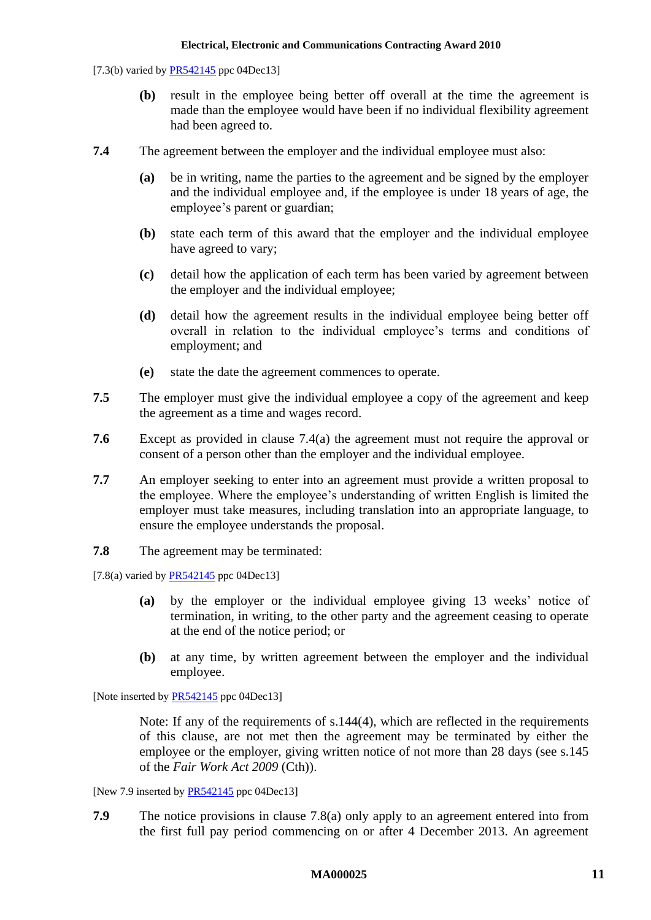[7.3(b) varied by [PR542145](http://www.fwc.gov.au/awardsandorders/html/PR542145.htm) ppc 04Dec13]

- **(b)** result in the employee being better off overall at the time the agreement is made than the employee would have been if no individual flexibility agreement had been agreed to.
- <span id="page-10-0"></span>**7.4** The agreement between the employer and the individual employee must also:
	- **(a)** be in writing, name the parties to the agreement and be signed by the employer and the individual employee and, if the employee is under 18 years of age, the employee's parent or guardian;
	- **(b)** state each term of this award that the employer and the individual employee have agreed to vary;
	- **(c)** detail how the application of each term has been varied by agreement between the employer and the individual employee;
	- **(d)** detail how the agreement results in the individual employee being better off overall in relation to the individual employee's terms and conditions of employment; and
	- **(e)** state the date the agreement commences to operate.
- **7.5** The employer must give the individual employee a copy of the agreement and keep the agreement as a time and wages record.
- **7.6** Except as provided in clause [7.4\(a\)](#page-10-0) the agreement must not require the approval or consent of a person other than the employer and the individual employee.
- **7.7** An employer seeking to enter into an agreement must provide a written proposal to the employee. Where the employee's understanding of written English is limited the employer must take measures, including translation into an appropriate language, to ensure the employee understands the proposal.
- **7.8** The agreement may be terminated:

<span id="page-10-1"></span>[7.8(a) varied by  $PR542145$  ppc 04Dec13]

- **(a)** by the employer or the individual employee giving 13 weeks' notice of termination, in writing, to the other party and the agreement ceasing to operate at the end of the notice period; or
- **(b)** at any time, by written agreement between the employer and the individual employee.

[Note inserted by **PR542145** ppc 04Dec13]

Note: If any of the requirements of s.144(4), which are reflected in the requirements of this clause, are not met then the agreement may be terminated by either the employee or the employer, giving written notice of not more than 28 days (see s.145 of the *Fair Work Act 2009* (Cth)).

[New 7.9 inserted by [PR542145](http://www.fwc.gov.au/awardsandorders/html/PR542145.htm) ppc 04Dec13]

**7.9** The notice provisions in clause [7.8\(a\)](#page-10-1) only apply to an agreement entered into from the first full pay period commencing on or after 4 December 2013. An agreement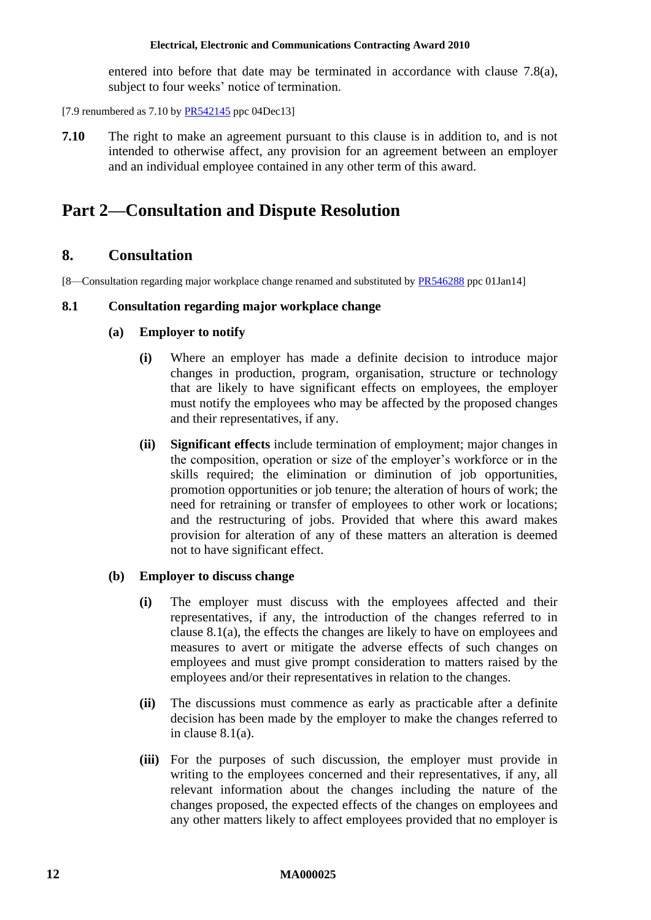entered into before that date may be terminated in accordance with clause [7.8\(a\),](#page-10-1) subject to four weeks' notice of termination.

- [7.9 renumbered as  $7.10$  by  $PR542145$  ppc 04Dec13]
- **7.10** The right to make an agreement pursuant to this clause is in addition to, and is not intended to otherwise affect, any provision for an agreement between an employer and an individual employee contained in any other term of this award.

# <span id="page-11-1"></span><span id="page-11-0"></span>**Part 2—Consultation and Dispute Resolution**

# **8. Consultation**

[8—Consultation regarding major workplace change renamed and substituted by [PR546288](http://www.fwc.gov.au/awardsandorders/html/pr546288.htm) ppc 01Jan14]

### <span id="page-11-2"></span>**8.1 Consultation regarding major workplace change**

# **(a) Employer to notify**

- **(i)** Where an employer has made a definite decision to introduce major changes in production, program, organisation, structure or technology that are likely to have significant effects on employees, the employer must notify the employees who may be affected by the proposed changes and their representatives, if any.
- **(ii) Significant effects** include termination of employment; major changes in the composition, operation or size of the employer's workforce or in the skills required; the elimination or diminution of job opportunities, promotion opportunities or job tenure; the alteration of hours of work; the need for retraining or transfer of employees to other work or locations; and the restructuring of jobs. Provided that where this award makes provision for alteration of any of these matters an alteration is deemed not to have significant effect.

#### **(b) Employer to discuss change**

- **(i)** The employer must discuss with the employees affected and their representatives, if any, the introduction of the changes referred to in clause [8.1\(a\),](#page-11-2) the effects the changes are likely to have on employees and measures to avert or mitigate the adverse effects of such changes on employees and must give prompt consideration to matters raised by the employees and/or their representatives in relation to the changes.
- **(ii)** The discussions must commence as early as practicable after a definite decision has been made by the employer to make the changes referred to in clause [8.1\(a\).](#page-11-2)
- **(iii)** For the purposes of such discussion, the employer must provide in writing to the employees concerned and their representatives, if any, all relevant information about the changes including the nature of the changes proposed, the expected effects of the changes on employees and any other matters likely to affect employees provided that no employer is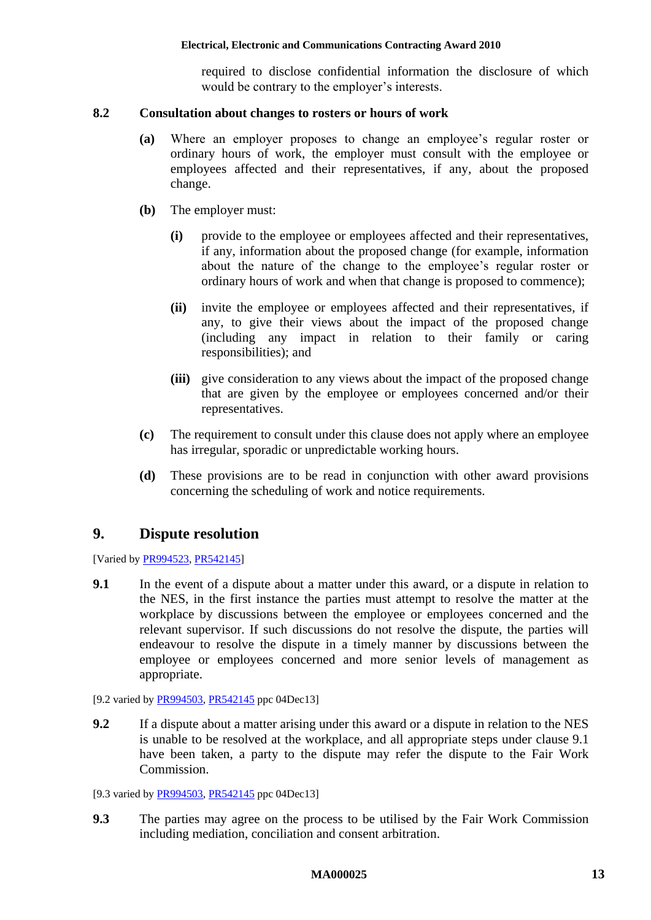required to disclose confidential information the disclosure of which would be contrary to the employer's interests.

#### **8.2 Consultation about changes to rosters or hours of work**

- **(a)** Where an employer proposes to change an employee's regular roster or ordinary hours of work, the employer must consult with the employee or employees affected and their representatives, if any, about the proposed change.
- **(b)** The employer must:
	- **(i)** provide to the employee or employees affected and their representatives, if any, information about the proposed change (for example, information about the nature of the change to the employee's regular roster or ordinary hours of work and when that change is proposed to commence);
	- **(ii)** invite the employee or employees affected and their representatives, if any, to give their views about the impact of the proposed change (including any impact in relation to their family or caring responsibilities); and
	- **(iii)** give consideration to any views about the impact of the proposed change that are given by the employee or employees concerned and/or their representatives.
- **(c)** The requirement to consult under this clause does not apply where an employee has irregular, sporadic or unpredictable working hours.
- **(d)** These provisions are to be read in conjunction with other award provisions concerning the scheduling of work and notice requirements.

# <span id="page-12-0"></span>**9. Dispute resolution**

[Varied b[y PR994523,](http://www.fwc.gov.au/awardsandorders/html/PR994523.htm) [PR542145\]](http://www.fwc.gov.au/awardsandorders/html/PR542145.htm)

<span id="page-12-1"></span>**9.1** In the event of a dispute about a matter under this award, or a dispute in relation to the NES, in the first instance the parties must attempt to resolve the matter at the workplace by discussions between the employee or employees concerned and the relevant supervisor. If such discussions do not resolve the dispute, the parties will endeavour to resolve the dispute in a timely manner by discussions between the employee or employees concerned and more senior levels of management as appropriate.

[9.2 varied by [PR994503,](http://www.fwc.gov.au/awardsandorders/html/PR994503.htm) [PR542145](http://www.fwc.gov.au/awardsandorders/html/PR542145.htm) ppc 04Dec13]

**9.2** If a dispute about a matter arising under this award or a dispute in relation to the NES is unable to be resolved at the workplace, and all appropriate steps under clause [9.1](#page-12-1) have been taken, a party to the dispute may refer the dispute to the Fair Work Commission.

[9.3 varied by [PR994503,](http://www.fwc.gov.au/awardsandorders/html/PR994503.htm) [PR542145](http://www.fwc.gov.au/awardsandorders/html/PR542145.htm) ppc 04Dec13]

**9.3** The parties may agree on the process to be utilised by the Fair Work Commission including mediation, conciliation and consent arbitration.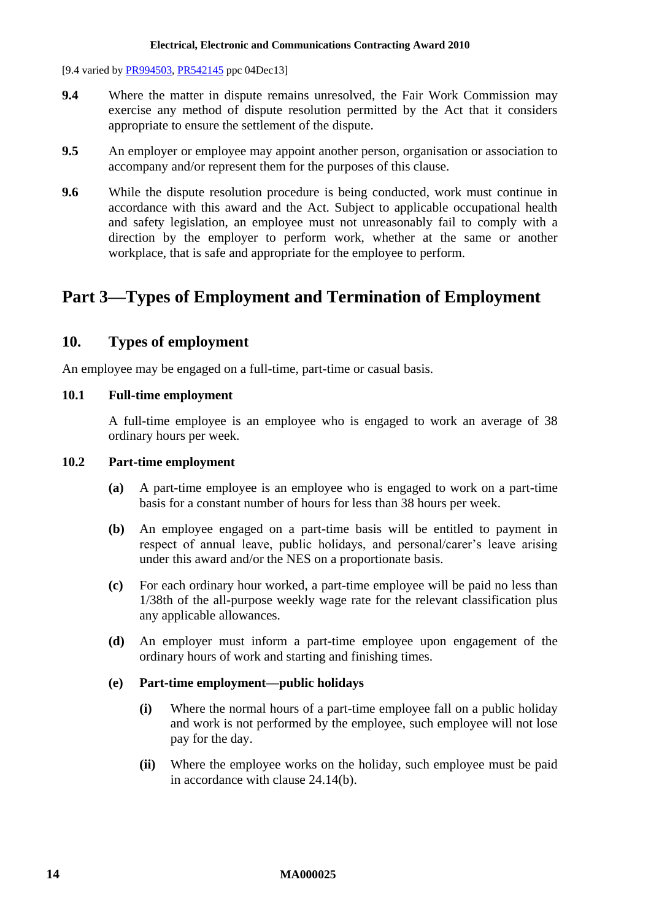- [9.4 varied by [PR994503,](http://www.fwc.gov.au/awardsandorders/html/PR994503.htm) [PR542145](http://www.fwc.gov.au/awardsandorders/html/PR542145.htm) ppc 04Dec13]
- **9.4** Where the matter in dispute remains unresolved, the Fair Work Commission may exercise any method of dispute resolution permitted by the Act that it considers appropriate to ensure the settlement of the dispute.
- **9.5** An employer or employee may appoint another person, organisation or association to accompany and/or represent them for the purposes of this clause.
- **9.6** While the dispute resolution procedure is being conducted, work must continue in accordance with this award and the Act. Subject to applicable occupational health and safety legislation, an employee must not unreasonably fail to comply with a direction by the employer to perform work, whether at the same or another workplace, that is safe and appropriate for the employee to perform.

# <span id="page-13-1"></span><span id="page-13-0"></span>**Part 3—Types of Employment and Termination of Employment**

# **10. Types of employment**

An employee may be engaged on a full-time, part-time or casual basis.

### **10.1 Full-time employment**

A full-time employee is an employee who is engaged to work an average of 38 ordinary hours per week.

### **10.2 Part-time employment**

- **(a)** A part-time employee is an employee who is engaged to work on a part-time basis for a constant number of hours for less than 38 hours per week.
- **(b)** An employee engaged on a part-time basis will be entitled to payment in respect of annual leave, public holidays, and personal/carer's leave arising under this award and/or the NES on a proportionate basis.
- **(c)** For each ordinary hour worked, a part-time employee will be paid no less than 1/38th of the all-purpose weekly wage rate for the relevant classification plus any applicable allowances.
- <span id="page-13-2"></span>**(d)** An employer must inform a part-time employee upon engagement of the ordinary hours of work and starting and finishing times.

# **(e) Part-time employment—public holidays**

- **(i)** Where the normal hours of a part-time employee fall on a public holiday and work is not performed by the employee, such employee will not lose pay for the day.
- **(ii)** Where the employee works on the holiday, such employee must be paid in accordance with clause [24.14\(b\).](#page-42-0)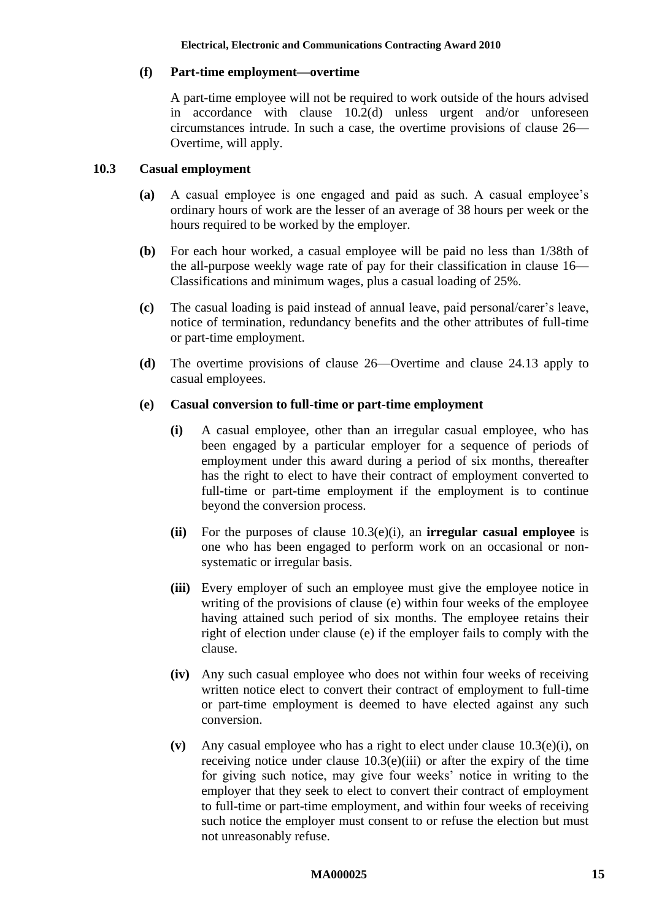# **(f) Part-time employment—overtime**

A part-time employee will not be required to work outside of the hours advised in accordance with clause [10.2\(d\)](#page-13-2) unless urgent and/or unforeseen circumstances intrude. In such a case, the overtime provisions of clause [26—](#page-44-0) [Overtime,](#page-44-0) will apply.

# **10.3 Casual employment**

- **(a)** A casual employee is one engaged and paid as such. A casual employee's ordinary hours of work are the lesser of an average of 38 hours per week or the hours required to be worked by the employer.
- **(b)** For each hour worked, a casual employee will be paid no less than 1/38th of the all-purpose weekly wage rate of pay for their classification in clause [16—](#page-21-1) [Classifications and minimum wages,](#page-21-1) plus a casual loading of 25%.
- **(c)** The casual loading is paid instead of annual leave, paid personal/carer's leave, notice of termination, redundancy benefits and the other attributes of full-time or part-time employment.
- **(d)** The overtime provisions of clause [26—Overtime](#page-44-0) and clause [24.13](#page-41-1) apply to casual employees.

# <span id="page-14-1"></span><span id="page-14-0"></span>**(e) Casual conversion to full-time or part-time employment**

- **(i)** A casual employee, other than an irregular casual employee, who has been engaged by a particular employer for a sequence of periods of employment under this award during a period of six months, thereafter has the right to elect to have their contract of employment converted to full-time or part-time employment if the employment is to continue beyond the conversion process.
- **(ii)** For the purposes of clause [10.3\(e\)\(i\),](#page-14-0) an **irregular casual employee** is one who has been engaged to perform work on an occasional or nonsystematic or irregular basis.
- <span id="page-14-2"></span>**(iii)** Every employer of such an employee must give the employee notice in writing of the provisions of clause [\(e\)](#page-14-1) within four weeks of the employee having attained such period of six months. The employee retains their right of election under clause [\(e\)](#page-14-1) if the employer fails to comply with the clause.
- **(iv)** Any such casual employee who does not within four weeks of receiving written notice elect to convert their contract of employment to full-time or part-time employment is deemed to have elected against any such conversion.
- **(v)** Any casual employee who has a right to elect under clause [10.3\(e\)\(i\),](#page-14-0) on receiving notice under clause  $10.3(e)$ (iii) or after the expiry of the time for giving such notice, may give four weeks' notice in writing to the employer that they seek to elect to convert their contract of employment to full-time or part-time employment, and within four weeks of receiving such notice the employer must consent to or refuse the election but must not unreasonably refuse.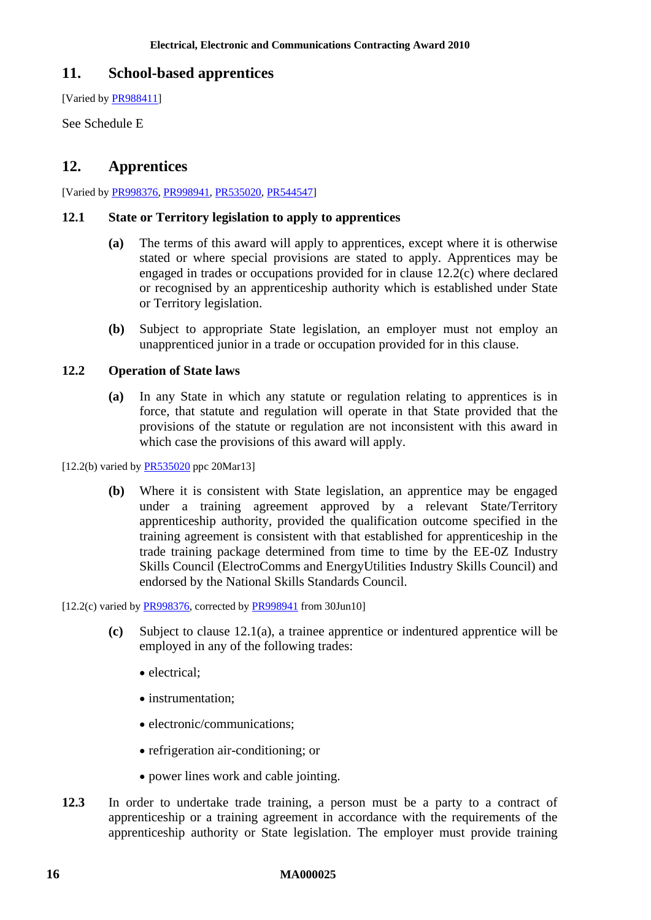# <span id="page-15-0"></span>**11. School-based apprentices**

[Varied by [PR988411\]](http://www.fwc.gov.au/awardsandorders/html/PR988411.htm)

<span id="page-15-1"></span>See [Schedule E](#page-73-0)

# **12. Apprentices**

[Varied by [PR998376,](http://www.fwc.gov.au/awardsandorders/html/PR998376.htm) [PR998941,](http://www.fwc.gov.au/awardsandorders/html/PR998941.htm) [PR535020,](http://www.fwc.gov.au/awardsandorders/html/pr535020.htm) [PR544547\]](http://www.fwc.gov.au/awardsandorders/html/PR544547.htm)

### <span id="page-15-3"></span>**12.1 State or Territory legislation to apply to apprentices**

- **(a)** The terms of this award will apply to apprentices, except where it is otherwise stated or where special provisions are stated to apply. Apprentices may be engaged in trades or occupations provided for in clause [12.2\(c\)](#page-15-2) where declared or recognised by an apprenticeship authority which is established under State or Territory legislation.
- **(b)** Subject to appropriate State legislation, an employer must not employ an unapprenticed junior in a trade or occupation provided for in this clause.

### **12.2 Operation of State laws**

**(a)** In any State in which any statute or regulation relating to apprentices is in force, that statute and regulation will operate in that State provided that the provisions of the statute or regulation are not inconsistent with this award in which case the provisions of this award will apply.

[12.2(b) varied by **PR535020** ppc 20Mar13]

**(b)** Where it is consistent with State legislation, an apprentice may be engaged under a training agreement approved by a relevant State/Territory apprenticeship authority, provided the qualification outcome specified in the training agreement is consistent with that established for apprenticeship in the trade training package determined from time to time by the EE-0Z Industry Skills Council (ElectroComms and EnergyUtilities Industry Skills Council) and endorsed by the National Skills Standards Council.

<span id="page-15-2"></span> $[12.2(c)$  varied by [PR998376,](http://www.fwc.gov.au/awardsandorders/html/PR998376.htm) corrected by [PR998941](http://www.fwc.gov.au/awardsandorders/html/PR998941.htm) from 30Jun10]

- **(c)** Subject to clause [12.1\(a\),](#page-15-3) a trainee apprentice or indentured apprentice will be employed in any of the following trades:
	- electrical:
	- instrumentation:
	- electronic/communications:
	- refrigeration air-conditioning; or
	- power lines work and cable jointing.
- **12.3** In order to undertake trade training, a person must be a party to a contract of apprenticeship or a training agreement in accordance with the requirements of the apprenticeship authority or State legislation. The employer must provide training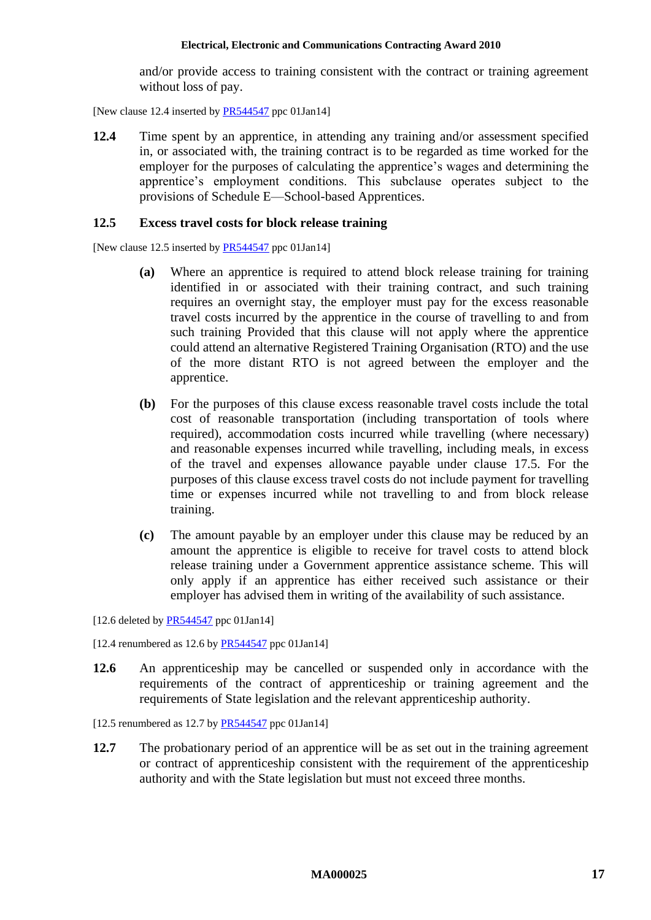and/or provide access to training consistent with the contract or training agreement without loss of pay.

[New clause 12.4 inserted by [PR544547](http://www.fwc.gov.au/awardsandorders/html/PR544547.htm) ppc 01Jan14]]

**12.4** Time spent by an apprentice, in attending any training and/or assessment specified in, or associated with, the training contract is to be regarded as time worked for the employer for the purposes of calculating the apprentice's wages and determining the apprentice's employment conditions. This subclause operates subject to the provisions of [Schedule E—School-based Apprentices.](#page-73-0)

#### **12.5 Excess travel costs for block release training**

[New clause 12.5 inserted by [PR544547](http://www.fwc.gov.au/awardsandorders/html/PR544547.htm) ppc 01Jan14]]

- **(a)** Where an apprentice is required to attend block release training for training identified in or associated with their training contract, and such training requires an overnight stay, the employer must pay for the excess reasonable travel costs incurred by the apprentice in the course of travelling to and from such training Provided that this clause will not apply where the apprentice could attend an alternative Registered Training Organisation (RTO) and the use of the more distant RTO is not agreed between the employer and the apprentice.
- **(b)** For the purposes of this clause excess reasonable travel costs include the total cost of reasonable transportation (including transportation of tools where required), accommodation costs incurred while travelling (where necessary) and reasonable expenses incurred while travelling, including meals, in excess of the travel and expenses allowance payable under clause [17.5.](#page-30-0) For the purposes of this clause excess travel costs do not include payment for travelling time or expenses incurred while not travelling to and from block release training.
- **(c)** The amount payable by an employer under this clause may be reduced by an amount the apprentice is eligible to receive for travel costs to attend block release training under a Government apprentice assistance scheme. This will only apply if an apprentice has either received such assistance or their employer has advised them in writing of the availability of such assistance.

[12.6 deleted by [PR544547](http://www.fwc.gov.au/awardsandorders/html/PR544547.htm) ppc 01Jan14]

[12.4 renumbered as 12.6 by  $PR544547$  ppc 01Jan14]

**12.6** An apprenticeship may be cancelled or suspended only in accordance with the requirements of the contract of apprenticeship or training agreement and the requirements of State legislation and the relevant apprenticeship authority.

[12.5 renumbered as 12.7 by [PR544547](http://www.fwc.gov.au/awardsandorders/html/PR544547.htm) ppc 01 Jan 14]

**12.7** The probationary period of an apprentice will be as set out in the training agreement or contract of apprenticeship consistent with the requirement of the apprenticeship authority and with the State legislation but must not exceed three months.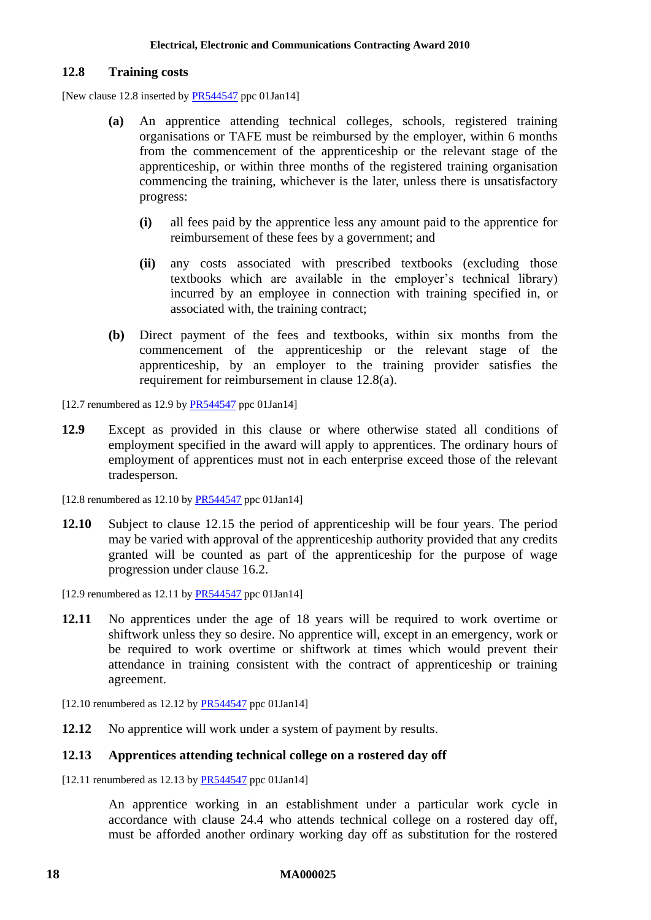### **12.8 Training costs**

<span id="page-17-0"></span>[New clause 12.8 inserted b[y PR544547](http://www.fwc.gov.au/awardsandorders/html/PR544547.htm) ppc 01Jan14]

- **(a)** An apprentice attending technical colleges, schools, registered training organisations or TAFE must be reimbursed by the employer, within 6 months from the commencement of the apprenticeship or the relevant stage of the apprenticeship, or within three months of the registered training organisation commencing the training, whichever is the later, unless there is unsatisfactory progress:
	- **(i)** all fees paid by the apprentice less any amount paid to the apprentice for reimbursement of these fees by a government; and
	- **(ii)** any costs associated with prescribed textbooks (excluding those textbooks which are available in the employer's technical library) incurred by an employee in connection with training specified in, or associated with, the training contract;
- **(b)** Direct payment of the fees and textbooks, within six months from the commencement of the apprenticeship or the relevant stage of the apprenticeship, by an employer to the training provider satisfies the requirement for reimbursement in clause [12.8\(a\).](#page-17-0)

 $[12.7$  renumbered as 12.9 b[y PR544547](http://www.fwc.gov.au/awardsandorders/html/PR544547.htm) ppc 01Jan14]

**12.9** Except as provided in this clause or where otherwise stated all conditions of employment specified in the award will apply to apprentices. The ordinary hours of employment of apprentices must not in each enterprise exceed those of the relevant tradesperson.

 $[12.8$  renumbered as 12.10 b[y PR544547](http://www.fwc.gov.au/awardsandorders/html/PR544547.htm) ppc 01Jan14]

**12.10** Subject to clause [12.15](#page-18-1) the period of apprenticeship will be four years. The period may be varied with approval of the apprenticeship authority provided that any credits granted will be counted as part of the apprenticeship for the purpose of wage progression under clause [16.2.](#page-21-2)

[12.9 renumbered as 12.11 by  $PR544547$  ppc 01Jan14]

**12.11** No apprentices under the age of 18 years will be required to work overtime or shiftwork unless they so desire. No apprentice will, except in an emergency, work or be required to work overtime or shiftwork at times which would prevent their attendance in training consistent with the contract of apprenticeship or training agreement.

 $[12.10$  renumbered as 12.12 by  $PR544547$  ppc 01Jan14]

**12.12** No apprentice will work under a system of payment by results.

#### **12.13 Apprentices attending technical college on a rostered day off**

[12.11 renumbered as 12.13 b[y PR544547](http://www.fwc.gov.au/awardsandorders/html/PR544547.htm) ppc 01Jan14]

An apprentice working in an establishment under a particular work cycle in accordance with clause [24.4](#page-38-0) who attends technical college on a rostered day off, must be afforded another ordinary working day off as substitution for the rostered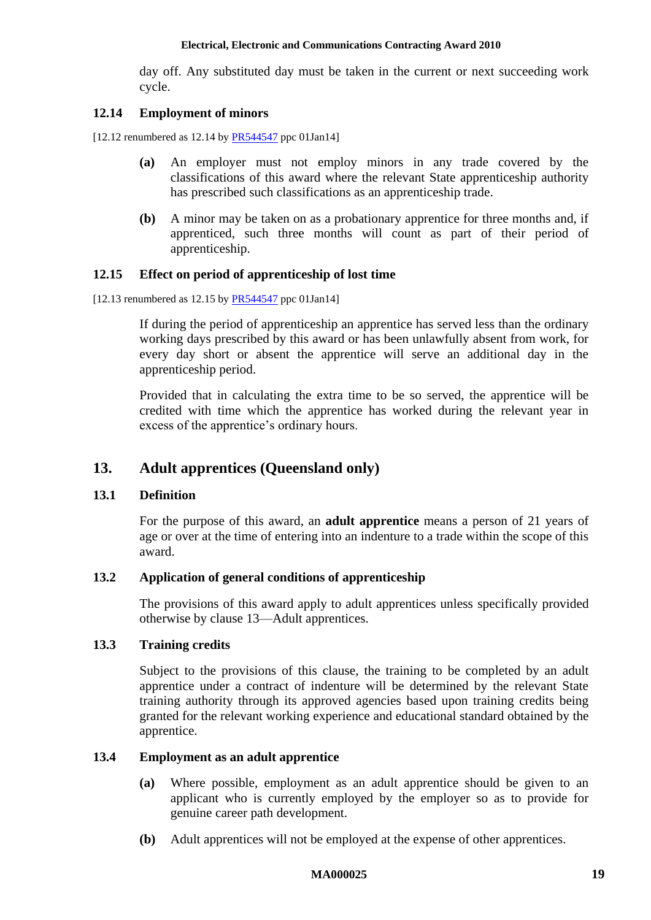day off. Any substituted day must be taken in the current or next succeeding work cycle.

### **12.14 Employment of minors**

[12.12 renumbered as 12.14 by **PR544547** ppc 01Jan14]

- **(a)** An employer must not employ minors in any trade covered by the classifications of this award where the relevant State apprenticeship authority has prescribed such classifications as an apprenticeship trade.
- **(b)** A minor may be taken on as a probationary apprentice for three months and, if apprenticed, such three months will count as part of their period of apprenticeship.

### <span id="page-18-1"></span>**12.15 Effect on period of apprenticeship of lost time**

 $[12.13$  renumbered as 12.15 by  $PR544547$  ppc 01Jan14]

If during the period of apprenticeship an apprentice has served less than the ordinary working days prescribed by this award or has been unlawfully absent from work, for every day short or absent the apprentice will serve an additional day in the apprenticeship period.

Provided that in calculating the extra time to be so served, the apprentice will be credited with time which the apprentice has worked during the relevant year in excess of the apprentice's ordinary hours.

# <span id="page-18-0"></span>**13. Adult apprentices (Queensland only)**

# **13.1 Definition**

For the purpose of this award, an **adult apprentice** means a person of 21 years of age or over at the time of entering into an indenture to a trade within the scope of this award.

# **13.2 Application of general conditions of apprenticeship**

The provisions of this award apply to adult apprentices unless specifically provided otherwise by clause [13—](#page-18-0)Adult apprentices.

# **13.3 Training credits**

Subject to the provisions of this clause, the training to be completed by an adult apprentice under a contract of indenture will be determined by the relevant State training authority through its approved agencies based upon training credits being granted for the relevant working experience and educational standard obtained by the apprentice.

#### **13.4 Employment as an adult apprentice**

- **(a)** Where possible, employment as an adult apprentice should be given to an applicant who is currently employed by the employer so as to provide for genuine career path development.
- **(b)** Adult apprentices will not be employed at the expense of other apprentices.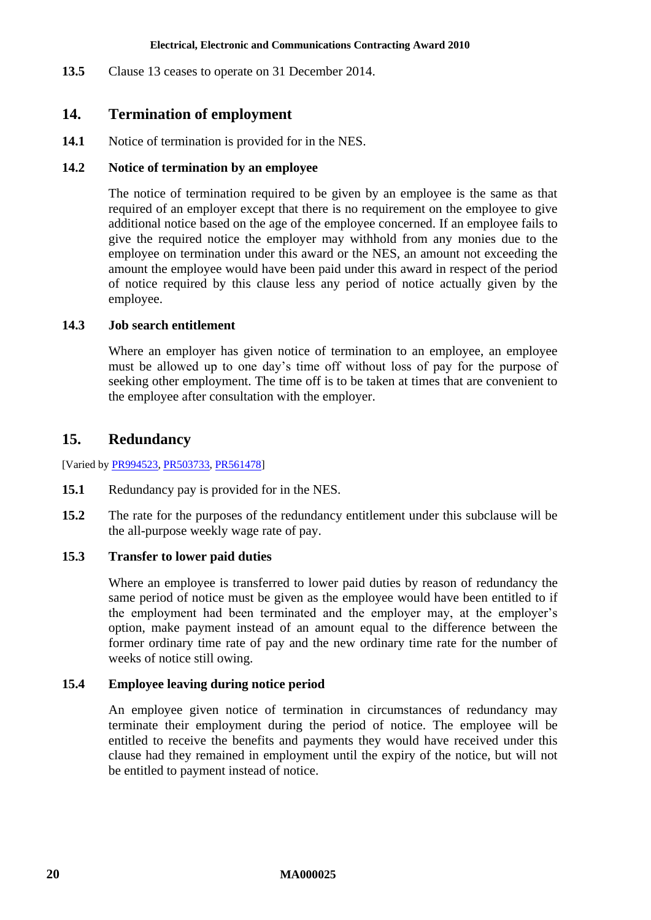<span id="page-19-0"></span>**13.5** Clause [13](#page-18-0) ceases to operate on 31 December 2014.

# **14. Termination of employment**

**14.1** Notice of termination is provided for in the NES.

# **14.2 Notice of termination by an employee**

The notice of termination required to be given by an employee is the same as that required of an employer except that there is no requirement on the employee to give additional notice based on the age of the employee concerned. If an employee fails to give the required notice the employer may withhold from any monies due to the employee on termination under this award or the NES, an amount not exceeding the amount the employee would have been paid under this award in respect of the period of notice required by this clause less any period of notice actually given by the employee.

# <span id="page-19-2"></span>**14.3 Job search entitlement**

Where an employer has given notice of termination to an employee, an employee must be allowed up to one day's time off without loss of pay for the purpose of seeking other employment. The time off is to be taken at times that are convenient to the employee after consultation with the employer.

# <span id="page-19-1"></span>**15. Redundancy**

[Varied by [PR994523,](http://www.fwc.gov.au/awardsandorders/html/PR994523.htm) [PR503733,](http://www.fwc.gov.au/awardsandorders/html/PR503733.htm) [PR561478\]](http://www.fwc.gov.au/awardsandorders/html/PR561478.htm)

- **15.1** Redundancy pay is provided for in the NES.
- **15.2** The rate for the purposes of the redundancy entitlement under this subclause will be the all-purpose weekly wage rate of pay.

# **15.3 Transfer to lower paid duties**

Where an employee is transferred to lower paid duties by reason of redundancy the same period of notice must be given as the employee would have been entitled to if the employment had been terminated and the employer may, at the employer's option, make payment instead of an amount equal to the difference between the former ordinary time rate of pay and the new ordinary time rate for the number of weeks of notice still owing.

# **15.4 Employee leaving during notice period**

An employee given notice of termination in circumstances of redundancy may terminate their employment during the period of notice. The employee will be entitled to receive the benefits and payments they would have received under this clause had they remained in employment until the expiry of the notice, but will not be entitled to payment instead of notice.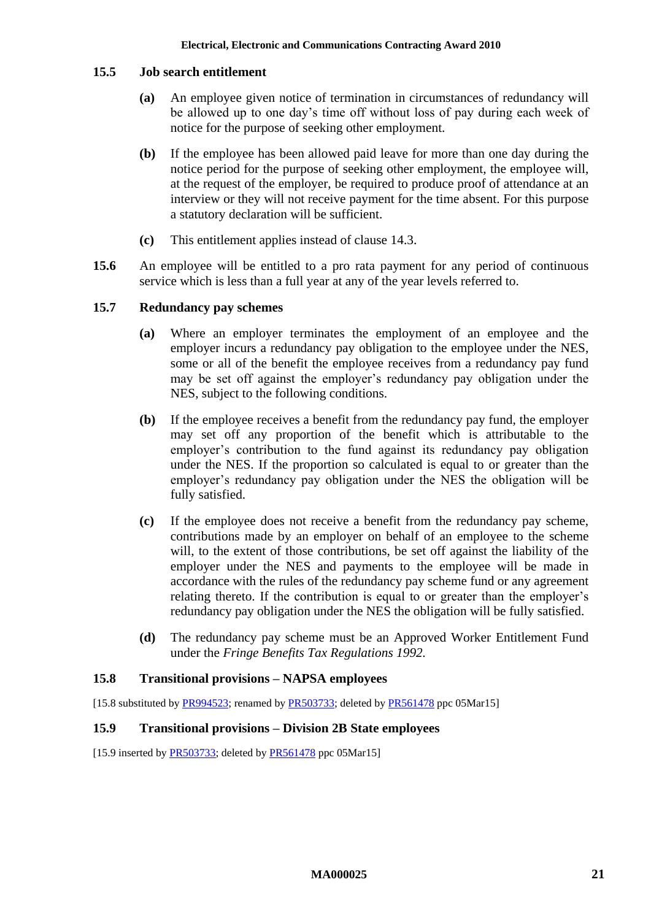# **15.5 Job search entitlement**

- **(a)** An employee given notice of termination in circumstances of redundancy will be allowed up to one day's time off without loss of pay during each week of notice for the purpose of seeking other employment.
- **(b)** If the employee has been allowed paid leave for more than one day during the notice period for the purpose of seeking other employment, the employee will, at the request of the employer, be required to produce proof of attendance at an interview or they will not receive payment for the time absent. For this purpose a statutory declaration will be sufficient.
- **(c)** This entitlement applies instead of clause [14.3.](#page-19-2)
- **15.6** An employee will be entitled to a pro rata payment for any period of continuous service which is less than a full year at any of the year levels referred to.

# **15.7 Redundancy pay schemes**

- **(a)** Where an employer terminates the employment of an employee and the employer incurs a redundancy pay obligation to the employee under the NES, some or all of the benefit the employee receives from a redundancy pay fund may be set off against the employer's redundancy pay obligation under the NES, subject to the following conditions.
- **(b)** If the employee receives a benefit from the redundancy pay fund, the employer may set off any proportion of the benefit which is attributable to the employer's contribution to the fund against its redundancy pay obligation under the NES. If the proportion so calculated is equal to or greater than the employer's redundancy pay obligation under the NES the obligation will be fully satisfied.
- **(c)** If the employee does not receive a benefit from the redundancy pay scheme, contributions made by an employer on behalf of an employee to the scheme will, to the extent of those contributions, be set off against the liability of the employer under the NES and payments to the employee will be made in accordance with the rules of the redundancy pay scheme fund or any agreement relating thereto. If the contribution is equal to or greater than the employer's redundancy pay obligation under the NES the obligation will be fully satisfied.
- **(d)** The redundancy pay scheme must be an Approved Worker Entitlement Fund under the *Fringe Benefits Tax Regulations 1992.*

# **15.8 Transitional provisions – NAPSA employees**

[15.8 substituted b[y PR994523;](http://www.fwc.gov.au/awardsandorders/html/PR994523.htm) renamed b[y PR503733;](http://www.fwc.gov.au/awardsandorders/html/PR503733.htm) deleted by [PR561478](http://www.fwc.gov.au/awardsandorders/html/PR561478.htm) ppc 05Mar15]

# **15.9 Transitional provisions – Division 2B State employees**

[15.9 inserted by [PR503733;](http://www.fwc.gov.au/awardsandorders/html/PR503733.htm) deleted by [PR561478](http://www.fwc.gov.au/awardsandorders/html/PR561478.htm) ppc 05Mar15]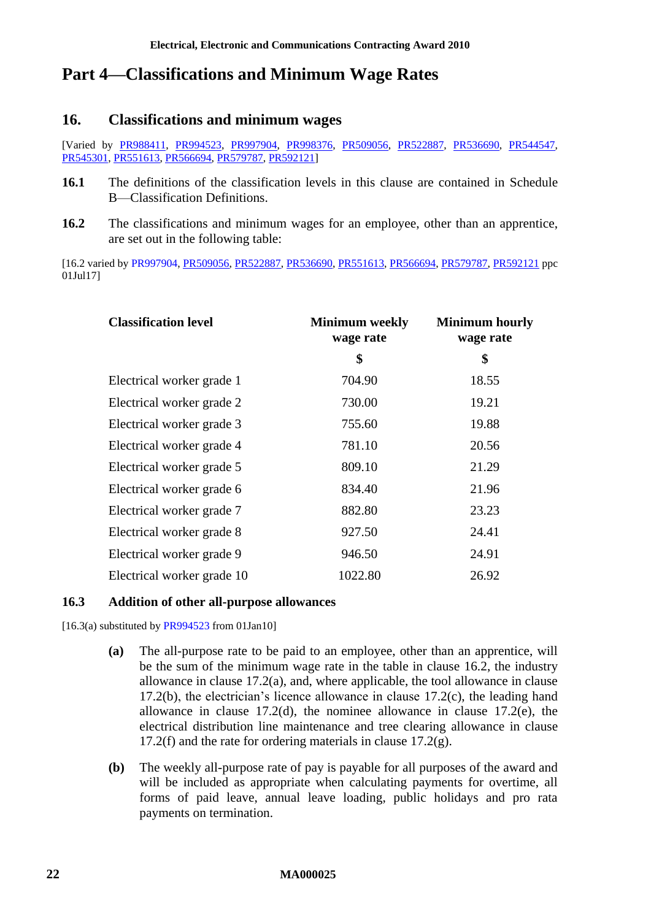# <span id="page-21-1"></span><span id="page-21-0"></span>**Part 4—Classifications and Minimum Wage Rates**

# **16. Classifications and minimum wages**

[Varied by [PR988411,](http://www.fwc.gov.au/awardsandorders/html/PR988411.htm) [PR994523,](http://www.fwc.gov.au/awardsandorders/html/PR994523.htm) [PR997904,](http://www.fwc.gov.au/awardsandorders/html/PR997904.htm) [PR998376,](http://www.fwc.gov.au/awardsandorders/html/PR998376.htm) [PR509056,](http://www.fwc.gov.au/awardsandorders/html/PR509056.htm) [PR522887,](http://www.fwc.gov.au/awardsandorders/html/PR522887.htm) [PR536690,](http://www.fwc.gov.au/awardsandorders/html/pr536690.htm) [PR544547,](http://www.fwc.gov.au/awardsandorders/html/PR544547.htm) [PR545301,](http://www.fwc.gov.au/awardsandorders/html/PR545301.htm) [PR551613,](http://www.fwc.gov.au/awardsandorders/html/PR551613.htm) [PR566694,](https://www.fwc.gov.au/awardsandorders/html/PR566694.htm) [PR579787,](http://www.fwc.gov.au/awardsandorders/html/PR579787.htm) [PR592121\]](http://www.fwc.gov.au/awardsandorders/html/pr592121.htm)

- **16.1** The definitions of the classification levels in this clause are contained in [Schedule](#page-61-0)  [B—Classification Definitions.](#page-61-0)
- <span id="page-21-2"></span>**16.2** The classifications and minimum wages for an employee, other than an apprentice, are set out in the following table:

[16.2 varied by [PR997904,](http://www.fwc.gov.au/awardsandorders/html/PR997904.htm) [PR509056,](http://www.fwc.gov.au/awardsandorders/html/PR509056.htm) [PR522887,](http://www.fwc.gov.au/awardsandorders/html/PR522887.htm) [PR536690,](http://www.fwc.gov.au/awardsandorders/html/pr536690.htm) [PR551613,](http://www.fwc.gov.au/awardsandorders/html/PR551613.htm) [PR566694,](https://www.fwc.gov.au/awardsandorders/html/PR566694.htm) [PR579787,](http://www.fwc.gov.au/awardsandorders/html/PR579787.htm) [PR592121](http://www.fwc.gov.au/awardsandorders/html/pr592121.htm) ppc 01Jul17]

| <b>Classification level</b> | <b>Minimum</b> weekly<br>wage rate | <b>Minimum hourly</b><br>wage rate |  |
|-----------------------------|------------------------------------|------------------------------------|--|
|                             | \$                                 | \$                                 |  |
| Electrical worker grade 1   | 704.90                             | 18.55                              |  |
| Electrical worker grade 2   | 730.00                             | 19.21                              |  |
| Electrical worker grade 3   | 755.60                             | 19.88                              |  |
| Electrical worker grade 4   | 781.10                             | 20.56                              |  |
| Electrical worker grade 5   | 809.10                             | 21.29                              |  |
| Electrical worker grade 6   | 834.40                             | 21.96                              |  |
| Electrical worker grade 7   | 882.80                             | 23.23                              |  |
| Electrical worker grade 8   | 927.50                             | 24.41                              |  |
| Electrical worker grade 9   | 946.50                             | 24.91                              |  |
| Electrical worker grade 10  | 1022.80                            | 26.92                              |  |

# **16.3 Addition of other all-purpose allowances**

 $[16.3(a)$  substituted b[y PR994523](http://www.fwc.gov.au/awardsandorders/html/PR994523.htm) from 01Jan10]

- **(a)** The all-purpose rate to be paid to an employee, other than an apprentice, will be the sum of the minimum wage rate in the table in clause [16.2,](#page-21-2) the industry allowance in clause [17.2\(a\),](#page-26-1) and, where applicable, the tool allowance in clause [17.2\(b\),](#page-27-0) the electrician's licence allowance in clause [17.2\(c\),](#page-27-1) the leading hand allowance in clause [17.2\(d\),](#page-27-2) the nominee allowance in clause [17.2\(e\),](#page-27-3) the electrical distribution line maintenance and tree clearing allowance in clause [17.2\(f\)](#page-27-4) and the rate for ordering materials in clause  $17.2(g)$ .
- **(b)** The weekly all-purpose rate of pay is payable for all purposes of the award and will be included as appropriate when calculating payments for overtime, all forms of paid leave, annual leave loading, public holidays and pro rata payments on termination.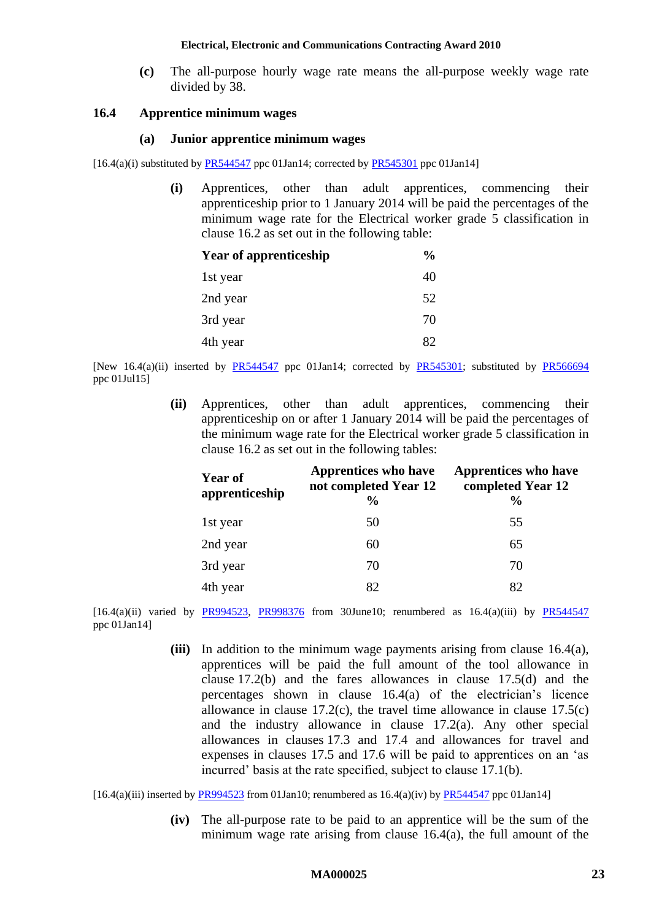**(c)** The all-purpose hourly wage rate means the all-purpose weekly wage rate divided by 38.

#### <span id="page-22-0"></span>**16.4 Apprentice minimum wages**

#### **(a) Junior apprentice minimum wages**

 $[16.4(a)(i)$  substituted by [PR544547](http://www.fwc.gov.au/awardsandorders/html/PR544547.htm) ppc 01Jan14; corrected b[y PR545301](http://www.fwc.gov.au/awardsandorders/html/PR545301.htm) ppc 01Jan14]

**(i)** Apprentices, other than adult apprentices, commencing their apprenticeship prior to 1 January 2014 will be paid the percentages of the minimum wage rate for the Electrical worker grade 5 classification in clause [16.2](#page-21-2) as set out in the following table:

| <b>Year of apprenticeship</b> | $\%$ |
|-------------------------------|------|
| 1st year                      | 40   |
| 2nd year                      | 52   |
| 3rd year                      | 70   |
| 4th year                      | 82   |

[New 16.4(a)(ii) inserted by [PR544547](http://www.fwc.gov.au/awardsandorders/html/PR544547.htm) ppc 01Jan14; corrected by [PR545301;](http://www.fwc.gov.au/awardsandorders/html/PR545301.htm) substituted by [PR566694](https://www.fwc.gov.au/awardsandorders/html/PR566694.htm) ppc 01Jul15]

> **(ii)** Apprentices, other than adult apprentices, commencing their apprenticeship on or after 1 January 2014 will be paid the percentages of the minimum wage rate for the Electrical worker grade 5 classification in clause [16.2](#page-21-2) as set out in the following tables:

| <b>Year of</b><br>apprenticeship | <b>Apprentices who have</b><br>not completed Year 12<br>$\%$ | <b>Apprentices who have</b><br>completed Year 12<br>$\frac{6}{9}$ |
|----------------------------------|--------------------------------------------------------------|-------------------------------------------------------------------|
| 1st year                         | 50                                                           | 55                                                                |
| 2nd year                         | 60                                                           | 65                                                                |
| 3rd year                         | 70                                                           | 70                                                                |
| 4th year                         | 82                                                           | 82                                                                |

[16.4(a)(ii) varied by [PR994523,](http://www.fwc.gov.au/awardsandorders/html/PR994523.htm) [PR998376](http://www.fwc.gov.au/awardsandorders/html/PR998376.htm) from 30June10; renumbered as  $16.4(a)$ (iii) by [PR544547](http://www.fwc.gov.au/awardsandorders/html/PR544547.htm) ppc 01Jan14]

> **(iii)** In addition to the minimum wage payments arising from clause [16.4\(a\),](#page-22-0) apprentices will be paid the full amount of the tool allowance in clause [17.2\(b\)](#page-27-0) and the fares allowances in clause [17.5\(d\)](#page-31-0) and the percentages shown in clause [16.4\(a\)](#page-22-0) of the electrician's licence allowance in clause  $17.2(c)$ , the travel time allowance in clause  $17.5(c)$ and the industry allowance in clause [17.2\(a\).](#page-26-1) Any other special allowances in clauses [17.3](#page-28-1) and [17.4](#page-29-0) and allowances for travel and expenses in clauses [17.5](#page-30-0) and [17.6](#page-32-0) will be paid to apprentices on an 'as incurred' basis at the rate specified, subject to clause [17.1\(b\).](#page-26-2)

[16.4(a)(iii) inserted by  $PRO94523$  from 01Jan10; renumbered as  $16.4(a)$ (iv) by  $PR544547$  ppc 01Jan14]

**(iv)** The all-purpose rate to be paid to an apprentice will be the sum of the minimum wage rate arising from clause [16.4\(a\),](#page-22-0) the full amount of the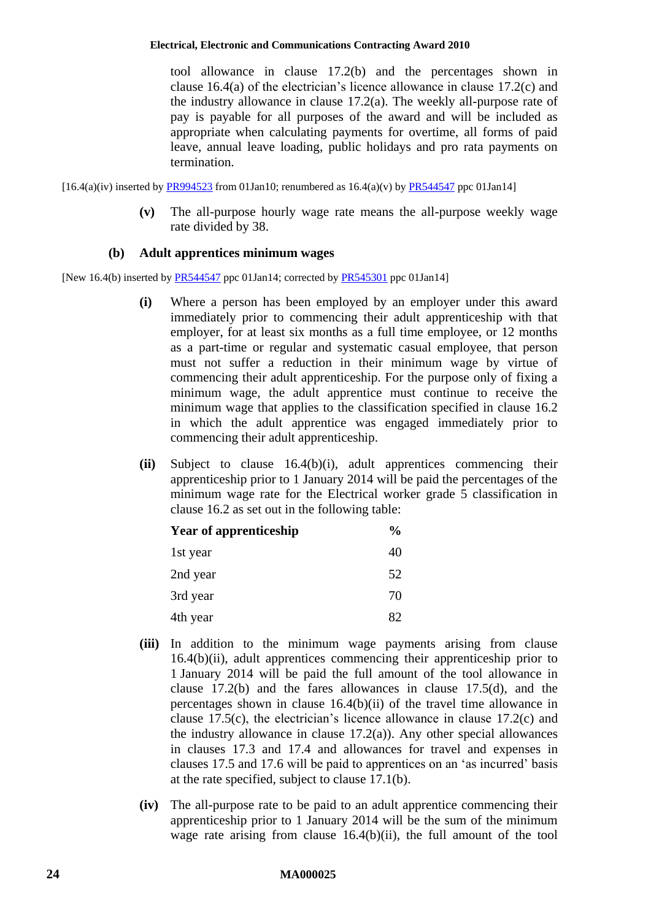tool allowance in clause [17.2\(b\)](#page-27-0) and the percentages shown in clause [16.4\(a\)](#page-22-0) of the electrician's licence allowance in clause [17.2\(c\)](#page-27-1) and the industry allowance in clause [17.2\(a\).](#page-26-1) The weekly all-purpose rate of pay is payable for all purposes of the award and will be included as appropriate when calculating payments for overtime, all forms of paid leave, annual leave loading, public holidays and pro rata payments on termination.

 $[16.4(a)(iv)]$  inserted by [PR994523](http://www.fwc.gov.au/awardsandorders/html/PR994523.htm) from 01Jan10; renumbered as  $16.4(a)(v)$  by [PR544547](http://www.fwc.gov.au/awardsandorders/html/PR544547.htm) ppc 01Jan141

**(v)** The all-purpose hourly wage rate means the all-purpose weekly wage rate divided by 38.

# **(b) Adult apprentices minimum wages**

<span id="page-23-0"></span>[New 16.4(b) inserted b[y PR544547](http://www.fwc.gov.au/awardsandorders/html/PR544547.htm) ppc 01Jan14; corrected by [PR545301](http://www.fwc.gov.au/awardsandorders/html/PR545301.htm) ppc 01Jan14]

- **(i)** Where a person has been employed by an employer under this award immediately prior to commencing their adult apprenticeship with that employer, for at least six months as a full time employee, or 12 months as a part-time or regular and systematic casual employee, that person must not suffer a reduction in their minimum wage by virtue of commencing their adult apprenticeship. For the purpose only of fixing a minimum wage, the adult apprentice must continue to receive the minimum wage that applies to the classification specified in clause [16.2](#page-21-2) in which the adult apprentice was engaged immediately prior to commencing their adult apprenticeship.
- <span id="page-23-1"></span>**(ii)** Subject to clause [16.4\(b\)\(i\),](#page-23-0) adult apprentices commencing their apprenticeship prior to 1 January 2014 will be paid the percentages of the minimum wage rate for the Electrical worker grade 5 classification in clause [16.2](#page-21-2) as set out in the following table:

| <b>Year of apprenticeship</b> | $\frac{0}{0}$ |
|-------------------------------|---------------|
| 1st year                      | 40            |
| 2nd year                      | 52            |
| 3rd year                      | 70            |
| 4th year                      | 82            |

- **(iii)** In addition to the minimum wage payments arising from clause [16.4\(b\)\(ii\),](#page-23-1) adult apprentices commencing their apprenticeship prior to 1 January 2014 will be paid the full amount of the tool allowance in clause [17.2\(b\)](#page-27-0) and the fares allowances in clause [17.5\(d\),](#page-31-0) and the percentages shown in clause [16.4\(b\)\(ii\)](#page-23-1) of the travel time allowance in clause [17.5\(c\),](#page-31-1) the electrician's licence allowance in clause [17.2\(c\)](#page-27-1) and the industry allowance in clause [17.2\(a\)\)](#page-26-1). Any other special allowances in clauses [17.3](#page-28-1) and [17.4](#page-29-0) and allowances for travel and expenses in clauses [17.5](#page-30-0) and [17.6](#page-32-0) will be paid to apprentices on an 'as incurred' basis at the rate specified, subject to clause [17.1\(b\).](#page-26-2)
- **(iv)** The all-purpose rate to be paid to an adult apprentice commencing their apprenticeship prior to 1 January 2014 will be the sum of the minimum wage rate arising from clause [16.4\(b\)\(ii\),](#page-23-1) the full amount of the tool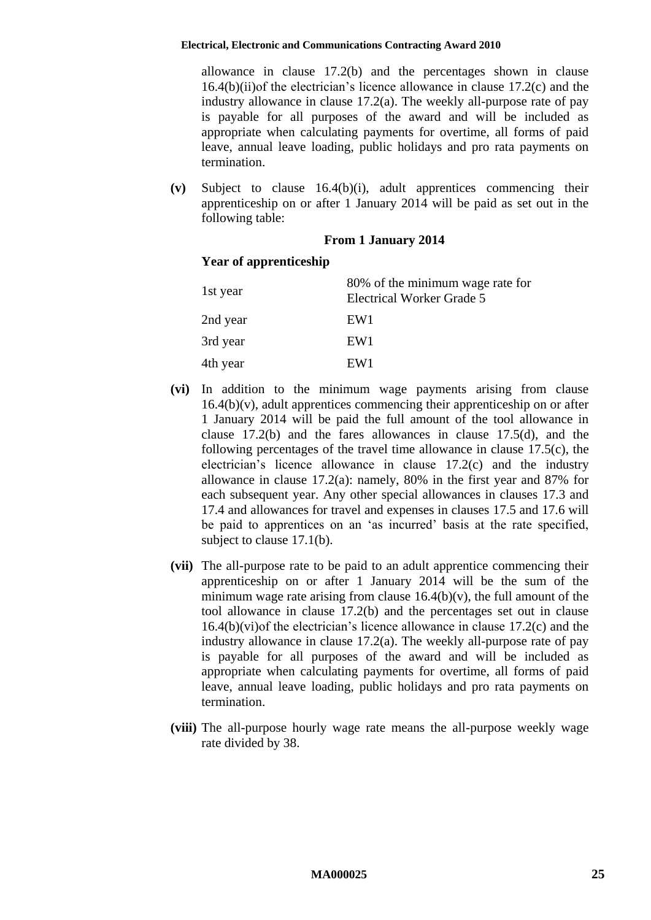allowance in clause [17.2\(b\)](#page-27-0) and the percentages shown in clause [16.4\(b\)\(ii\)o](#page-23-1)f the electrician's licence allowance in clause [17.2\(c\)](#page-27-1) and the industry allowance in clause [17.2\(a\).](#page-26-1) The weekly all-purpose rate of pay is payable for all purposes of the award and will be included as appropriate when calculating payments for overtime, all forms of paid leave, annual leave loading, public holidays and pro rata payments on termination.

<span id="page-24-0"></span>**(v)** Subject to clause [16.4\(b\)\(i\),](#page-23-0) adult apprentices commencing their apprenticeship on or after 1 January 2014 will be paid as set out in the following table:

# **From 1 January 2014**

# **Year of apprenticeship**

| 1st year | 80% of the minimum wage rate for<br>Electrical Worker Grade 5 |
|----------|---------------------------------------------------------------|
| 2nd year | EW1                                                           |
| 3rd year | EW1                                                           |
| 4th year | EW <sub>1</sub>                                               |

- <span id="page-24-1"></span>**(vi)** In addition to the minimum wage payments arising from clause  $16.4(b)(v)$ , adult apprentices commencing their apprenticeship on or after 1 January 2014 will be paid the full amount of the tool allowance in clause [17.2\(b\)](#page-27-0) and the fares allowances in clause [17.5\(d\),](#page-31-0) and the following percentages of the travel time allowance in clause [17.5\(c\),](#page-31-1) the electrician's licence allowance in clause [17.2\(c\)](#page-27-1) and the industry allowance in clause [17.2\(a\):](#page-26-1) namely, 80% in the first year and 87% for each subsequent year. Any other special allowances in clauses [17.3](#page-28-1) and [17.4](#page-29-0) and allowances for travel and expenses in clauses [17.5](#page-30-0) and [17.6](#page-32-0) will be paid to apprentices on an 'as incurred' basis at the rate specified, subject to clause [17.1\(b\).](#page-26-2)
- **(vii)** The all-purpose rate to be paid to an adult apprentice commencing their apprenticeship on or after 1 January 2014 will be the sum of the minimum wage rate arising from clause  $16.4(b)(v)$ , the full amount of the tool allowance in clause [17.2\(b\)](#page-27-0) and the percentages set out in clause [16.4\(b\)\(vi\)o](#page-24-1)f the electrician's licence allowance in clause [17.2\(c\)](#page-27-1) and the industry allowance in clause [17.2\(a\).](#page-26-1) The weekly all-purpose rate of pay is payable for all purposes of the award and will be included as appropriate when calculating payments for overtime, all forms of paid leave, annual leave loading, public holidays and pro rata payments on termination.
- **(viii)** The all-purpose hourly wage rate means the all-purpose weekly wage rate divided by 38.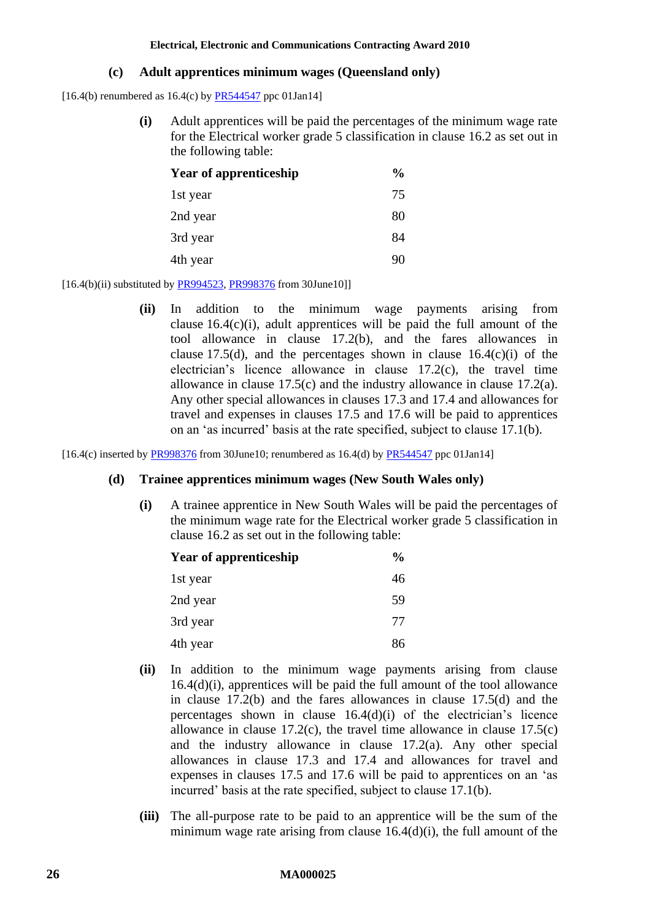### **(c) Adult apprentices minimum wages (Queensland only)**

<span id="page-25-2"></span><span id="page-25-0"></span>[16.4(b) renumbered as  $16.4(c)$  by  $PR544547$  ppc  $01Jan14$ ]

**(i)** Adult apprentices will be paid the percentages of the minimum wage rate for the Electrical worker grade 5 classification in clause [16.2](#page-21-2) as set out in the following table:

| <b>Year of apprenticeship</b> | $\frac{0}{0}$ |
|-------------------------------|---------------|
| 1st year                      | 75            |
| 2nd year                      | 80            |
| 3rd year                      | 84            |
| 4th year                      | 90            |

 $[16.4(b)(ii)$  substituted by [PR994523,](http://www.fwc.gov.au/awardsandorders/html/PR994523.htm) [PR998376](http://www.fwc.gov.au/awardsandorders/html/PR998376.htm) from 30June10]

**(ii)** In addition to the minimum wage payments arising from clause  $16.4(c)(i)$ , adult apprentices will be paid the full amount of the tool allowance in clause [17.2\(b\),](#page-27-0) and the fares allowances in clause [17.5\(d\),](#page-31-0) and the percentages shown in clause  $16.4(c)(i)$  of the electrician's licence allowance in clause [17.2\(c\),](#page-27-1) the travel time allowance in clause [17.5\(c\)](#page-31-1) and the industry allowance in clause [17.2\(a\).](#page-26-1) Any other special allowances in clauses [17.3](#page-28-1) and [17.4](#page-29-0) and allowances for travel and expenses in clauses [17.5](#page-30-0) and [17.6](#page-32-0) will be paid to apprentices on an 'as incurred' basis at the rate specified, subject to clause [17.1\(b\).](#page-26-2)

<span id="page-25-3"></span><span id="page-25-1"></span>[16.4(c) inserted by [PR998376](http://www.fwc.gov.au/awardsandorders/html/PR998376.htm) from 30June10; renumbered as 16.4(d) by [PR544547](http://www.fwc.gov.au/awardsandorders/html/PR544547.htm) ppc 01Jan14]

#### **(d) Trainee apprentices minimum wages (New South Wales only)**

**(i)** A trainee apprentice in New South Wales will be paid the percentages of the minimum wage rate for the Electrical worker grade 5 classification in clause [16.2](#page-21-2) as set out in the following table:

| <b>Year of apprenticeship</b> | $\%$ |
|-------------------------------|------|
| 1st year                      | 46   |
| 2nd year                      | 59   |
| 3rd year                      | 77   |
| 4th year                      | 86   |

- **(ii)** In addition to the minimum wage payments arising from clause [16.4\(d\)\(i\),](#page-25-1) apprentices will be paid the full amount of the tool allowance in clause [17.2\(b\)](#page-27-0) and the fares allowances in clause [17.5\(d\)](#page-31-0) and the percentages shown in clause [16.4\(d\)\(i\)](#page-25-1) of the electrician's licence allowance in clause  $17.2(c)$ , the travel time allowance in clause  $17.5(c)$ and the industry allowance in clause [17.2\(a\).](#page-26-1) Any other special allowances in clause [17.3](#page-28-1) and [17.4](#page-29-0) and allowances for travel and expenses in clauses [17.5](#page-30-0) and [17.6](#page-32-0) will be paid to apprentices on an 'as incurred' basis at the rate specified, subject to clause [17.1\(b\).](#page-26-2)
- **(iii)** The all-purpose rate to be paid to an apprentice will be the sum of the minimum wage rate arising from clause [16.4\(d\)\(i\),](#page-25-1) the full amount of the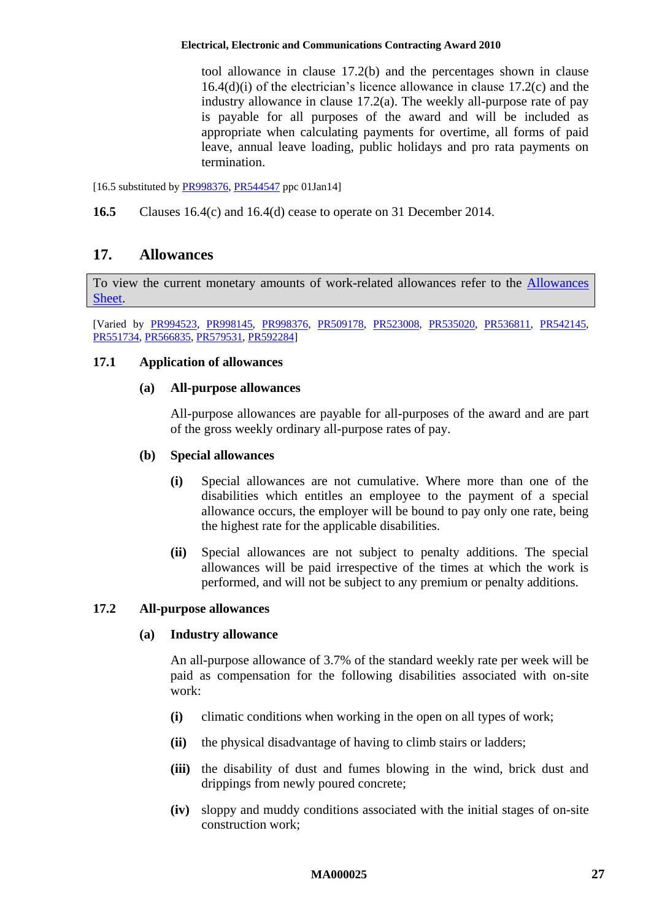tool allowance in clause [17.2\(b\)](#page-27-0) and the percentages shown in clause [16.4\(d\)\(i\)](#page-25-1) of the electrician's licence allowance in clause [17.2\(c\)](#page-27-1) and the industry allowance in clause [17.2\(a\).](#page-26-1) The weekly all-purpose rate of pay is payable for all purposes of the award and will be included as appropriate when calculating payments for overtime, all forms of paid leave, annual leave loading, public holidays and pro rata payments on termination.

[16.5 substituted b[y PR998376,](http://www.fwc.gov.au/awardsandorders/html/PR998376.htm) [PR544547](http://www.fwc.gov.au/awardsandorders/html/PR544547.htm) ppc 01Jan14]

<span id="page-26-0"></span>**16.5** Clauses [16.4\(c\)](#page-25-2) and [16.4\(d\)](#page-25-3) cease to operate on 31 December 2014.

# **17. Allowances**

To view the current monetary amounts of work-related allowances refer to the [Allowances](http://www.fwc.gov.au/documents/documents/modern_awards/allowances/MA000025-all.pdf)  [Sheet.](http://www.fwc.gov.au/documents/documents/modern_awards/allowances/MA000025-all.pdf)

[Varied by [PR994523,](http://www.fwc.gov.au/awardsandorders/html/PR994523.htm) [PR998145,](http://www.fwc.gov.au/awardsandorders/html/PR998145.htm) [PR998376,](http://www.fwc.gov.au/awardsandorders/html/PR998376.htm) [PR509178,](http://www.fwc.gov.au/awardsandorders/html/PR509178.htm) [PR523008,](http://www.fwc.gov.au/awardsandorders/html/PR523008.htm) [PR535020,](http://www.fwc.gov.au/awardsandorders/html/pr535020.htm) [PR536811,](http://www.fwc.gov.au/awardsandorders/html/pr536811.htm) [PR542145,](http://www.fwc.gov.au/awardsandorders/html/PR542145.htm) [PR551734,](http://www.fwc.gov.au/awardsandorders/html/PR551734.htm) [PR566835,](http://www.fwc.gov.au/awardsandorders/html/PR566835.htm) [PR579531,](http://www.fwc.gov.au/awardsandorders/html/PR579531.htm) [PR592284\]](http://www.fwc.gov.au/awardsandorders/html/pr592284.htm)

# **17.1 Application of allowances**

# **(a) All-purpose allowances**

All-purpose allowances are payable for all-purposes of the award and are part of the gross weekly ordinary all-purpose rates of pay.

# <span id="page-26-2"></span>**(b) Special allowances**

- **(i)** Special allowances are not cumulative. Where more than one of the disabilities which entitles an employee to the payment of a special allowance occurs, the employer will be bound to pay only one rate, being the highest rate for the applicable disabilities.
- **(ii)** Special allowances are not subject to penalty additions. The special allowances will be paid irrespective of the times at which the work is performed, and will not be subject to any premium or penalty additions.

# <span id="page-26-1"></span>**17.2 All-purpose allowances**

# **(a) Industry allowance**

An all-purpose allowance of 3.7% of the standard weekly rate per week will be paid as compensation for the following disabilities associated with on-site work:

- **(i)** climatic conditions when working in the open on all types of work;
- **(ii)** the physical disadvantage of having to climb stairs or ladders;
- **(iii)** the disability of dust and fumes blowing in the wind, brick dust and drippings from newly poured concrete;
- **(iv)** sloppy and muddy conditions associated with the initial stages of on-site construction work;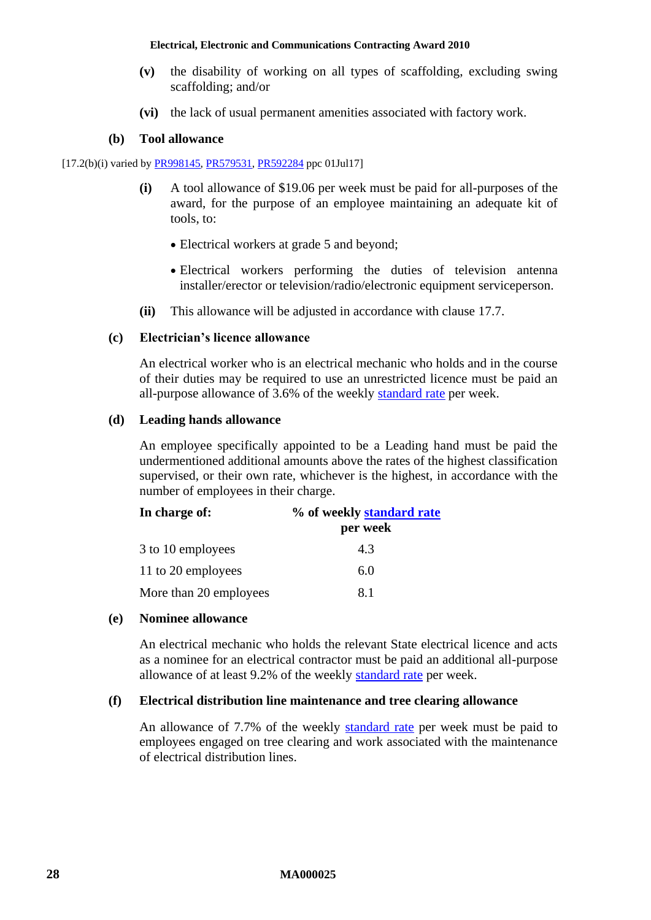- **(v)** the disability of working on all types of scaffolding, excluding swing scaffolding; and/or
- **(vi)** the lack of usual permanent amenities associated with factory work.

### **(b) Tool allowance**

<span id="page-27-0"></span>[17.2(b)(i) varied by [PR998145,](http://www.fwc.gov.au/awardsandorders/html/PR998145.htm) [PR579531,](http://www.fwc.gov.au/awardsandorders/html/PR579531.htm) [PR592284](http://www.fwc.gov.au/awardsandorders/html/pr592284.htm) ppc 01Jul17]

- **(i)** A tool allowance of \$19.06 per week must be paid for all-purposes of the award, for the purpose of an employee maintaining an adequate kit of tools, to:
	- Electrical workers at grade 5 and beyond;
	- Electrical workers performing the duties of television antenna installer/erector or television/radio/electronic equipment serviceperson.
- **(ii)** This allowance will be adjusted in accordance with clause [17.7.](#page-33-0)

### <span id="page-27-1"></span>**(c) Electrician's licence allowance**

An electrical worker who is an electrical mechanic who holds and in the course of their duties may be required to use an unrestricted licence must be paid an all-purpose allowance of 3.6% of the weekly [standard rate](#page-6-0) per week.

### <span id="page-27-2"></span>**(d) Leading hands allowance**

An employee specifically appointed to be a Leading hand must be paid the undermentioned additional amounts above the rates of the highest classification supervised, or their own rate, whichever is the highest, in accordance with the number of employees in their charge.

| In charge of:          | % of weekly standard rate |  |
|------------------------|---------------------------|--|
|                        | per week                  |  |
| 3 to 10 employees      | 4.3                       |  |
| 11 to 20 employees     | 6.0                       |  |
| More than 20 employees | 81                        |  |

# <span id="page-27-3"></span>**(e) Nominee allowance**

An electrical mechanic who holds the relevant State electrical licence and acts as a nominee for an electrical contractor must be paid an additional all-purpose allowance of at least 9.2% of the weekly [standard rate](#page-6-0) per week.

# <span id="page-27-4"></span>**(f) Electrical distribution line maintenance and tree clearing allowance**

An allowance of 7.7% of the weekly [standard rate](#page-6-0) per week must be paid to employees engaged on tree clearing and work associated with the maintenance of electrical distribution lines.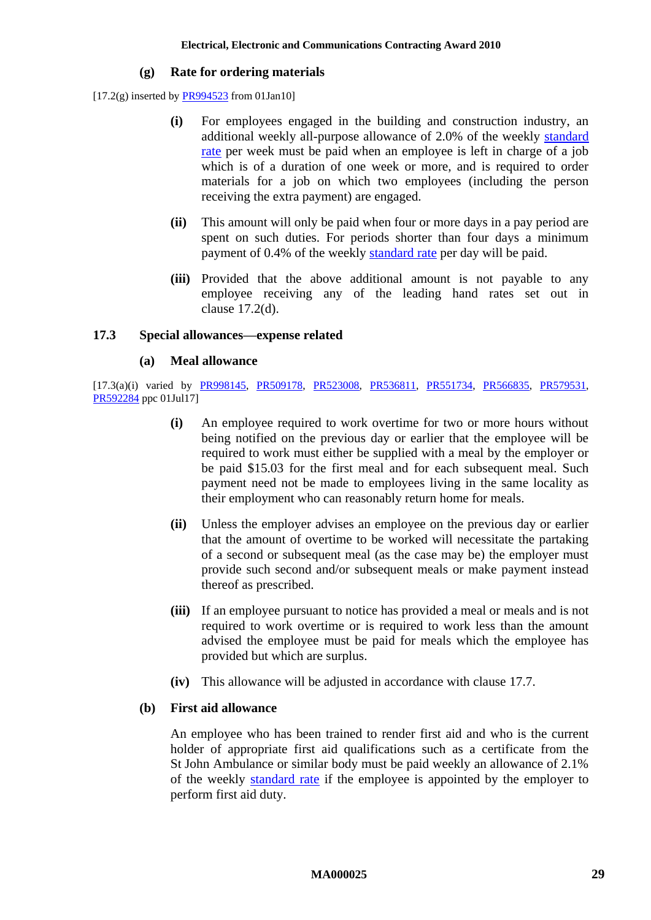#### **(g) Rate for ordering materials**

<span id="page-28-0"></span> $[17.2(g)$  inserted by  $\frac{P R994523}{P R994523}$  from 01Jan10]

- **(i)** For employees engaged in the building and construction industry, an additional weekly all-purpose allowance of 2.0% of the weekly standard [rate](#page-6-0) per week must be paid when an employee is left in charge of a job which is of a duration of one week or more, and is required to order materials for a job on which two employees (including the person receiving the extra payment) are engaged.
- **(ii)** This amount will only be paid when four or more days in a pay period are spent on such duties. For periods shorter than four days a minimum payment of 0.4% of the weekly [standard rate](#page-6-0) per day will be paid.
- **(iii)** Provided that the above additional amount is not payable to any employee receiving any of the leading hand rates set out in clause [17.2\(d\).](#page-27-2)

### <span id="page-28-1"></span>**17.3 Special allowances—expense related**

#### **(a) Meal allowance**

[17.3(a)(i) varied by [PR998145,](http://www.fwc.gov.au/awardsandorders/html/PR998145.htm) [PR509178,](http://www.fwc.gov.au/awardsandorders/html/PR509178.htm) [PR523008,](http://www.fwc.gov.au/awardsandorders/html/PR523008.htm) [PR536811,](http://www.fwc.gov.au/awardsandorders/html/pr536811.htm) [PR551734,](http://www.fwc.gov.au/awardsandorders/html/PR551734.htm) [PR566835,](http://www.fwc.gov.au/awardsandorders/html/PR566835.htm) [PR579531,](http://www.fwc.gov.au/awardsandorders/html/PR579531.htm) [PR592284](http://www.fwc.gov.au/awardsandorders/html/pr592284.htm) ppc 01Jul17]

- **(i)** An employee required to work overtime for two or more hours without being notified on the previous day or earlier that the employee will be required to work must either be supplied with a meal by the employer or be paid \$15.03 for the first meal and for each subsequent meal. Such payment need not be made to employees living in the same locality as their employment who can reasonably return home for meals.
- **(ii)** Unless the employer advises an employee on the previous day or earlier that the amount of overtime to be worked will necessitate the partaking of a second or subsequent meal (as the case may be) the employer must provide such second and/or subsequent meals or make payment instead thereof as prescribed.
- **(iii)** If an employee pursuant to notice has provided a meal or meals and is not required to work overtime or is required to work less than the amount advised the employee must be paid for meals which the employee has provided but which are surplus.
- **(iv)** This allowance will be adjusted in accordance with clause [17.7.](#page-33-0)

#### **(b) First aid allowance**

An employee who has been trained to render first aid and who is the current holder of appropriate first aid qualifications such as a certificate from the St John Ambulance or similar body must be paid weekly an allowance of 2.1% of the weekly [standard rate](#page-6-0) if the employee is appointed by the employer to perform first aid duty.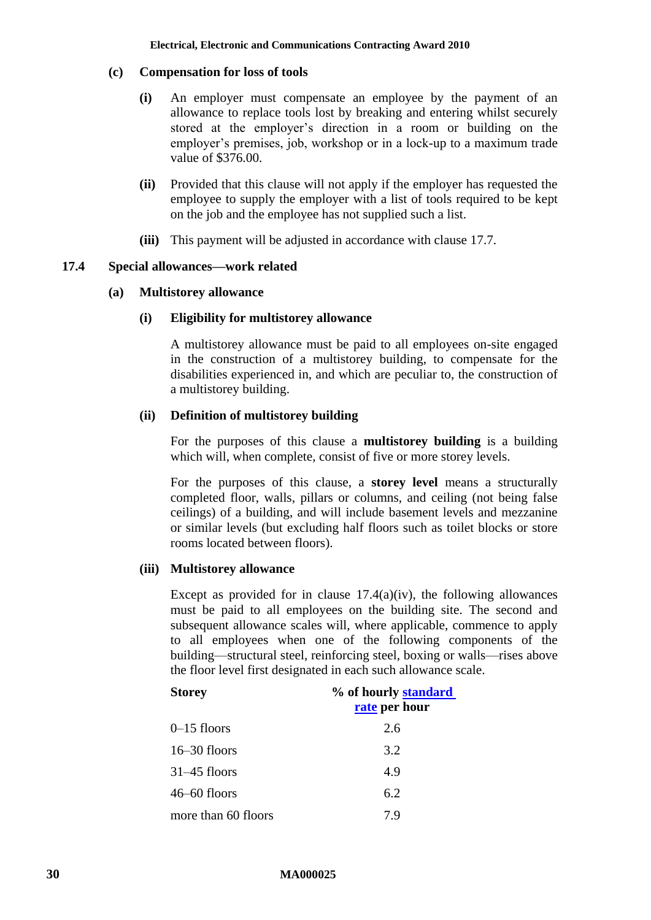### **(c) Compensation for loss of tools**

- **(i)** An employer must compensate an employee by the payment of an allowance to replace tools lost by breaking and entering whilst securely stored at the employer's direction in a room or building on the employer's premises, job, workshop or in a lock-up to a maximum trade value of \$376.00.
- **(ii)** Provided that this clause will not apply if the employer has requested the employee to supply the employer with a list of tools required to be kept on the job and the employee has not supplied such a list.
- **(iii)** This payment will be adjusted in accordance with clause [17.7.](#page-33-0)

### <span id="page-29-2"></span><span id="page-29-0"></span>**17.4 Special allowances—work related**

### **(a) Multistorey allowance**

### **(i) Eligibility for multistorey allowance**

A multistorey allowance must be paid to all employees on-site engaged in the construction of a multistorey building, to compensate for the disabilities experienced in, and which are peculiar to, the construction of a multistorey building.

# <span id="page-29-1"></span>**(ii) Definition of multistorey building**

For the purposes of this clause a **multistorey building** is a building which will, when complete, consist of five or more storey levels.

For the purposes of this clause, a **storey level** means a structurally completed floor, walls, pillars or columns, and ceiling (not being false ceilings) of a building, and will include basement levels and mezzanine or similar levels (but excluding half floors such as toilet blocks or store rooms located between floors).

#### **(iii) Multistorey allowance**

Except as provided for in clause  $17.4(a)(iv)$ , the following allowances must be paid to all employees on the building site. The second and subsequent allowance scales will, where applicable, commence to apply to all employees when one of the following components of the building—structural steel, reinforcing steel, boxing or walls—rises above the floor level first designated in each such allowance scale.

| <b>Storey</b>       | % of hourly standard |
|---------------------|----------------------|
|                     | rate per hour        |
| $0-15$ floors       | 2.6                  |
| $16-30$ floors      | 3.2                  |
| $31-45$ floors      | 4.9                  |
| $46 - 60$ floors    | 6.2                  |
| more than 60 floors | 7.9                  |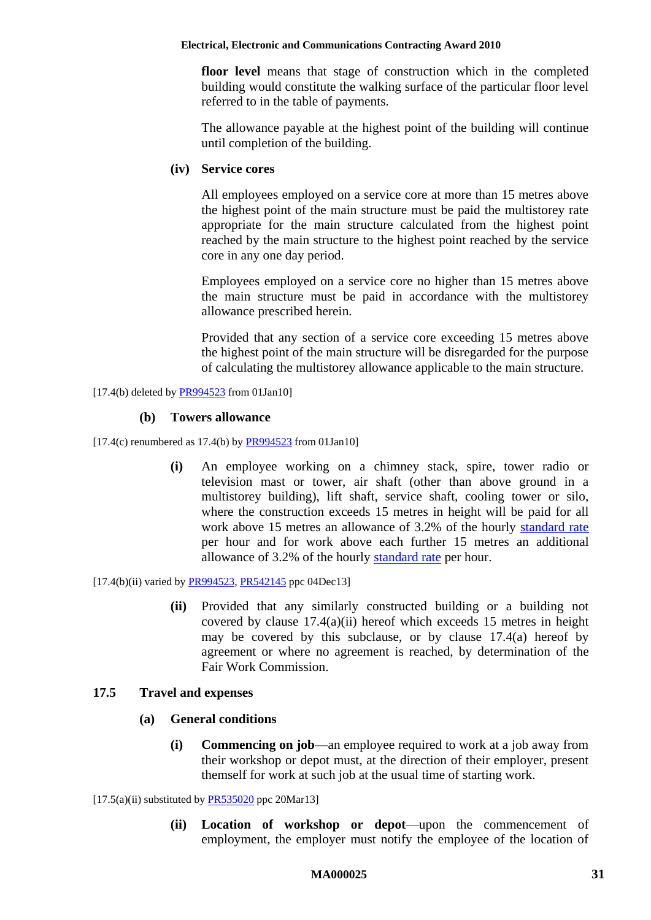**floor level** means that stage of construction which in the completed building would constitute the walking surface of the particular floor level referred to in the table of payments.

The allowance payable at the highest point of the building will continue until completion of the building.

### <span id="page-30-1"></span>**(iv) Service cores**

All employees employed on a service core at more than 15 metres above the highest point of the main structure must be paid the multistorey rate appropriate for the main structure calculated from the highest point reached by the main structure to the highest point reached by the service core in any one day period.

Employees employed on a service core no higher than 15 metres above the main structure must be paid in accordance with the multistorey allowance prescribed herein.

Provided that any section of a service core exceeding 15 metres above the highest point of the main structure will be disregarded for the purpose of calculating the multistorey allowance applicable to the main structure.

 $[17.4(b)$  deleted by [PR994523](http://www.fwc.gov.au/awardsandorders/html/PR994523.htm) from 01Jan10]

# **(b) Towers allowance**

 $[17.4(c)$  renumbered as 17.4(b) by  $\frac{PR994523}{PR994523}$  from 01Jan10]

**(i)** An employee working on a chimney stack, spire, tower radio or television mast or tower, air shaft (other than above ground in a multistorey building), lift shaft, service shaft, cooling tower or silo, where the construction exceeds 15 metres in height will be paid for all work above 15 metres an allowance of 3.2% of the hourly [standard rate](#page-6-0) per hour and for work above each further 15 metres an additional allowance of 3.2% of the hourly [standard rate](#page-6-0) per hour.

 $[17.4(b)(ii)$  varied by [PR994523,](http://www.fwc.gov.au/awardsandorders/html/PR994523.htm) [PR542145](http://www.fwc.gov.au/awardsandorders/html/PR542145.htm) ppc 04Dec13]

**(ii)** Provided that any similarly constructed building or a building not covered by clause  $17.4(a)(ii)$  hereof which exceeds 15 metres in height may be covered by this subclause, or by clause [17.4\(a\)](#page-29-2) hereof by agreement or where no agreement is reached, by determination of the Fair Work Commission.

# <span id="page-30-0"></span>**17.5 Travel and expenses**

# **(a) General conditions**

**(i) Commencing on job**—an employee required to work at a job away from their workshop or depot must, at the direction of their employer, present themself for work at such job at the usual time of starting work.

 $[17.5(a)(ii)$  substituted by [PR535020](http://www.fwc.gov.au/awardsandorders/html/pr535020.htm) ppc 20Mar13]

**(ii) Location of workshop or depot**—upon the commencement of employment, the employer must notify the employee of the location of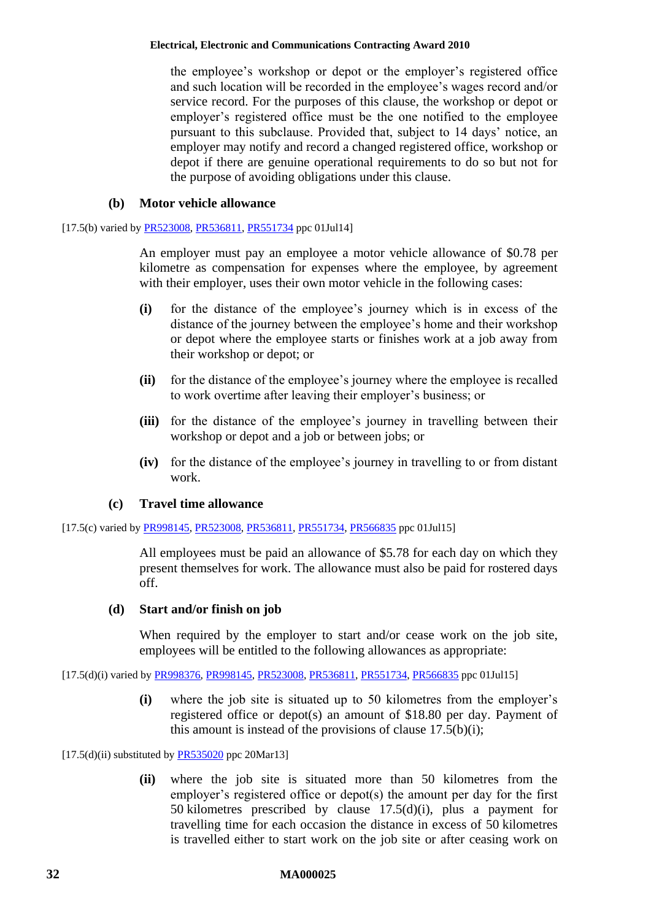the employee's workshop or depot or the employer's registered office and such location will be recorded in the employee's wages record and/or service record. For the purposes of this clause, the workshop or depot or employer's registered office must be the one notified to the employee pursuant to this subclause. Provided that, subject to 14 days' notice, an employer may notify and record a changed registered office, workshop or depot if there are genuine operational requirements to do so but not for the purpose of avoiding obligations under this clause.

### **(b) Motor vehicle allowance**

<span id="page-31-2"></span>[17.5(b) varied b[y PR523008,](http://www.fwc.gov.au/awardsandorders/html/PR523008.htm) [PR536811,](http://www.fwc.gov.au/awardsandorders/html/pr536811.htm) [PR551734](http://www.fwc.gov.au/awardsandorders/html/PR551734.htm) ppc 01Jul14]

An employer must pay an employee a motor vehicle allowance of \$0.78 per kilometre as compensation for expenses where the employee, by agreement with their employer, uses their own motor vehicle in the following cases:

- **(i)** for the distance of the employee's journey which is in excess of the distance of the journey between the employee's home and their workshop or depot where the employee starts or finishes work at a job away from their workshop or depot; or
- **(ii)** for the distance of the employee's journey where the employee is recalled to work overtime after leaving their employer's business; or
- **(iii)** for the distance of the employee's journey in travelling between their workshop or depot and a job or between jobs; or
- **(iv)** for the distance of the employee's journey in travelling to or from distant work.

# **(c) Travel time allowance**

<span id="page-31-1"></span>[17.5(c) varied by [PR998145,](http://www.fwc.gov.au/awardsandorders/html/PR998145.htm) [PR523008,](http://www.fwc.gov.au/awardsandorders/html/PR523008.htm) [PR536811,](http://www.fwc.gov.au/awardsandorders/html/pr536811.htm) [PR551734,](http://www.fwc.gov.au/awardsandorders/html/PR551734.htm) [PR566835](http://www.fwc.gov.au/awardsandorders/html/PR566835.htm) ppc 01Jul15]

All employees must be paid an allowance of \$5.78 for each day on which they present themselves for work. The allowance must also be paid for rostered days off.

# <span id="page-31-0"></span>**(d) Start and/or finish on job**

When required by the employer to start and/or cease work on the job site, employees will be entitled to the following allowances as appropriate:

<span id="page-31-3"></span>[17.5(d)(i) varied by [PR998376,](http://www.fwc.gov.au/awardsandorders/html/PR998376.htm) [PR998145,](http://www.fwc.gov.au/awardsandorders/html/PR998145.htm) [PR523008,](http://www.fwc.gov.au/awardsandorders/html/PR523008.htm) [PR536811,](http://www.fwc.gov.au/awardsandorders/html/pr536811.htm) [PR551734,](http://www.fwc.gov.au/awardsandorders/html/PR551734.htm) [PR566835](http://www.fwc.gov.au/awardsandorders/html/PR566835.htm) ppc 01Jul15]

**(i)** where the job site is situated up to 50 kilometres from the employer's registered office or depot(s) an amount of \$18.80 per day. Payment of this amount is instead of the provisions of clause  $17.5(b)(i)$ ;

 $[17.5(d)(ii)$  substituted by [PR535020](http://www.fwc.gov.au/awardsandorders/html/pr535020.htm) ppc 20Mar13]

**(ii)** where the job site is situated more than 50 kilometres from the employer's registered office or depot(s) the amount per day for the first 50 kilometres prescribed by clause [17.5\(d\)\(i\),](#page-31-3) plus a payment for travelling time for each occasion the distance in excess of 50 kilometres is travelled either to start work on the job site or after ceasing work on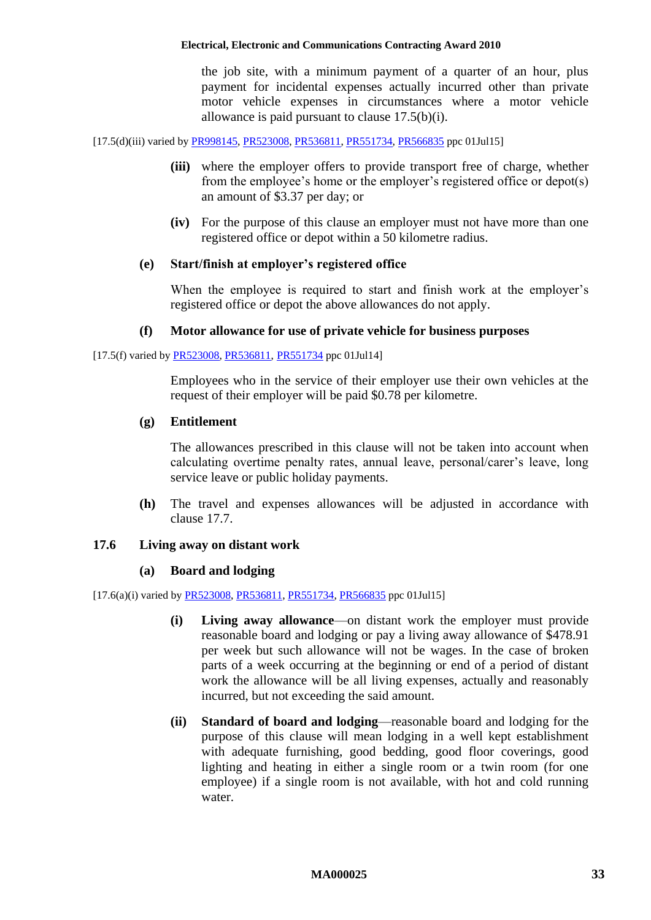the job site, with a minimum payment of a quarter of an hour, plus payment for incidental expenses actually incurred other than private motor vehicle expenses in circumstances where a motor vehicle allowance is paid pursuant to clause [17.5\(b\)\(i\).](#page-31-2)

[17.5(d)(iii) varied by [PR998145,](http://www.fwc.gov.au/awardsandorders/html/PR998145.htm) [PR523008,](http://www.fwc.gov.au/awardsandorders/html/PR523008.htm) [PR536811,](http://www.fwc.gov.au/awardsandorders/html/pr536811.htm) [PR551734,](http://www.fwc.gov.au/awardsandorders/html/PR551734.htm) [PR566835](http://www.fwc.gov.au/awardsandorders/html/PR566835.htm) ppc 01Jul15]

- **(iii)** where the employer offers to provide transport free of charge, whether from the employee's home or the employer's registered office or depot(s) an amount of \$3.37 per day; or
- **(iv)** For the purpose of this clause an employer must not have more than one registered office or depot within a 50 kilometre radius.

#### **(e) Start/finish at employer's registered office**

When the employee is required to start and finish work at the employer's registered office or depot the above allowances do not apply.

### **(f) Motor allowance for use of private vehicle for business purposes**

[17.5(f) varied by [PR523008,](http://www.fwc.gov.au/awardsandorders/html/PR523008.htm) [PR536811,](http://www.fwc.gov.au/awardsandorders/html/pr536811.htm) [PR551734](http://www.fwc.gov.au/awardsandorders/html/PR551734.htm) ppc 01Jul14]

Employees who in the service of their employer use their own vehicles at the request of their employer will be paid \$0.78 per kilometre.

#### **(g) Entitlement**

The allowances prescribed in this clause will not be taken into account when calculating overtime penalty rates, annual leave, personal/carer's leave, long service leave or public holiday payments.

**(h)** The travel and expenses allowances will be adjusted in accordance with clause [17.7.](#page-33-0)

# <span id="page-32-1"></span><span id="page-32-0"></span>**17.6 Living away on distant work**

#### **(a) Board and lodging**

[17.6(a)(i) varied by [PR523008,](http://www.fwc.gov.au/awardsandorders/html/PR523008.htm) [PR536811,](http://www.fwc.gov.au/awardsandorders/html/pr536811.htm) [PR551734,](http://www.fwc.gov.au/awardsandorders/html/PR551734.htm) [PR566835](http://www.fwc.gov.au/awardsandorders/html/PR566835.htm) ppc 01Jul15]

- **(i) Living away allowance**—on distant work the employer must provide reasonable board and lodging or pay a living away allowance of \$478.91 per week but such allowance will not be wages. In the case of broken parts of a week occurring at the beginning or end of a period of distant work the allowance will be all living expenses, actually and reasonably incurred, but not exceeding the said amount.
- **(ii) Standard of board and lodging**—reasonable board and lodging for the purpose of this clause will mean lodging in a well kept establishment with adequate furnishing, good bedding, good floor coverings, good lighting and heating in either a single room or a twin room (for one employee) if a single room is not available, with hot and cold running water.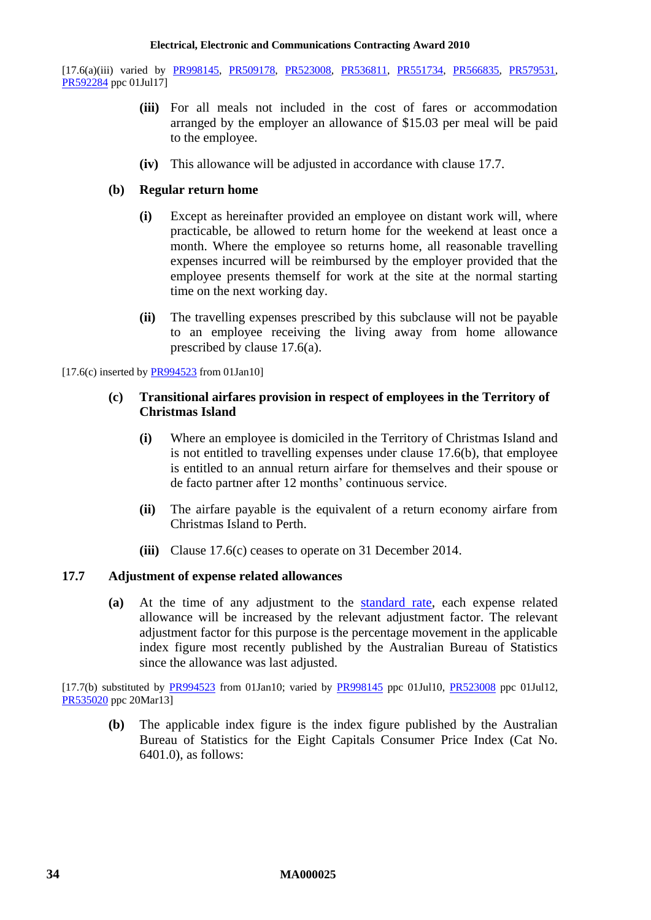[17.6(a)(iii) varied by [PR998145,](http://www.fwc.gov.au/awardsandorders/html/PR998145.htm) [PR509178,](http://www.fwc.gov.au/awardsandorders/html/PR509178.htm) [PR523008,](http://www.fwc.gov.au/awardsandorders/html/PR523008.htm) [PR536811,](http://www.fwc.gov.au/awardsandorders/html/pr536811.htm) [PR551734,](http://www.fwc.gov.au/awardsandorders/html/PR551734.htm) [PR566835,](http://www.fwc.gov.au/awardsandorders/html/PR566835.htm) [PR579531,](http://www.fwc.gov.au/awardsandorders/html/PR579531.htm) [PR592284](http://www.fwc.gov.au/awardsandorders/html/pr592284.htm) ppc 01Jul17]

- **(iii)** For all meals not included in the cost of fares or accommodation arranged by the employer an allowance of \$15.03 per meal will be paid to the employee.
- **(iv)** This allowance will be adjusted in accordance with clause [17.7.](#page-33-0)

# <span id="page-33-1"></span>**(b) Regular return home**

- **(i)** Except as hereinafter provided an employee on distant work will, where practicable, be allowed to return home for the weekend at least once a month. Where the employee so returns home, all reasonable travelling expenses incurred will be reimbursed by the employer provided that the employee presents themself for work at the site at the normal starting time on the next working day.
- **(ii)** The travelling expenses prescribed by this subclause will not be payable to an employee receiving the living away from home allowance prescribed by clause [17.6\(a\).](#page-32-1)

<span id="page-33-2"></span> $[17.6(c)$  inserted by  $\frac{PR994523}{PR994523}$  from 01Jan10]

# **(c) Transitional airfares provision in respect of employees in the Territory of Christmas Island**

- **(i)** Where an employee is domiciled in the Territory of Christmas Island and is not entitled to travelling expenses under clause [17.6\(b\),](#page-33-1) that employee is entitled to an annual return airfare for themselves and their spouse or de facto partner after 12 months' continuous service.
- **(ii)** The airfare payable is the equivalent of a return economy airfare from Christmas Island to Perth.
- **(iii)** Clause [17.6\(c\)](#page-33-2) ceases to operate on 31 December 2014.

# <span id="page-33-0"></span>**17.7 Adjustment of expense related allowances**

**(a)** At the time of any adjustment to the [standard rate,](#page-6-0) each expense related allowance will be increased by the relevant adjustment factor. The relevant adjustment factor for this purpose is the percentage movement in the applicable index figure most recently published by the Australian Bureau of Statistics since the allowance was last adjusted.

[17.7(b) substituted by [PR994523](http://www.fwc.gov.au/awardsandorders/html/PR994523.htm) from 01Jan10; varied by [PR998145](http://www.fwc.gov.au/awardsandorders/html/PR998145.htm) ppc 01Jul10, [PR523008](http://www.fwc.gov.au/awardsandorders/html/PR523008.htm) ppc 01Jul12, [PR535020](http://www.fwc.gov.au/awardsandorders/html/pr535020.htm) ppc 20Mar13]

**(b)** The applicable index figure is the index figure published by the Australian Bureau of Statistics for the Eight Capitals Consumer Price Index (Cat No. 6401.0), as follows: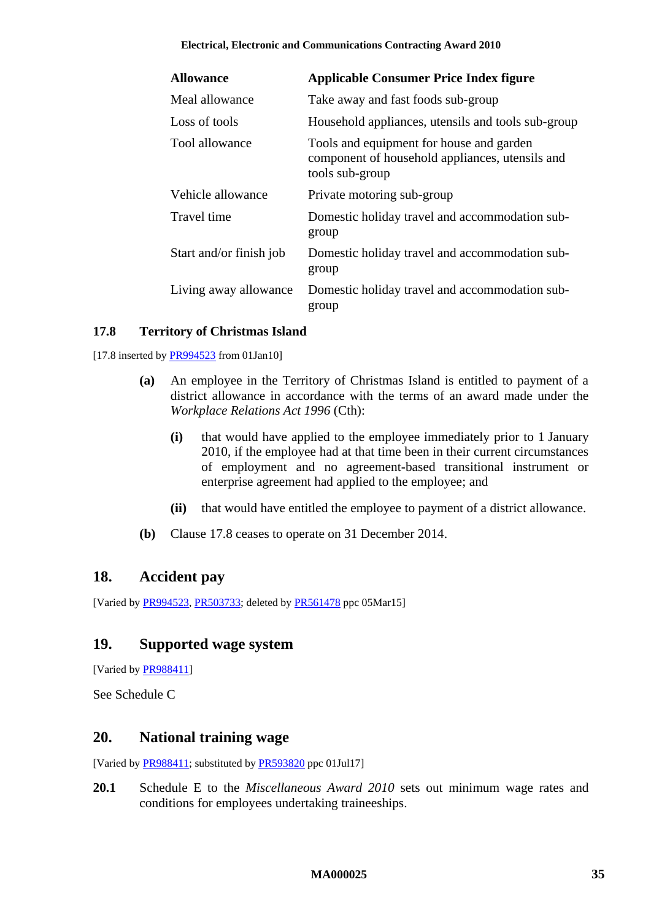| <b>Allowance</b>        | <b>Applicable Consumer Price Index figure</b>                                                                  |
|-------------------------|----------------------------------------------------------------------------------------------------------------|
| Meal allowance          | Take away and fast foods sub-group                                                                             |
| Loss of tools           | Household appliances, utensils and tools sub-group                                                             |
| Tool allowance          | Tools and equipment for house and garden<br>component of household appliances, utensils and<br>tools sub-group |
| Vehicle allowance       | Private motoring sub-group                                                                                     |
| Travel time             | Domestic holiday travel and accommodation sub-<br>group                                                        |
| Start and/or finish job | Domestic holiday travel and accommodation sub-<br>group                                                        |
| Living away allowance   | Domestic holiday travel and accommodation sub-<br>group                                                        |

# <span id="page-34-3"></span>**17.8 Territory of Christmas Island**

[17.8 inserted by [PR994523](http://www.fwc.gov.au/awardsandorders/html/PR994523.htm) from 01Jan10]

- **(a)** An employee in the Territory of Christmas Island is entitled to payment of a district allowance in accordance with the terms of an award made under the *Workplace Relations Act 1996* (Cth):
	- **(i)** that would have applied to the employee immediately prior to 1 January 2010, if the employee had at that time been in their current circumstances of employment and no agreement-based transitional instrument or enterprise agreement had applied to the employee; and
	- **(ii)** that would have entitled the employee to payment of a district allowance.
- **(b)** Clause [17.8](#page-34-3) ceases to operate on 31 December 2014.

# <span id="page-34-0"></span>**18. Accident pay**

<span id="page-34-1"></span>[Varied b[y PR994523,](http://www.fwc.gov.au/awardsandorders/html/PR994523.htm) [PR503733;](http://www.fwc.gov.au/awardsandorders/html/PR503733.htm) deleted by [PR561478](http://www.fwc.gov.au/awardsandorders/html/PR561478.htm) ppc 05Mar15]

# **19. Supported wage system**

[Varied b[y PR988411\]](http://www.fwc.gov.au/awardsandorders/html/PR988411.htm)

<span id="page-34-2"></span>See [Schedule C](#page-69-0)

# **20. National training wage**

[Varied b[y PR988411;](http://www.fwc.gov.au/awardsandorders/html/PR988411.htm) substituted b[y PR593820](http://www.fwc.gov.au/awardsandorders/html/pr593820.htm) ppc 01Jul17]

**20.1** Schedule E to the *Miscellaneous Award 2010* sets out minimum wage rates and conditions for employees undertaking traineeships.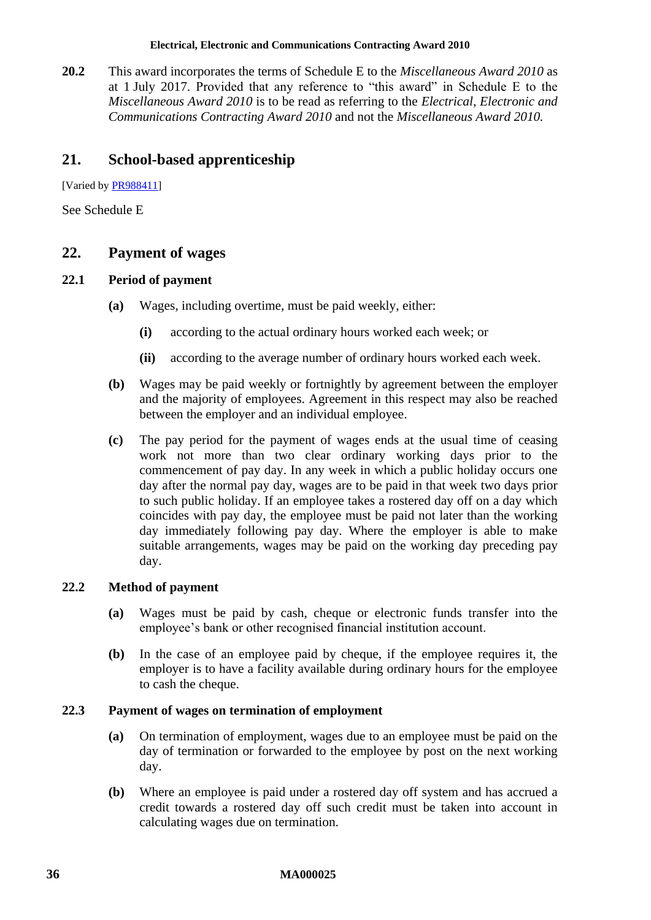**20.2** This award incorporates the terms of Schedule E to the *Miscellaneous Award 2010* as at 1 July 2017. Provided that any reference to "this award" in Schedule E to the *Miscellaneous Award 2010* is to be read as referring to the *Electrical, Electronic and Communications Contracting Award 2010* and not the *Miscellaneous Award 2010.*

# <span id="page-35-0"></span>**21. School-based apprenticeship**

[Varied by **PR988411**]

<span id="page-35-1"></span>See [Schedule E](#page-73-0)

# **22. Payment of wages**

# **22.1 Period of payment**

- **(a)** Wages, including overtime, must be paid weekly, either:
	- **(i)** according to the actual ordinary hours worked each week; or
	- **(ii)** according to the average number of ordinary hours worked each week.
- **(b)** Wages may be paid weekly or fortnightly by agreement between the employer and the majority of employees. Agreement in this respect may also be reached between the employer and an individual employee.
- **(c)** The pay period for the payment of wages ends at the usual time of ceasing work not more than two clear ordinary working days prior to the commencement of pay day. In any week in which a public holiday occurs one day after the normal pay day, wages are to be paid in that week two days prior to such public holiday. If an employee takes a rostered day off on a day which coincides with pay day, the employee must be paid not later than the working day immediately following pay day. Where the employer is able to make suitable arrangements, wages may be paid on the working day preceding pay day.

# **22.2 Method of payment**

- **(a)** Wages must be paid by cash, cheque or electronic funds transfer into the employee's bank or other recognised financial institution account.
- **(b)** In the case of an employee paid by cheque, if the employee requires it, the employer is to have a facility available during ordinary hours for the employee to cash the cheque.

# **22.3 Payment of wages on termination of employment**

- **(a)** On termination of employment, wages due to an employee must be paid on the day of termination or forwarded to the employee by post on the next working day.
- **(b)** Where an employee is paid under a rostered day off system and has accrued a credit towards a rostered day off such credit must be taken into account in calculating wages due on termination.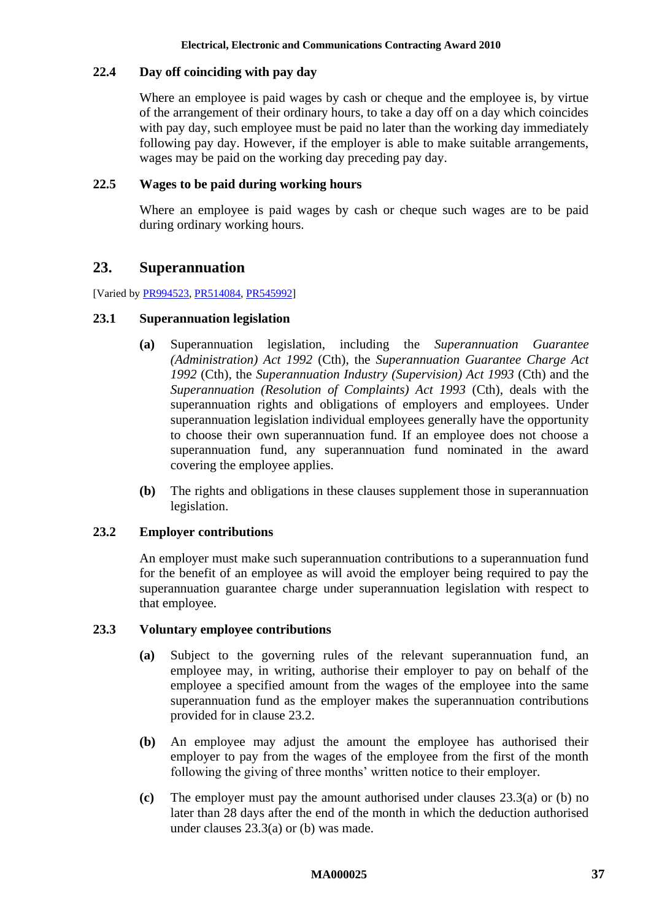# **22.4 Day off coinciding with pay day**

Where an employee is paid wages by cash or cheque and the employee is, by virtue of the arrangement of their ordinary hours, to take a day off on a day which coincides with pay day, such employee must be paid no later than the working day immediately following pay day. However, if the employer is able to make suitable arrangements, wages may be paid on the working day preceding pay day.

# **22.5 Wages to be paid during working hours**

Where an employee is paid wages by cash or cheque such wages are to be paid during ordinary working hours.

# **23. Superannuation**

[Varied b[y PR994523,](http://www.fwc.gov.au/awardsandorders/html/PR994523.htm) [PR514084,](http://www.fwc.gov.au/awardsandorders/html/PR514084.htm) [PR545992\]](http://www.fwc.gov.au/awardsandorders/html/PR545992.htm)

# **23.1 Superannuation legislation**

- **(a)** Superannuation legislation, including the *Superannuation Guarantee (Administration) Act 1992* (Cth), the *Superannuation Guarantee Charge Act 1992* (Cth), the *Superannuation Industry (Supervision) Act 1993* (Cth) and the *Superannuation (Resolution of Complaints) Act 1993* (Cth), deals with the superannuation rights and obligations of employers and employees. Under superannuation legislation individual employees generally have the opportunity to choose their own superannuation fund. If an employee does not choose a superannuation fund, any superannuation fund nominated in the award covering the employee applies.
- **(b)** The rights and obligations in these clauses supplement those in superannuation legislation.

# <span id="page-36-0"></span>**23.2 Employer contributions**

An employer must make such superannuation contributions to a superannuation fund for the benefit of an employee as will avoid the employer being required to pay the superannuation guarantee charge under superannuation legislation with respect to that employee.

## <span id="page-36-1"></span>**23.3 Voluntary employee contributions**

- **(a)** Subject to the governing rules of the relevant superannuation fund, an employee may, in writing, authorise their employer to pay on behalf of the employee a specified amount from the wages of the employee into the same superannuation fund as the employer makes the superannuation contributions provided for in clause [23.2.](#page-36-0)
- <span id="page-36-2"></span>**(b)** An employee may adjust the amount the employee has authorised their employer to pay from the wages of the employee from the first of the month following the giving of three months' written notice to their employer.
- **(c)** The employer must pay the amount authorised under clauses [23.3\(a\)](#page-36-1) or [\(b\)](#page-36-2) no later than 28 days after the end of the month in which the deduction authorised under clauses [23.3\(a\)](#page-36-1) or [\(b\)](#page-36-2) was made.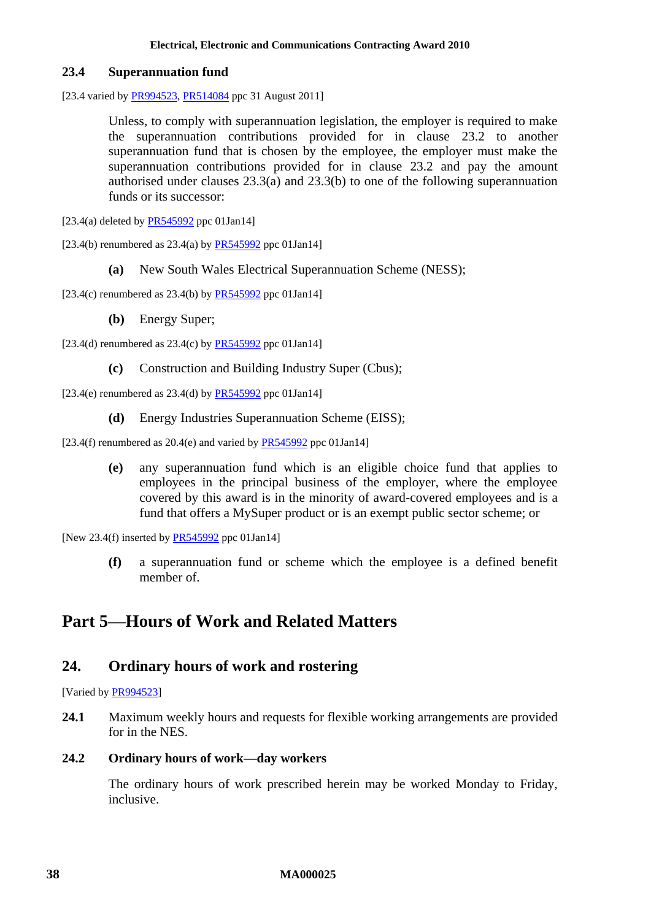## **23.4 Superannuation fund**

[23.4 varied by [PR994523,](http://www.fwc.gov.au/awardsandorders/html/PR994523.htm) [PR514084](http://www.fwc.gov.au/awardsandorders/html/PR514084.htm) ppc 31 August 2011]

Unless, to comply with superannuation legislation, the employer is required to make the superannuation contributions provided for in clause [23.2](#page-36-0) to another superannuation fund that is chosen by the employee, the employer must make the superannuation contributions provided for in clause [23.2](#page-36-0) and pay the amount authorised under clauses [23.3\(a\)](#page-36-1) and [23.3\(b\)](#page-36-2) to one of the following superannuation funds or its successor:

- [23.4(a) deleted by  $PR545992$  ppc 01Jan14]
- [23.4(b) renumbered as  $23.4(a)$  by [PR545992](http://www.fwc.gov.au/awardsandorders/html/PR545992.htm) ppc 01Jan14]
	- **(a)** New South Wales Electrical Superannuation Scheme (NESS);

[23.4(c) renumbered as  $23.4(b)$  by  $PR545992$  ppc 01Jan14]

**(b)** Energy Super;

[23.4(d) renumbered as  $23.4(c)$  by [PR545992](http://www.fwc.gov.au/awardsandorders/html/PR545992.htm) ppc 01Jan14]

**(c)** Construction and Building Industry Super (Cbus);

[23.4(e) renumbered as  $23.4$ (d) by  $PR545992$  ppc  $01Jan14$ ]

**(d)** Energy Industries Superannuation Scheme (EISS);

[23.4(f) renumbered as  $20.4(e)$  and varied by  $PR545992$  ppc 01Jan14]

**(e)** any superannuation fund which is an eligible choice fund that applies to employees in the principal business of the employer, where the employee covered by this award is in the minority of award-covered employees and is a fund that offers a MySuper product or is an exempt public sector scheme; or

[New 23.4(f) inserted by [PR545992](http://www.fwc.gov.au/awardsandorders/html/PR545992.htm) ppc 01Jan14]

**(f)** a superannuation fund or scheme which the employee is a defined benefit member of.

# **Part 5—Hours of Work and Related Matters**

# **24. Ordinary hours of work and rostering**

[Varied by **PR994523**]

**24.1** Maximum weekly hours and requests for flexible working arrangements are provided for in the NES.

# **24.2 Ordinary hours of work—day workers**

The ordinary hours of work prescribed herein may be worked Monday to Friday, inclusive.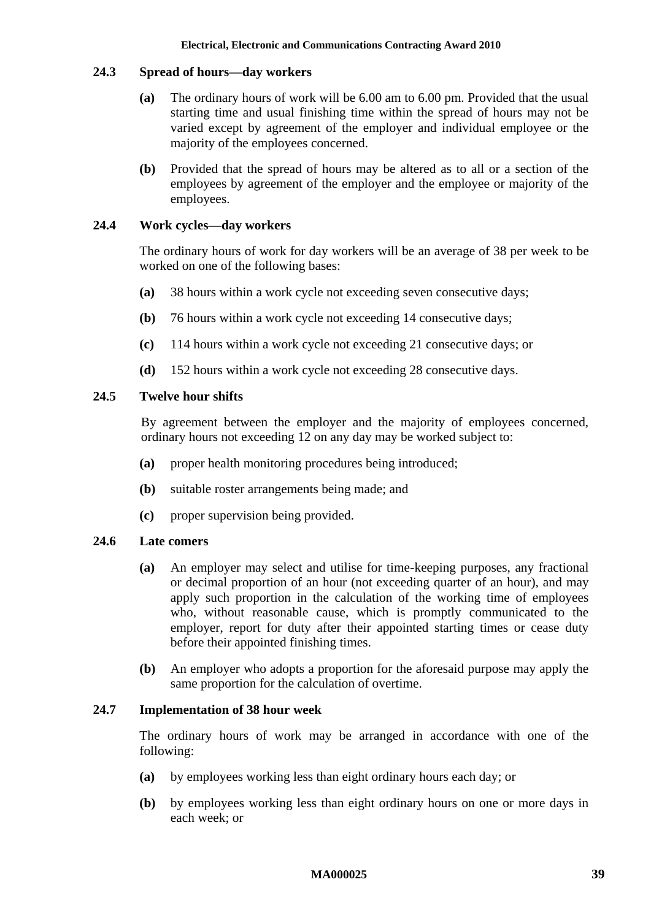# **24.3 Spread of hours—day workers**

- **(a)** The ordinary hours of work will be 6.00 am to 6.00 pm. Provided that the usual starting time and usual finishing time within the spread of hours may not be varied except by agreement of the employer and individual employee or the majority of the employees concerned.
- **(b)** Provided that the spread of hours may be altered as to all or a section of the employees by agreement of the employer and the employee or majority of the employees.

# **24.4 Work cycles—day workers**

The ordinary hours of work for day workers will be an average of 38 per week to be worked on one of the following bases:

- **(a)** 38 hours within a work cycle not exceeding seven consecutive days;
- **(b)** 76 hours within a work cycle not exceeding 14 consecutive days;
- **(c)** 114 hours within a work cycle not exceeding 21 consecutive days; or
- **(d)** 152 hours within a work cycle not exceeding 28 consecutive days.

# **24.5 Twelve hour shifts**

By agreement between the employer and the majority of employees concerned, ordinary hours not exceeding 12 on any day may be worked subject to:

- **(a)** proper health monitoring procedures being introduced;
- **(b)** suitable roster arrangements being made; and
- **(c)** proper supervision being provided.

## **24.6 Late comers**

- **(a)** An employer may select and utilise for time-keeping purposes, any fractional or decimal proportion of an hour (not exceeding quarter of an hour), and may apply such proportion in the calculation of the working time of employees who, without reasonable cause, which is promptly communicated to the employer, report for duty after their appointed starting times or cease duty before their appointed finishing times.
- **(b)** An employer who adopts a proportion for the aforesaid purpose may apply the same proportion for the calculation of overtime.

## <span id="page-38-0"></span>**24.7 Implementation of 38 hour week**

The ordinary hours of work may be arranged in accordance with one of the following:

- **(a)** by employees working less than eight ordinary hours each day; or
- **(b)** by employees working less than eight ordinary hours on one or more days in each week; or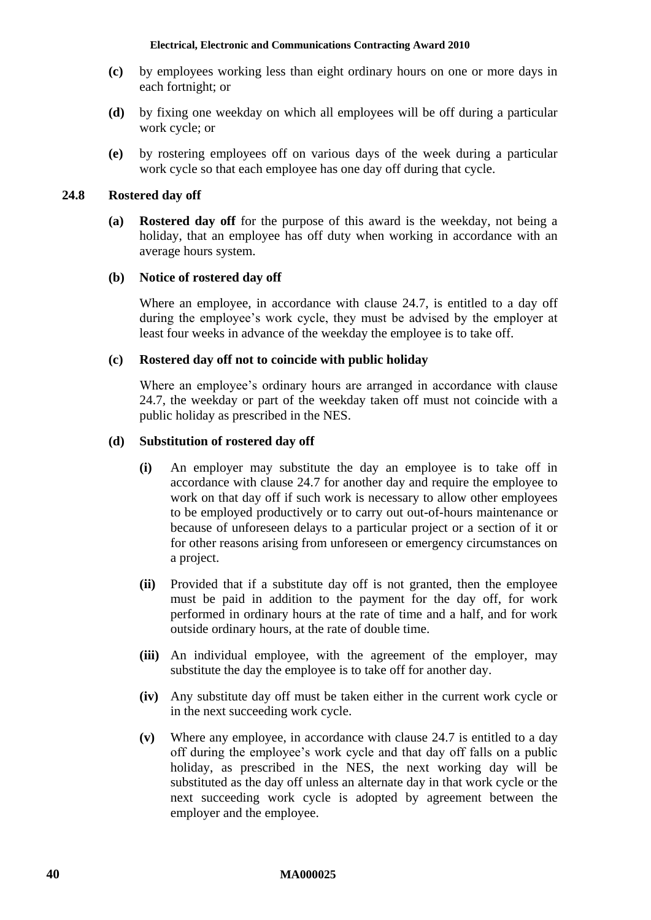- **(c)** by employees working less than eight ordinary hours on one or more days in each fortnight; or
- **(d)** by fixing one weekday on which all employees will be off during a particular work cycle; or
- **(e)** by rostering employees off on various days of the week during a particular work cycle so that each employee has one day off during that cycle.

# **24.8 Rostered day off**

**(a) Rostered day off** for the purpose of this award is the weekday, not being a holiday, that an employee has off duty when working in accordance with an average hours system.

# **(b) Notice of rostered day off**

Where an employee, in accordance with clause [24.7,](#page-38-0) is entitled to a day off during the employee's work cycle, they must be advised by the employer at least four weeks in advance of the weekday the employee is to take off.

# **(c) Rostered day off not to coincide with public holiday**

Where an employee's ordinary hours are arranged in accordance with clause [24.7,](#page-38-0) the weekday or part of the weekday taken off must not coincide with a public holiday as prescribed in the NES.

# **(d) Substitution of rostered day off**

- **(i)** An employer may substitute the day an employee is to take off in accordance with clause [24.7](#page-38-0) for another day and require the employee to work on that day off if such work is necessary to allow other employees to be employed productively or to carry out out-of-hours maintenance or because of unforeseen delays to a particular project or a section of it or for other reasons arising from unforeseen or emergency circumstances on a project.
- **(ii)** Provided that if a substitute day off is not granted, then the employee must be paid in addition to the payment for the day off, for work performed in ordinary hours at the rate of time and a half, and for work outside ordinary hours, at the rate of double time.
- **(iii)** An individual employee, with the agreement of the employer, may substitute the day the employee is to take off for another day.
- **(iv)** Any substitute day off must be taken either in the current work cycle or in the next succeeding work cycle.
- **(v)** Where any employee, in accordance with clause [24.7](#page-38-0) is entitled to a day off during the employee's work cycle and that day off falls on a public holiday, as prescribed in the NES, the next working day will be substituted as the day off unless an alternate day in that work cycle or the next succeeding work cycle is adopted by agreement between the employer and the employee.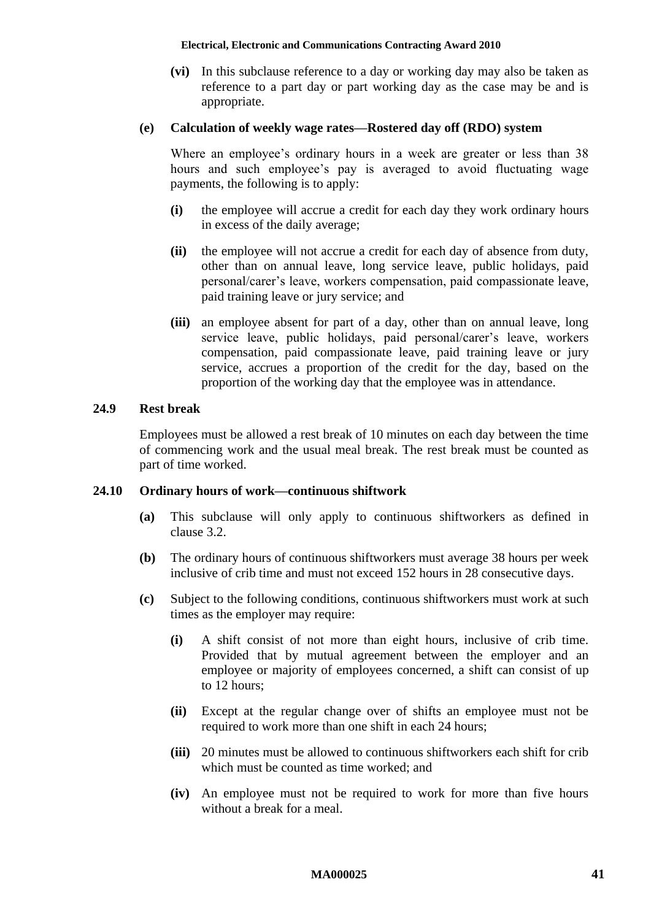**(vi)** In this subclause reference to a day or working day may also be taken as reference to a part day or part working day as the case may be and is appropriate.

### **(e) Calculation of weekly wage rates—Rostered day off (RDO) system**

Where an employee's ordinary hours in a week are greater or less than 38 hours and such employee's pay is averaged to avoid fluctuating wage payments, the following is to apply:

- **(i)** the employee will accrue a credit for each day they work ordinary hours in excess of the daily average;
- **(ii)** the employee will not accrue a credit for each day of absence from duty, other than on annual leave, long service leave, public holidays, paid personal/carer's leave, workers compensation, paid compassionate leave, paid training leave or jury service; and
- **(iii)** an employee absent for part of a day, other than on annual leave, long service leave, public holidays, paid personal/carer's leave, workers compensation, paid compassionate leave, paid training leave or jury service, accrues a proportion of the credit for the day, based on the proportion of the working day that the employee was in attendance.

## **24.9 Rest break**

Employees must be allowed a rest break of 10 minutes on each day between the time of commencing work and the usual meal break. The rest break must be counted as part of time worked.

## **24.10 Ordinary hours of work—continuous shiftwork**

- **(a)** This subclause will only apply to continuous shiftworkers as defined in clause [3.2.](#page-4-0)
- **(b)** The ordinary hours of continuous shiftworkers must average 38 hours per week inclusive of crib time and must not exceed 152 hours in 28 consecutive days.
- **(c)** Subject to the following conditions, continuous shiftworkers must work at such times as the employer may require:
	- **(i)** A shift consist of not more than eight hours, inclusive of crib time. Provided that by mutual agreement between the employer and an employee or majority of employees concerned, a shift can consist of up to 12 hours;
	- **(ii)** Except at the regular change over of shifts an employee must not be required to work more than one shift in each 24 hours;
	- **(iii)** 20 minutes must be allowed to continuous shiftworkers each shift for crib which must be counted as time worked; and
	- **(iv)** An employee must not be required to work for more than five hours without a break for a meal.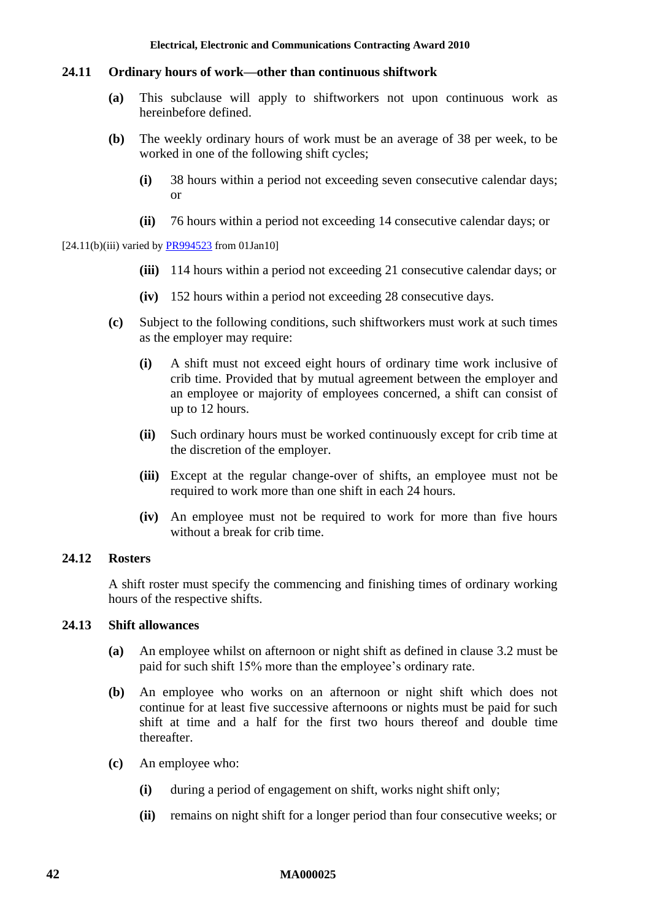### **24.11 Ordinary hours of work—other than continuous shiftwork**

- **(a)** This subclause will apply to shiftworkers not upon continuous work as hereinbefore defined.
- **(b)** The weekly ordinary hours of work must be an average of 38 per week, to be worked in one of the following shift cycles;
	- **(i)** 38 hours within a period not exceeding seven consecutive calendar days; or
	- **(ii)** 76 hours within a period not exceeding 14 consecutive calendar days; or

#### $[24.11(b)(iii)$  varied b[y PR994523](http://www.fwc.gov.au/awardsandorders/html/PR994523.htm) from 01Jan10]

- **(iii)** 114 hours within a period not exceeding 21 consecutive calendar days; or
- **(iv)** 152 hours within a period not exceeding 28 consecutive days.
- **(c)** Subject to the following conditions, such shiftworkers must work at such times as the employer may require:
	- **(i)** A shift must not exceed eight hours of ordinary time work inclusive of crib time. Provided that by mutual agreement between the employer and an employee or majority of employees concerned, a shift can consist of up to 12 hours.
	- **(ii)** Such ordinary hours must be worked continuously except for crib time at the discretion of the employer.
	- **(iii)** Except at the regular change-over of shifts, an employee must not be required to work more than one shift in each 24 hours.
	- **(iv)** An employee must not be required to work for more than five hours without a break for crib time.

### **24.12 Rosters**

A shift roster must specify the commencing and finishing times of ordinary working hours of the respective shifts.

#### <span id="page-41-0"></span>**24.13 Shift allowances**

- **(a)** An employee whilst on afternoon or night shift as defined in clause [3.2](#page-4-0) must be paid for such shift 15% more than the employee's ordinary rate.
- **(b)** An employee who works on an afternoon or night shift which does not continue for at least five successive afternoons or nights must be paid for such shift at time and a half for the first two hours thereof and double time thereafter.
- **(c)** An employee who:
	- **(i)** during a period of engagement on shift, works night shift only;
	- **(ii)** remains on night shift for a longer period than four consecutive weeks; or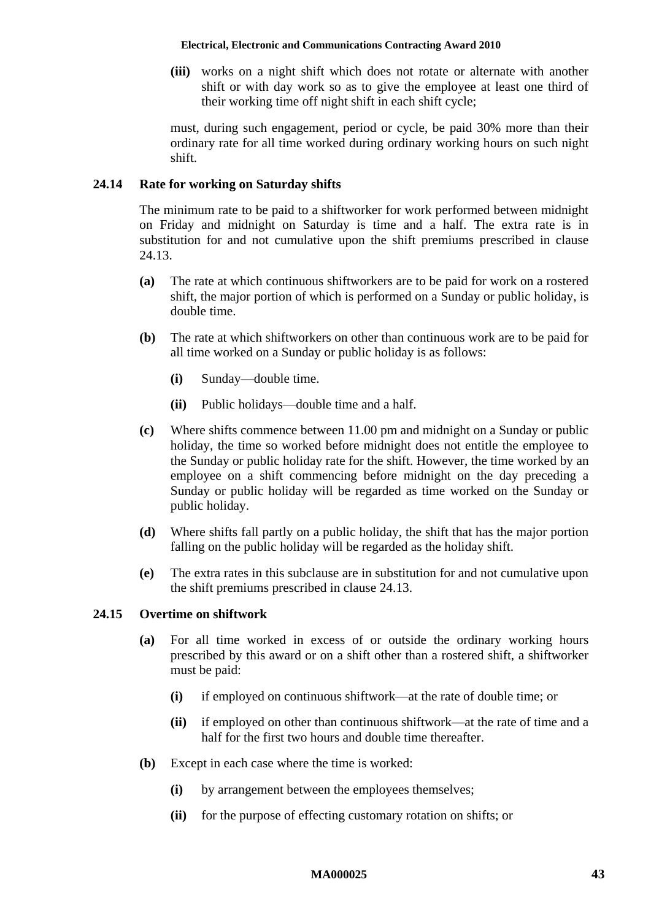**(iii)** works on a night shift which does not rotate or alternate with another shift or with day work so as to give the employee at least one third of their working time off night shift in each shift cycle;

must, during such engagement, period or cycle, be paid 30% more than their ordinary rate for all time worked during ordinary working hours on such night shift.

## **24.14 Rate for working on Saturday shifts**

The minimum rate to be paid to a shiftworker for work performed between midnight on Friday and midnight on Saturday is time and a half. The extra rate is in substitution for and not cumulative upon the shift premiums prescribed in clause [24.13.](#page-41-0)

- **(a)** The rate at which continuous shiftworkers are to be paid for work on a rostered shift, the major portion of which is performed on a Sunday or public holiday, is double time.
- **(b)** The rate at which shiftworkers on other than continuous work are to be paid for all time worked on a Sunday or public holiday is as follows:
	- **(i)** Sunday—double time.
	- **(ii)** Public holidays—double time and a half.
- **(c)** Where shifts commence between 11.00 pm and midnight on a Sunday or public holiday, the time so worked before midnight does not entitle the employee to the Sunday or public holiday rate for the shift. However, the time worked by an employee on a shift commencing before midnight on the day preceding a Sunday or public holiday will be regarded as time worked on the Sunday or public holiday.
- **(d)** Where shifts fall partly on a public holiday, the shift that has the major portion falling on the public holiday will be regarded as the holiday shift.
- **(e)** The extra rates in this subclause are in substitution for and not cumulative upon the shift premiums prescribed in clause [24.13.](#page-41-0)

## **24.15 Overtime on shiftwork**

- **(a)** For all time worked in excess of or outside the ordinary working hours prescribed by this award or on a shift other than a rostered shift, a shiftworker must be paid:
	- **(i)** if employed on continuous shiftwork—at the rate of double time; or
	- **(ii)** if employed on other than continuous shiftwork—at the rate of time and a half for the first two hours and double time thereafter.
- **(b)** Except in each case where the time is worked:
	- **(i)** by arrangement between the employees themselves;
	- **(ii)** for the purpose of effecting customary rotation on shifts; or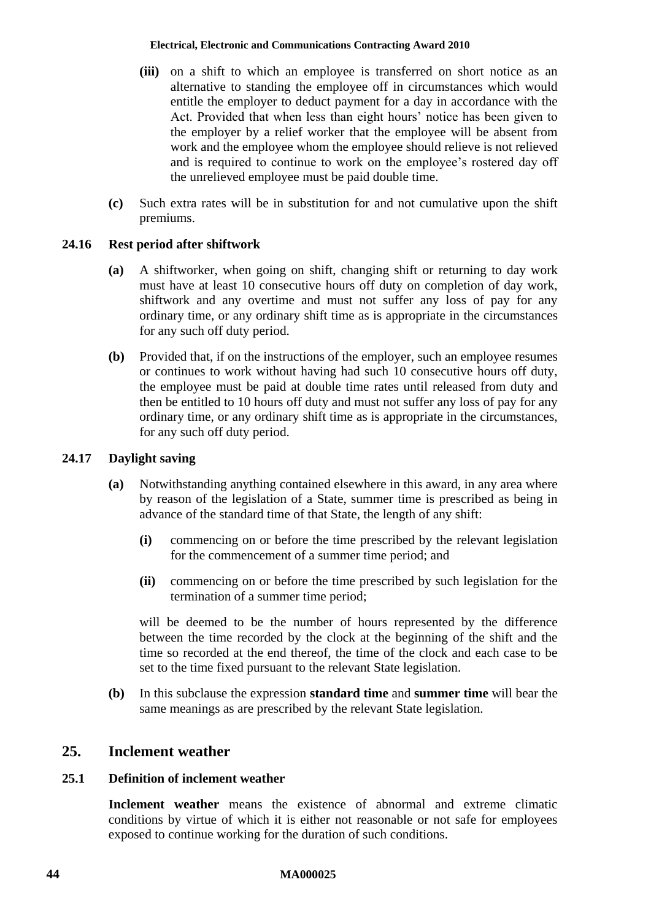- **(iii)** on a shift to which an employee is transferred on short notice as an alternative to standing the employee off in circumstances which would entitle the employer to deduct payment for a day in accordance with the Act. Provided that when less than eight hours' notice has been given to the employer by a relief worker that the employee will be absent from work and the employee whom the employee should relieve is not relieved and is required to continue to work on the employee's rostered day off the unrelieved employee must be paid double time.
- **(c)** Such extra rates will be in substitution for and not cumulative upon the shift premiums.

# **24.16 Rest period after shiftwork**

- **(a)** A shiftworker, when going on shift, changing shift or returning to day work must have at least 10 consecutive hours off duty on completion of day work, shiftwork and any overtime and must not suffer any loss of pay for any ordinary time, or any ordinary shift time as is appropriate in the circumstances for any such off duty period.
- **(b)** Provided that, if on the instructions of the employer, such an employee resumes or continues to work without having had such 10 consecutive hours off duty, the employee must be paid at double time rates until released from duty and then be entitled to 10 hours off duty and must not suffer any loss of pay for any ordinary time, or any ordinary shift time as is appropriate in the circumstances, for any such off duty period.

## **24.17 Daylight saving**

- **(a)** Notwithstanding anything contained elsewhere in this award, in any area where by reason of the legislation of a State, summer time is prescribed as being in advance of the standard time of that State, the length of any shift:
	- **(i)** commencing on or before the time prescribed by the relevant legislation for the commencement of a summer time period; and
	- **(ii)** commencing on or before the time prescribed by such legislation for the termination of a summer time period;

will be deemed to be the number of hours represented by the difference between the time recorded by the clock at the beginning of the shift and the time so recorded at the end thereof, the time of the clock and each case to be set to the time fixed pursuant to the relevant State legislation.

**(b)** In this subclause the expression **standard time** and **summer time** will bear the same meanings as are prescribed by the relevant State legislation.

# **25. Inclement weather**

# **25.1 Definition of inclement weather**

**Inclement weather** means the existence of abnormal and extreme climatic conditions by virtue of which it is either not reasonable or not safe for employees exposed to continue working for the duration of such conditions.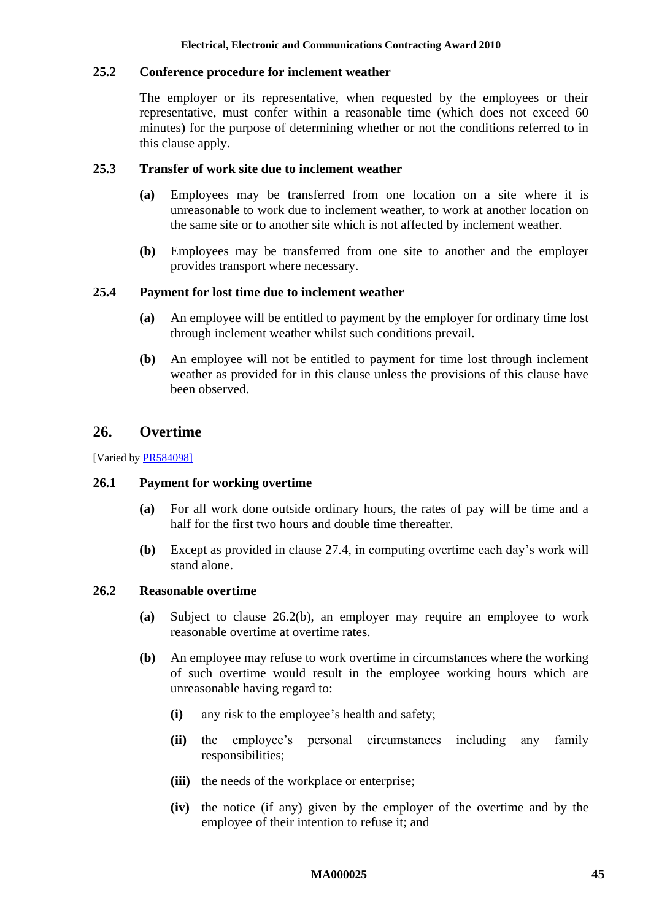# **25.2 Conference procedure for inclement weather**

The employer or its representative, when requested by the employees or their representative, must confer within a reasonable time (which does not exceed 60 minutes) for the purpose of determining whether or not the conditions referred to in this clause apply.

## **25.3 Transfer of work site due to inclement weather**

- **(a)** Employees may be transferred from one location on a site where it is unreasonable to work due to inclement weather, to work at another location on the same site or to another site which is not affected by inclement weather.
- **(b)** Employees may be transferred from one site to another and the employer provides transport where necessary.

# **25.4 Payment for lost time due to inclement weather**

- **(a)** An employee will be entitled to payment by the employer for ordinary time lost through inclement weather whilst such conditions prevail.
- **(b)** An employee will not be entitled to payment for time lost through inclement weather as provided for in this clause unless the provisions of this clause have been observed.

# **26. Overtime**

[Varied b[y PR584098\]](http://www.fwc.gov.au/awardsandorders/html/PR584098.htm)

## **26.1 Payment for working overtime**

- **(a)** For all work done outside ordinary hours, the rates of pay will be time and a half for the first two hours and double time thereafter.
- **(b)** Except as provided in clause [27.4,](#page-48-0) in computing overtime each day's work will stand alone.

## **26.2 Reasonable overtime**

- **(a)** Subject to clause [26.2\(b\),](#page-44-0) an employer may require an employee to work reasonable overtime at overtime rates.
- <span id="page-44-0"></span>**(b)** An employee may refuse to work overtime in circumstances where the working of such overtime would result in the employee working hours which are unreasonable having regard to:
	- **(i)** any risk to the employee's health and safety;
	- **(ii)** the employee's personal circumstances including any family responsibilities;
	- **(iii)** the needs of the workplace or enterprise;
	- **(iv)** the notice (if any) given by the employer of the overtime and by the employee of their intention to refuse it; and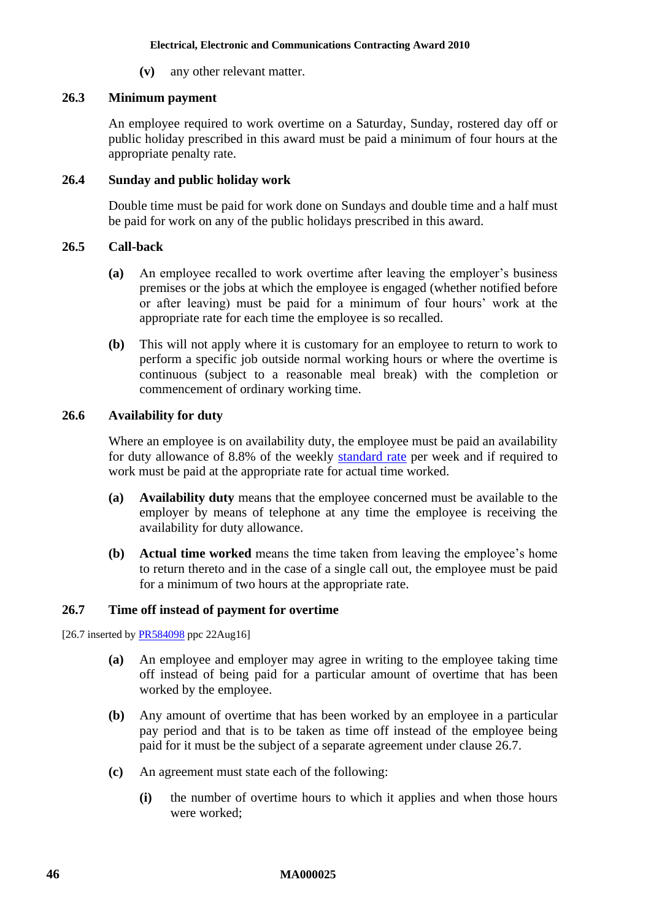**(v)** any other relevant matter.

# **26.3 Minimum payment**

An employee required to work overtime on a Saturday, Sunday, rostered day off or public holiday prescribed in this award must be paid a minimum of four hours at the appropriate penalty rate.

# **26.4 Sunday and public holiday work**

Double time must be paid for work done on Sundays and double time and a half must be paid for work on any of the public holidays prescribed in this award.

# **26.5 Call-back**

- **(a)** An employee recalled to work overtime after leaving the employer's business premises or the jobs at which the employee is engaged (whether notified before or after leaving) must be paid for a minimum of four hours' work at the appropriate rate for each time the employee is so recalled.
- **(b)** This will not apply where it is customary for an employee to return to work to perform a specific job outside normal working hours or where the overtime is continuous (subject to a reasonable meal break) with the completion or commencement of ordinary working time.

# **26.6 Availability for duty**

Where an employee is on availability duty, the employee must be paid an availability for duty allowance of 8.8% of the weekly [standard rate](#page-6-0) per week and if required to work must be paid at the appropriate rate for actual time worked.

- **(a) Availability duty** means that the employee concerned must be available to the employer by means of telephone at any time the employee is receiving the availability for duty allowance.
- **(b) Actual time worked** means the time taken from leaving the employee's home to return thereto and in the case of a single call out, the employee must be paid for a minimum of two hours at the appropriate rate.

# <span id="page-45-0"></span>**26.7 Time off instead of payment for overtime**

[26.7 inserted b[y PR584098](http://www.fwc.gov.au/awardsandorders/html/PR584098.htm) ppc 22Aug16]

- **(a)** An employee and employer may agree in writing to the employee taking time off instead of being paid for a particular amount of overtime that has been worked by the employee.
- <span id="page-45-1"></span>**(b)** Any amount of overtime that has been worked by an employee in a particular pay period and that is to be taken as time off instead of the employee being paid for it must be the subject of a separate agreement under clause [26.7.](#page-45-0)
- **(c)** An agreement must state each of the following:
	- **(i)** the number of overtime hours to which it applies and when those hours were worked;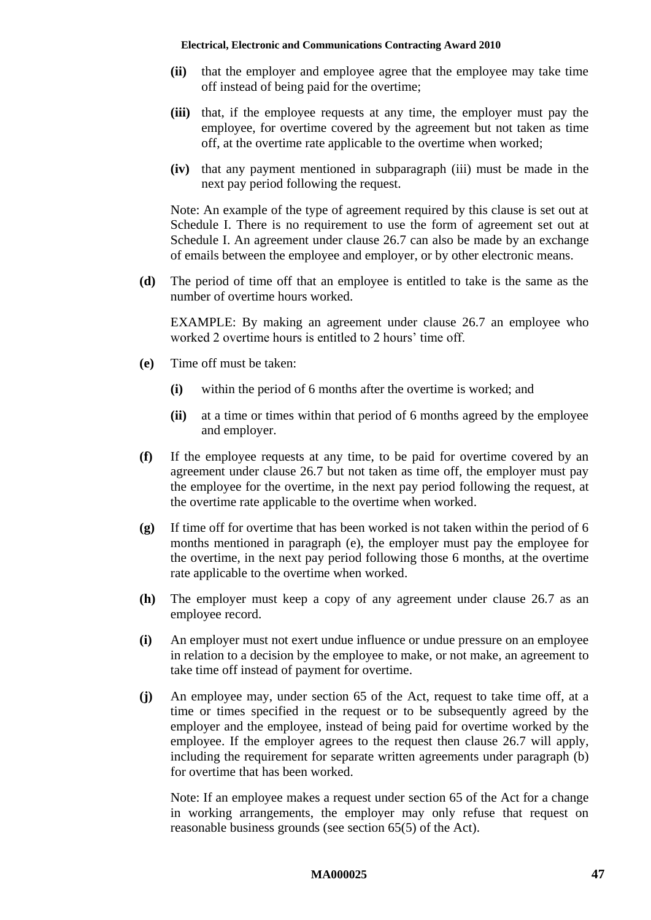- **(ii)** that the employer and employee agree that the employee may take time off instead of being paid for the overtime;
- <span id="page-46-0"></span>**(iii)** that, if the employee requests at any time, the employer must pay the employee, for overtime covered by the agreement but not taken as time off, at the overtime rate applicable to the overtime when worked;
- **(iv)** that any payment mentioned in subparagraph [\(iii\)](#page-46-0) must be made in the next pay period following the request.

Note: An example of the type of agreement required by this clause is set out at [Schedule I.](#page-78-0) There is no requirement to use the form of agreement set out at [Schedule I.](#page-78-0) An agreement under clause [26.7](#page-45-0) can also be made by an exchange of emails between the employee and employer, or by other electronic means.

**(d)** The period of time off that an employee is entitled to take is the same as the number of overtime hours worked.

EXAMPLE: By making an agreement under clause [26.7](#page-45-0) an employee who worked 2 overtime hours is entitled to 2 hours' time off.

- <span id="page-46-1"></span>**(e)** Time off must be taken:
	- **(i)** within the period of 6 months after the overtime is worked; and
	- **(ii)** at a time or times within that period of 6 months agreed by the employee and employer.
- **(f)** If the employee requests at any time, to be paid for overtime covered by an agreement under clause [26.7](#page-45-0) but not taken as time off, the employer must pay the employee for the overtime, in the next pay period following the request, at the overtime rate applicable to the overtime when worked.
- **(g)** If time off for overtime that has been worked is not taken within the period of 6 months mentioned in paragraph [\(e\),](#page-46-1) the employer must pay the employee for the overtime, in the next pay period following those 6 months, at the overtime rate applicable to the overtime when worked.
- **(h)** The employer must keep a copy of any agreement under clause [26.7](#page-45-0) as an employee record.
- **(i)** An employer must not exert undue influence or undue pressure on an employee in relation to a decision by the employee to make, or not make, an agreement to take time off instead of payment for overtime.
- **(j)** An employee may, under section 65 of the Act, request to take time off, at a time or times specified in the request or to be subsequently agreed by the employer and the employee, instead of being paid for overtime worked by the employee. If the employer agrees to the request then clause [26.7](#page-45-0) will apply, including the requirement for separate written agreements under paragraph [\(b\)](#page-45-1) for overtime that has been worked.

Note: If an employee makes a request under section 65 of the Act for a change in working arrangements, the employer may only refuse that request on reasonable business grounds (see section 65(5) of the Act).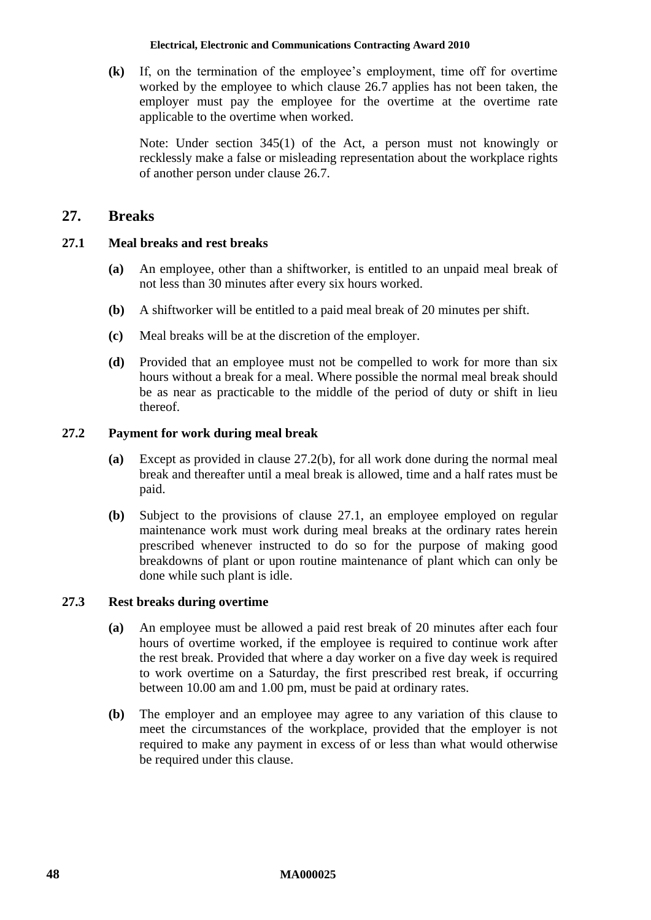**(k)** If, on the termination of the employee's employment, time off for overtime worked by the employee to which clause [26.7](#page-45-0) applies has not been taken, the employer must pay the employee for the overtime at the overtime rate applicable to the overtime when worked.

Note: Under section 345(1) of the Act, a person must not knowingly or recklessly make a false or misleading representation about the workplace rights of another person under clause [26.7.](#page-45-0)

# **27. Breaks**

# <span id="page-47-1"></span>**27.1 Meal breaks and rest breaks**

- **(a)** An employee, other than a shiftworker, is entitled to an unpaid meal break of not less than 30 minutes after every six hours worked.
- **(b)** A shiftworker will be entitled to a paid meal break of 20 minutes per shift.
- **(c)** Meal breaks will be at the discretion of the employer.
- **(d)** Provided that an employee must not be compelled to work for more than six hours without a break for a meal. Where possible the normal meal break should be as near as practicable to the middle of the period of duty or shift in lieu thereof.

## **27.2 Payment for work during meal break**

- **(a)** Except as provided in clause [27.2\(b\),](#page-47-0) for all work done during the normal meal break and thereafter until a meal break is allowed, time and a half rates must be paid.
- <span id="page-47-0"></span>**(b)** Subject to the provisions of clause [27.1,](#page-47-1) an employee employed on regular maintenance work must work during meal breaks at the ordinary rates herein prescribed whenever instructed to do so for the purpose of making good breakdowns of plant or upon routine maintenance of plant which can only be done while such plant is idle.

## **27.3 Rest breaks during overtime**

- **(a)** An employee must be allowed a paid rest break of 20 minutes after each four hours of overtime worked, if the employee is required to continue work after the rest break. Provided that where a day worker on a five day week is required to work overtime on a Saturday, the first prescribed rest break, if occurring between 10.00 am and 1.00 pm, must be paid at ordinary rates.
- **(b)** The employer and an employee may agree to any variation of this clause to meet the circumstances of the workplace, provided that the employer is not required to make any payment in excess of or less than what would otherwise be required under this clause.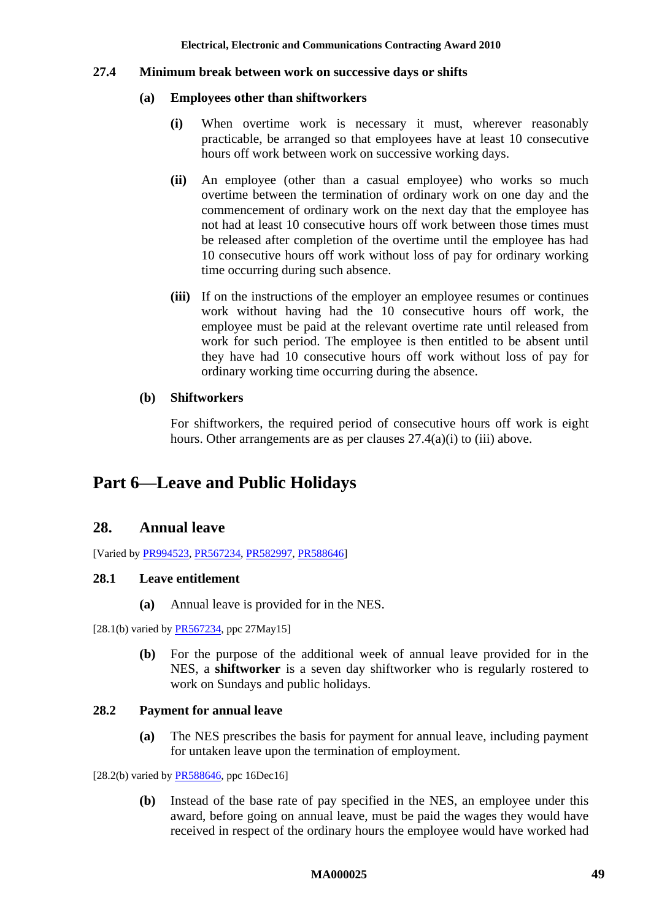### <span id="page-48-1"></span><span id="page-48-0"></span>**27.4 Minimum break between work on successive days or shifts**

### **(a) Employees other than shiftworkers**

- **(i)** When overtime work is necessary it must, wherever reasonably practicable, be arranged so that employees have at least 10 consecutive hours off work between work on successive working days.
- **(ii)** An employee (other than a casual employee) who works so much overtime between the termination of ordinary work on one day and the commencement of ordinary work on the next day that the employee has not had at least 10 consecutive hours off work between those times must be released after completion of the overtime until the employee has had 10 consecutive hours off work without loss of pay for ordinary working time occurring during such absence.
- <span id="page-48-2"></span>**(iii)** If on the instructions of the employer an employee resumes or continues work without having had the 10 consecutive hours off work, the employee must be paid at the relevant overtime rate until released from work for such period. The employee is then entitled to be absent until they have had 10 consecutive hours off work without loss of pay for ordinary working time occurring during the absence.

## **(b) Shiftworkers**

For shiftworkers, the required period of consecutive hours off work is eight hours. Other arrangements are as per clauses  $27.4(a)(i)$  to [\(iii\)](#page-48-2) above.

# **Part 6—Leave and Public Holidays**

# **28. Annual leave**

[Varied b[y PR994523,](http://www.fwc.gov.au/awardsandorders/html/PR994523.htm) [PR567234,](http://www.fwc.gov.au/awardsandorders/html/PR567234.htm) [PR582997,](http://www.fwc.gov.au/awardsandorders/html/pr582997.htm) [PR588646\]](https://www.fwc.gov.au/documents/awardsandorders/html/pr588646.htm)

## **28.1 Leave entitlement**

**(a)** Annual leave is provided for in the NES.

<span id="page-48-4"></span>[28.1(b) varied by  $PR567234$ , ppc 27May15]

**(b)** For the purpose of the additional week of annual leave provided for in the NES, a **shiftworker** is a seven day shiftworker who is regularly rostered to work on Sundays and public holidays.

## <span id="page-48-3"></span>**28.2 Payment for annual leave**

**(a)** The NES prescribes the basis for payment for annual leave, including payment for untaken leave upon the termination of employment.

 $[28.2(b)$  varied by [PR588646,](https://www.fwc.gov.au/documents/awardsandorders/html/pr588646.htm) ppc 16Dec16]

**(b)** Instead of the base rate of pay specified in the NES, an employee under this award, before going on annual leave, must be paid the wages they would have received in respect of the ordinary hours the employee would have worked had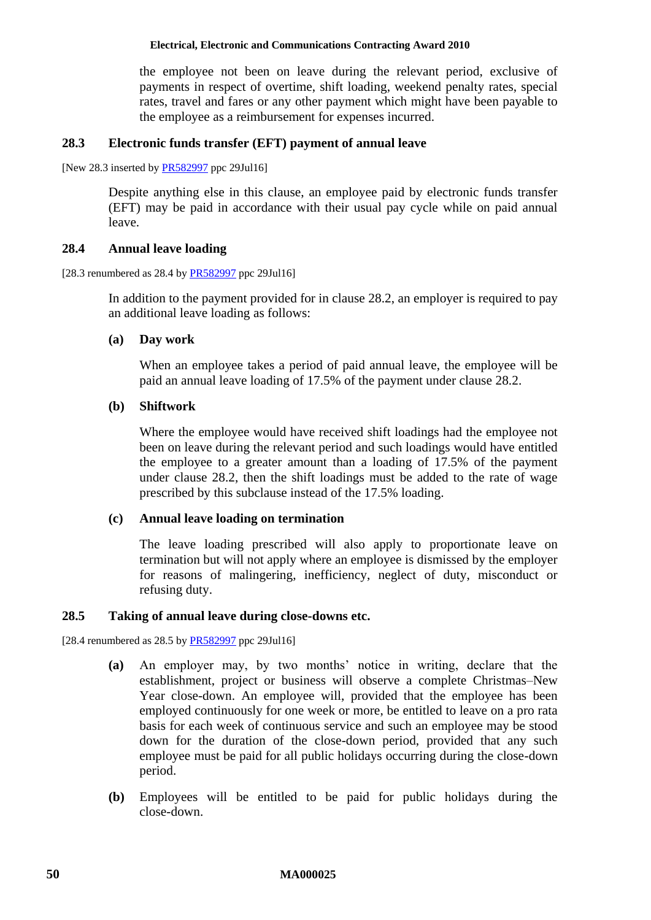the employee not been on leave during the relevant period, exclusive of payments in respect of overtime, shift loading, weekend penalty rates, special rates, travel and fares or any other payment which might have been payable to the employee as a reimbursement for expenses incurred.

### **28.3 Electronic funds transfer (EFT) payment of annual leave**

[New 28.3 inserted by **PR582997** ppc 29Jul16]

Despite anything else in this clause, an employee paid by electronic funds transfer (EFT) may be paid in accordance with their usual pay cycle while on paid annual leave.

#### **28.4 Annual leave loading**

[28.3 renumbered as 28.4 b[y PR582997](http://www.fwc.gov.au/awardsandorders/html/PR582997.htm) ppc 29Jul16]

In addition to the payment provided for in clause [28.2,](#page-48-3) an employer is required to pay an additional leave loading as follows:

#### **(a) Day work**

When an employee takes a period of paid annual leave, the employee will be paid an annual leave loading of 17.5% of the payment under clause [28.2.](#page-48-3)

## **(b) Shiftwork**

Where the employee would have received shift loadings had the employee not been on leave during the relevant period and such loadings would have entitled the employee to a greater amount than a loading of 17.5% of the payment under clause [28.2,](#page-48-3) then the shift loadings must be added to the rate of wage prescribed by this subclause instead of the 17.5% loading.

#### **(c) Annual leave loading on termination**

The leave loading prescribed will also apply to proportionate leave on termination but will not apply where an employee is dismissed by the employer for reasons of malingering, inefficiency, neglect of duty, misconduct or refusing duty.

#### **28.5 Taking of annual leave during close-downs etc.**

[28.4 renumbered as  $28.5$  b[y PR582997](http://www.fwc.gov.au/awardsandorders/html/PR582997.htm) ppc 29Jul16]

- **(a)** An employer may, by two months' notice in writing, declare that the establishment, project or business will observe a complete Christmas–New Year close-down. An employee will, provided that the employee has been employed continuously for one week or more, be entitled to leave on a pro rata basis for each week of continuous service and such an employee may be stood down for the duration of the close-down period, provided that any such employee must be paid for all public holidays occurring during the close-down period.
- **(b)** Employees will be entitled to be paid for public holidays during the close-down.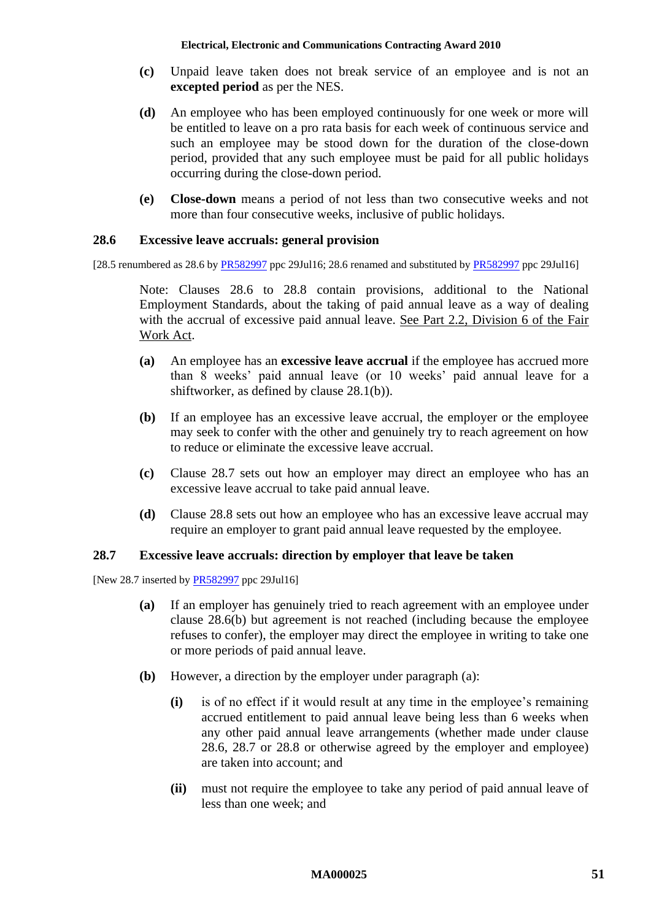- **(c)** Unpaid leave taken does not break service of an employee and is not an **excepted period** as per the NES.
- **(d)** An employee who has been employed continuously for one week or more will be entitled to leave on a pro rata basis for each week of continuous service and such an employee may be stood down for the duration of the close-down period, provided that any such employee must be paid for all public holidays occurring during the close-down period.
- **(e) Close-down** means a period of not less than two consecutive weeks and not more than four consecutive weeks, inclusive of public holidays.

#### <span id="page-50-0"></span>**28.6 Excessive leave accruals: general provision**

[28.5 renumbered as 28.6 by [PR582997](http://www.fwc.gov.au/awardsandorders/html/PR582997.htm) ppc 29Jul16; 28.6 renamed and substituted by [PR582997](http://www.fwc.gov.au/awardsandorders/html/PR582997.htm) ppc 29Jul16]

Note: Clauses [28.6](#page-50-0) to [28.8](#page-51-0) contain provisions, additional to the National Employment Standards, about the taking of paid annual leave as a way of dealing with the accrual of excessive paid annual leave. See Part 2.2, Division 6 of the Fair Work Act.

- **(a)** An employee has an **excessive leave accrual** if the employee has accrued more than 8 weeks' paid annual leave (or 10 weeks' paid annual leave for a shiftworker, as defined by clause [28.1\(b\)\)](#page-48-4).
- <span id="page-50-2"></span>**(b)** If an employee has an excessive leave accrual, the employer or the employee may seek to confer with the other and genuinely try to reach agreement on how to reduce or eliminate the excessive leave accrual.
- **(c)** Clause [28.7](#page-50-1) sets out how an employer may direct an employee who has an excessive leave accrual to take paid annual leave.
- **(d)** Clause [28.8](#page-51-0) sets out how an employee who has an excessive leave accrual may require an employer to grant paid annual leave requested by the employee.

## <span id="page-50-1"></span>**28.7 Excessive leave accruals: direction by employer that leave be taken**

<span id="page-50-3"></span>[New 28.7 inserted b[y PR582997](http://www.fwc.gov.au/awardsandorders/html/pr582997.htm) ppc 29Jul16]

- **(a)** If an employer has genuinely tried to reach agreement with an employee under clause [28.6\(b\)](#page-50-2) but agreement is not reached (including because the employee refuses to confer), the employer may direct the employee in writing to take one or more periods of paid annual leave.
- <span id="page-50-4"></span>**(b)** However, a direction by the employer under paragraph [\(a\):](#page-50-3)
	- **(i)** is of no effect if it would result at any time in the employee's remaining accrued entitlement to paid annual leave being less than 6 weeks when any other paid annual leave arrangements (whether made under clause [28.6,](#page-50-0) [28.7](#page-50-1) or [28.8](#page-51-0) or otherwise agreed by the employer and employee) are taken into account; and
	- **(ii)** must not require the employee to take any period of paid annual leave of less than one week; and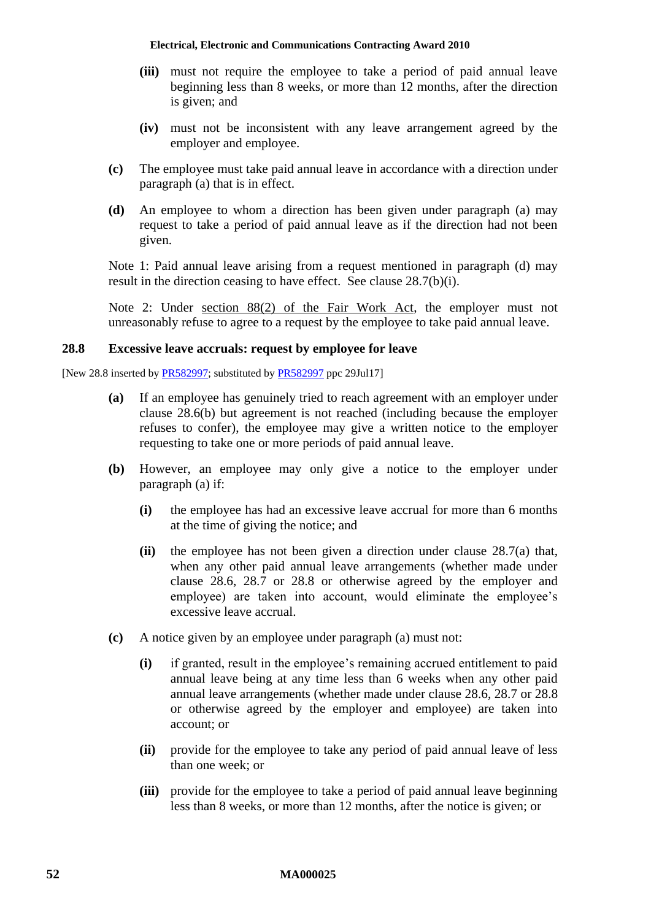- **(iii)** must not require the employee to take a period of paid annual leave beginning less than 8 weeks, or more than 12 months, after the direction is given; and
- **(iv)** must not be inconsistent with any leave arrangement agreed by the employer and employee.
- **(c)** The employee must take paid annual leave in accordance with a direction under paragraph [\(a\)](#page-50-3) that is in effect.
- <span id="page-51-1"></span>**(d)** An employee to whom a direction has been given under paragraph [\(a\)](#page-50-3) may request to take a period of paid annual leave as if the direction had not been given.

Note 1: Paid annual leave arising from a request mentioned in paragraph [\(d\)](#page-51-1) may result in the direction ceasing to have effect. See clause [28.7\(b\)\(i\).](#page-50-4)

Note 2: Under section 88(2) of the Fair Work Act, the employer must not unreasonably refuse to agree to a request by the employee to take paid annual leave.

## <span id="page-51-0"></span>**28.8 Excessive leave accruals: request by employee for leave**

<span id="page-51-2"></span>[New 28.8 inserted by **PR582997**; substituted by **PR582997** ppc 29Jul17]

- **(a)** If an employee has genuinely tried to reach agreement with an employer under clause [28.6\(b\)](#page-50-2) but agreement is not reached (including because the employer refuses to confer), the employee may give a written notice to the employer requesting to take one or more periods of paid annual leave.
- **(b)** However, an employee may only give a notice to the employer under paragraph [\(a\)](#page-51-2) if:
	- **(i)** the employee has had an excessive leave accrual for more than 6 months at the time of giving the notice; and
	- **(ii)** the employee has not been given a direction under clause [28.7\(a\)](#page-50-3) that, when any other paid annual leave arrangements (whether made under clause [28.6,](#page-50-0) [28.7](#page-50-1) or [28.8](#page-51-0) or otherwise agreed by the employer and employee) are taken into account, would eliminate the employee's excessive leave accrual.
- **(c)** A notice given by an employee under paragraph [\(a\)](#page-51-2) must not:
	- **(i)** if granted, result in the employee's remaining accrued entitlement to paid annual leave being at any time less than 6 weeks when any other paid annual leave arrangements (whether made under clause [28.6,](#page-50-0) [28.7](#page-50-1) or [28.8](#page-51-0) or otherwise agreed by the employer and employee) are taken into account; or
	- **(ii)** provide for the employee to take any period of paid annual leave of less than one week; or
	- **(iii)** provide for the employee to take a period of paid annual leave beginning less than 8 weeks, or more than 12 months, after the notice is given; or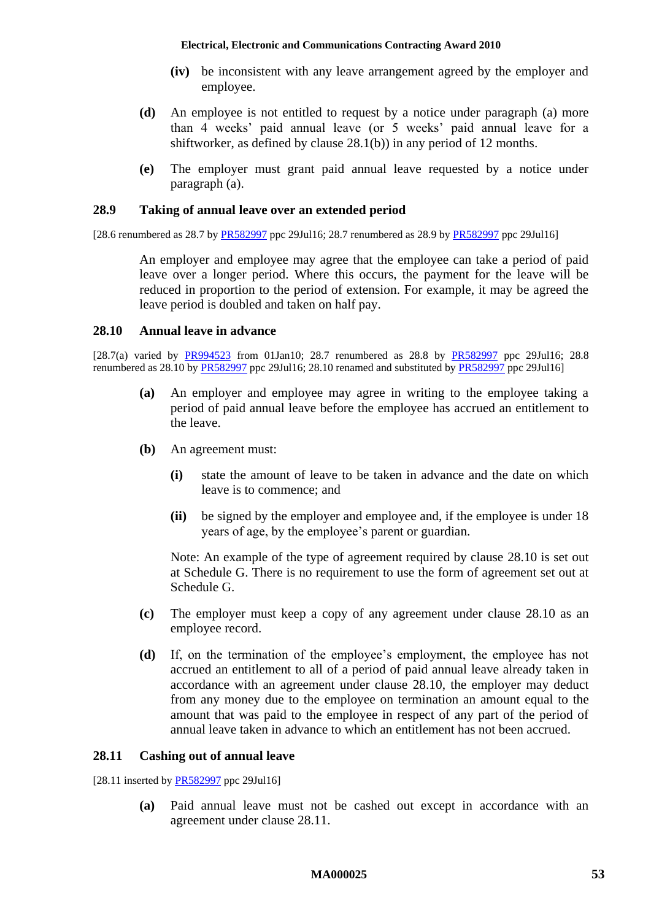- **(iv)** be inconsistent with any leave arrangement agreed by the employer and employee.
- **(d)** An employee is not entitled to request by a notice under paragraph [\(a\)](#page-51-2) more than 4 weeks' paid annual leave (or 5 weeks' paid annual leave for a shiftworker, as defined by clause [28.1\(b\)\)](#page-48-4) in any period of 12 months.
- **(e)** The employer must grant paid annual leave requested by a notice under paragraph [\(a\).](#page-51-2)

#### **28.9 Taking of annual leave over an extended period**

[28.6 renumbered as 28.7 by [PR582997](http://www.fwc.gov.au/awardsandorders/html/PR582997.htm) ppc 29Jul16; 28.7 renumbered as 28.9 by [PR582997](http://www.fwc.gov.au/awardsandorders/html/PR582997.htm) ppc 29Jul16]

An employer and employee may agree that the employee can take a period of paid leave over a longer period. Where this occurs, the payment for the leave will be reduced in proportion to the period of extension. For example, it may be agreed the leave period is doubled and taken on half pay.

### <span id="page-52-0"></span>**28.10 Annual leave in advance**

[28.7(a) varied by [PR994523](http://www.fwc.gov.au/awardsandorders/html/PR994523.htm) from 01Jan10; 28.7 renumbered as 28.8 by [PR582997](http://www.fwc.gov.au/awardsandorders/html/PR582997.htm) ppc 29Jul16; 28.8 renumbered as 28.10 b[y PR582997](http://www.fwc.gov.au/awardsandorders/html/PR582997.htm) ppc 29Jul16; 28.10 renamed and substituted by [PR582997](http://www.fwc.gov.au/awardsandorders/html/pr582997.htm) ppc 29Jul16]

- **(a)** An employer and employee may agree in writing to the employee taking a period of paid annual leave before the employee has accrued an entitlement to the leave.
- **(b)** An agreement must:
	- **(i)** state the amount of leave to be taken in advance and the date on which leave is to commence; and
	- **(ii)** be signed by the employer and employee and, if the employee is under 18 years of age, by the employee's parent or guardian.

Note: An example of the type of agreement required by clause [28.10](#page-52-0) is set out at [Schedule G.](#page-76-0) There is no requirement to use the form of agreement set out at [Schedule G.](#page-76-0)

- **(c)** The employer must keep a copy of any agreement under clause [28.10](#page-52-0) as an employee record.
- **(d)** If, on the termination of the employee's employment, the employee has not accrued an entitlement to all of a period of paid annual leave already taken in accordance with an agreement under clause [28.10,](#page-52-0) the employer may deduct from any money due to the employee on termination an amount equal to the amount that was paid to the employee in respect of any part of the period of annual leave taken in advance to which an entitlement has not been accrued.

### <span id="page-52-1"></span>**28.11 Cashing out of annual leave**

[28.11 inserted by [PR582997](http://www.fwc.gov.au/awardsandorders/html/pr582997.htm) ppc 29Jul16]

**(a)** Paid annual leave must not be cashed out except in accordance with an agreement under clause [28.11.](#page-52-1)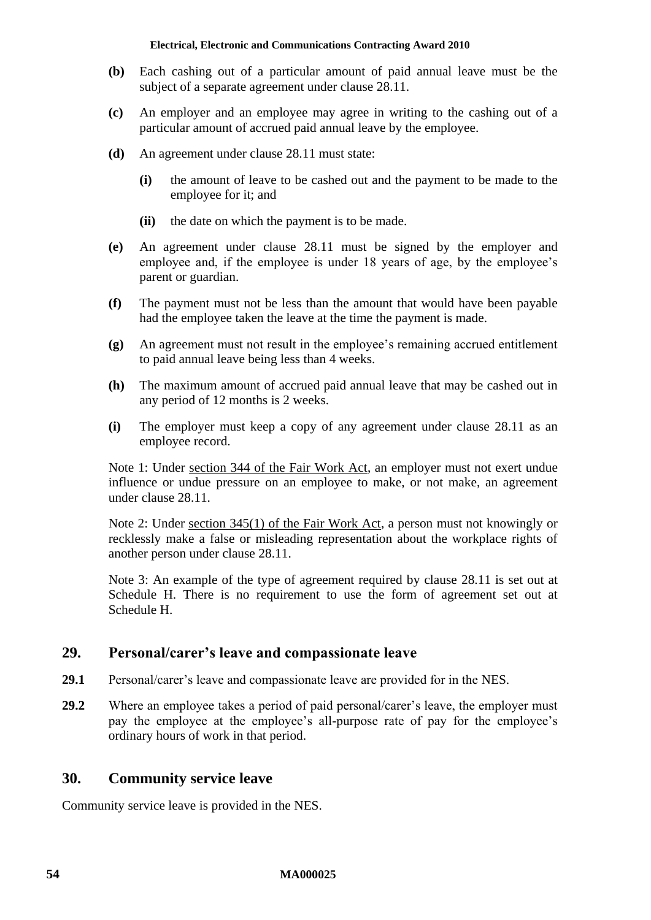- **(b)** Each cashing out of a particular amount of paid annual leave must be the subject of a separate agreement under clause [28.11.](#page-52-1)
- **(c)** An employer and an employee may agree in writing to the cashing out of a particular amount of accrued paid annual leave by the employee.
- **(d)** An agreement under clause [28.11](#page-52-1) must state:
	- **(i)** the amount of leave to be cashed out and the payment to be made to the employee for it; and
	- **(ii)** the date on which the payment is to be made.
- **(e)** An agreement under clause [28.11](#page-52-1) must be signed by the employer and employee and, if the employee is under 18 years of age, by the employee's parent or guardian.
- **(f)** The payment must not be less than the amount that would have been payable had the employee taken the leave at the time the payment is made.
- **(g)** An agreement must not result in the employee's remaining accrued entitlement to paid annual leave being less than 4 weeks.
- **(h)** The maximum amount of accrued paid annual leave that may be cashed out in any period of 12 months is 2 weeks.
- **(i)** The employer must keep a copy of any agreement under clause [28.11](#page-52-1) as an employee record.

Note 1: Under section 344 of the Fair Work Act, an employer must not exert undue influence or undue pressure on an employee to make, or not make, an agreement under clause [28.11.](#page-52-1)

Note 2: Under section 345(1) of the Fair Work Act, a person must not knowingly or recklessly make a false or misleading representation about the workplace rights of another person under clause [28.11.](#page-52-1)

Note 3: An example of the type of agreement required by clause [28.11](#page-52-1) is set out at [Schedule H.](#page-77-0) There is no requirement to use the form of agreement set out at [Schedule H.](#page-77-0)

# **29. Personal/carer's leave and compassionate leave**

- **29.1** Personal/carer's leave and compassionate leave are provided for in the NES.
- **29.2** Where an employee takes a period of paid personal/carer's leave, the employer must pay the employee at the employee's all-purpose rate of pay for the employee's ordinary hours of work in that period.

# **30. Community service leave**

Community service leave is provided in the NES.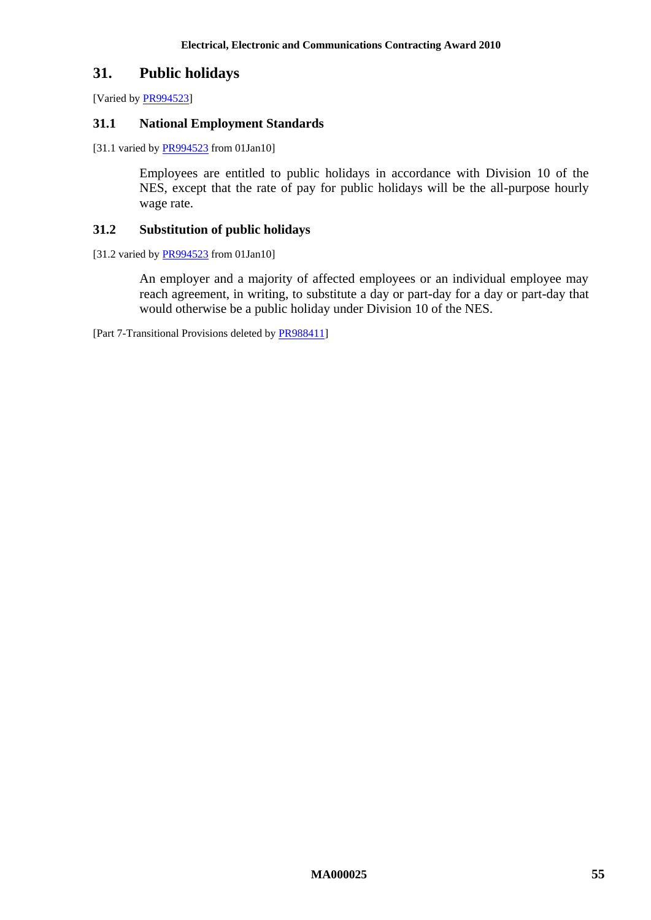# **31. Public holidays**

[Varied b[y PR994523\]](http://www.fwc.gov.au/awardsandorders/html/PR994523.htm)

#### **31.1 National Employment Standards**

[31.1 varied by **PR994523** from 01Jan10]

Employees are entitled to public holidays in accordance with Division 10 of the NES, except that the rate of pay for public holidays will be the all-purpose hourly wage rate.

#### **31.2 Substitution of public holidays**

[31.2 varied by [PR994523](http://www.fwc.gov.au/awardsandorders/html/PR994523.htm) from 01Jan10]

An employer and a majority of affected employees or an individual employee may reach agreement, in writing, to substitute a day or part-day for a day or part-day that would otherwise be a public holiday under Division 10 of the NES.

[Part 7-Transitional Provisions deleted b[y PR988411\]](http://www.fwc.gov.au/awardsandorders/html/PR988411.htm)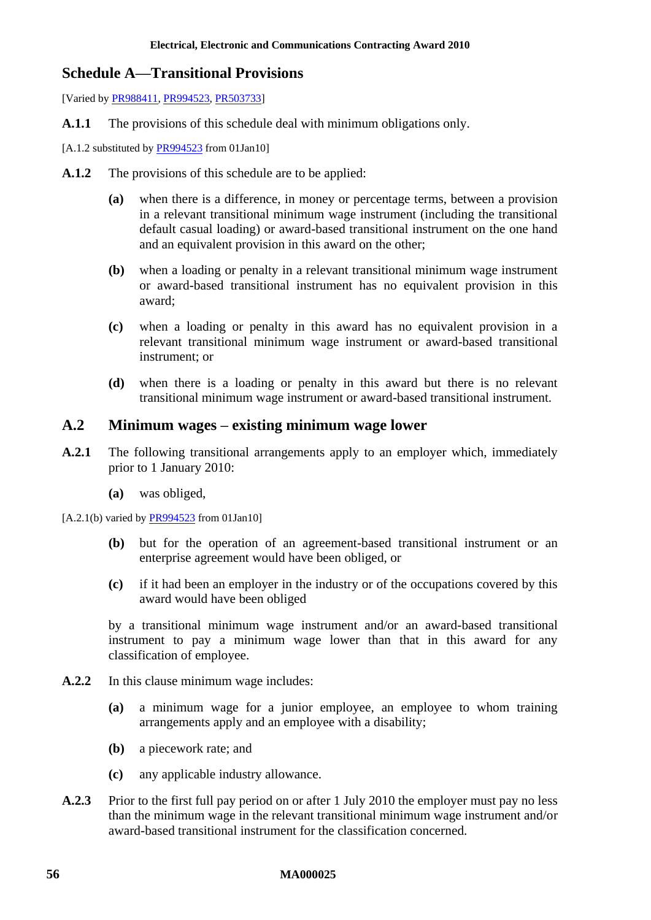# **Schedule A—Transitional Provisions**

[Varied by [PR988411,](http://www.fwc.gov.au/awardsandorders/html/PR988411.htm) [PR994523,](http://www.fwc.gov.au/awardsandorders/html/PR994523.htm) [PR503733\]](http://www.fwc.gov.au/awardsandorders/html/PR503733.htm)

**A.1.1** The provisions of this schedule deal with minimum obligations only.

[A.1.2 substituted by [PR994523](http://www.fwc.gov.au/awardsandorders/html/PR994523.htm) from 01Jan10]

- **A.1.2** The provisions of this schedule are to be applied:
	- **(a)** when there is a difference, in money or percentage terms, between a provision in a relevant transitional minimum wage instrument (including the transitional default casual loading) or award-based transitional instrument on the one hand and an equivalent provision in this award on the other;
	- **(b)** when a loading or penalty in a relevant transitional minimum wage instrument or award-based transitional instrument has no equivalent provision in this award;
	- **(c)** when a loading or penalty in this award has no equivalent provision in a relevant transitional minimum wage instrument or award-based transitional instrument; or
	- **(d)** when there is a loading or penalty in this award but there is no relevant transitional minimum wage instrument or award-based transitional instrument.

# **A.2 Minimum wages – existing minimum wage lower**

- **A.2.1** The following transitional arrangements apply to an employer which, immediately prior to 1 January 2010:
	- **(a)** was obliged,

 $[A.2.1(b)$  varied by  $PR994523$  from 01Jan10]

- **(b)** but for the operation of an agreement-based transitional instrument or an enterprise agreement would have been obliged, or
- **(c)** if it had been an employer in the industry or of the occupations covered by this award would have been obliged

by a transitional minimum wage instrument and/or an award-based transitional instrument to pay a minimum wage lower than that in this award for any classification of employee.

- **A.2.2** In this clause minimum wage includes:
	- **(a)** a minimum wage for a junior employee, an employee to whom training arrangements apply and an employee with a disability;
	- **(b)** a piecework rate; and
	- **(c)** any applicable industry allowance.
- <span id="page-55-0"></span>**A.2.3** Prior to the first full pay period on or after 1 July 2010 the employer must pay no less than the minimum wage in the relevant transitional minimum wage instrument and/or award-based transitional instrument for the classification concerned.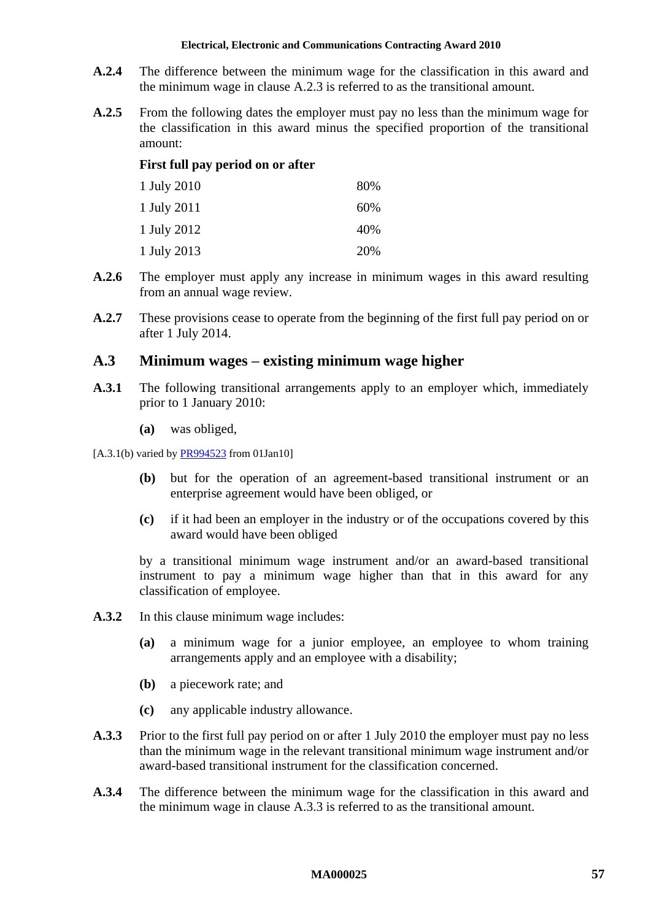- **A.2.4** The difference between the minimum wage for the classification in this award and the minimum wage in clause [A.2.3](#page-55-0) is referred to as the transitional amount.
- **A.2.5** From the following dates the employer must pay no less than the minimum wage for the classification in this award minus the specified proportion of the transitional amount:

### **First full pay period on or after**

| 1 July 2010 | 80% |
|-------------|-----|
| 1 July 2011 | 60% |
| 1 July 2012 | 40% |
| 1 July 2013 | 20% |

- **A.2.6** The employer must apply any increase in minimum wages in this award resulting from an annual wage review.
- **A.2.7** These provisions cease to operate from the beginning of the first full pay period on or after 1 July 2014.

# **A.3 Minimum wages – existing minimum wage higher**

- **A.3.1** The following transitional arrangements apply to an employer which, immediately prior to 1 January 2010:
	- **(a)** was obliged,

[A.3.1(b) varied b[y PR994523](http://www.fwc.gov.au/awardsandorders/html/PR994523.htm) from 01Jan10]

- **(b)** but for the operation of an agreement-based transitional instrument or an enterprise agreement would have been obliged, or
- **(c)** if it had been an employer in the industry or of the occupations covered by this award would have been obliged

by a transitional minimum wage instrument and/or an award-based transitional instrument to pay a minimum wage higher than that in this award for any classification of employee.

- **A.3.2** In this clause minimum wage includes:
	- **(a)** a minimum wage for a junior employee, an employee to whom training arrangements apply and an employee with a disability;
	- **(b)** a piecework rate; and
	- **(c)** any applicable industry allowance.
- <span id="page-56-0"></span>**A.3.3** Prior to the first full pay period on or after 1 July 2010 the employer must pay no less than the minimum wage in the relevant transitional minimum wage instrument and/or award-based transitional instrument for the classification concerned.
- **A.3.4** The difference between the minimum wage for the classification in this award and the minimum wage in clause [A.3.3](#page-56-0) is referred to as the transitional amount.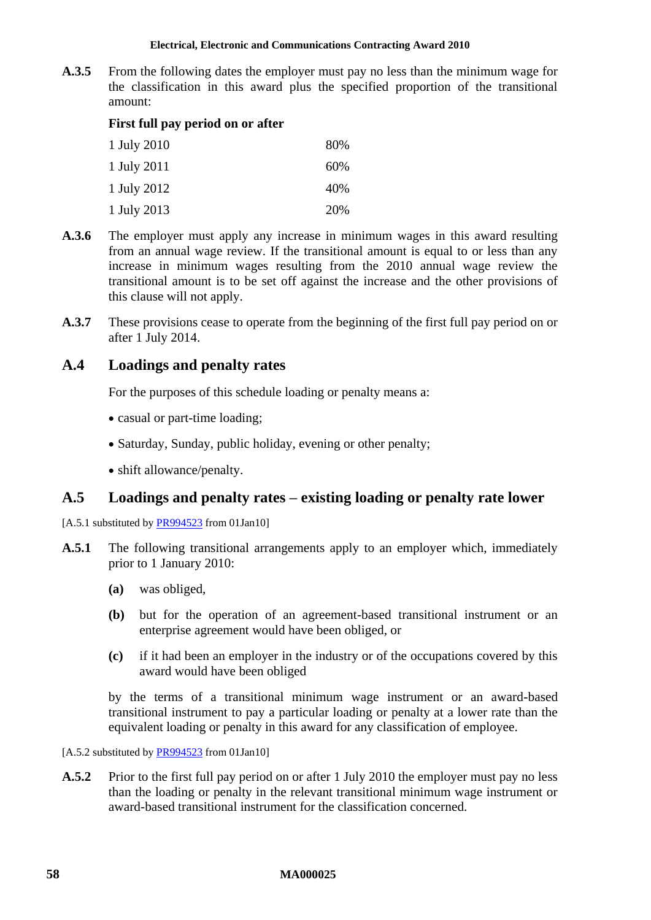**A.3.5** From the following dates the employer must pay no less than the minimum wage for the classification in this award plus the specified proportion of the transitional amount:

## **First full pay period on or after**

| 1 July 2010 | 80%    |
|-------------|--------|
| 1 July 2011 | $60\%$ |
| 1 July 2012 | 40%    |
| 1 July 2013 | 20%    |

- **A.3.6** The employer must apply any increase in minimum wages in this award resulting from an annual wage review. If the transitional amount is equal to or less than any increase in minimum wages resulting from the 2010 annual wage review the transitional amount is to be set off against the increase and the other provisions of this clause will not apply.
- **A.3.7** These provisions cease to operate from the beginning of the first full pay period on or after 1 July 2014.

# **A.4 Loadings and penalty rates**

For the purposes of this schedule loading or penalty means a:

- casual or part-time loading;
- Saturday, Sunday, public holiday, evening or other penalty;
- shift allowance/penalty.

# <span id="page-57-1"></span>**A.5 Loadings and penalty rates – existing loading or penalty rate lower**

[A.5.1 substituted by [PR994523](http://www.fwc.gov.au/awardsandorders/html/PR994523.htm) from 01Jan10]

- **A.5.1** The following transitional arrangements apply to an employer which, immediately prior to 1 January 2010:
	- **(a)** was obliged,
	- **(b)** but for the operation of an agreement-based transitional instrument or an enterprise agreement would have been obliged, or
	- **(c)** if it had been an employer in the industry or of the occupations covered by this award would have been obliged

by the terms of a transitional minimum wage instrument or an award-based transitional instrument to pay a particular loading or penalty at a lower rate than the equivalent loading or penalty in this award for any classification of employee.

<span id="page-57-0"></span>[A.5.2 substituted by [PR994523](http://www.fwc.gov.au/awardsandorders/html/PR994523.htm) from 01Jan10]

**A.5.2** Prior to the first full pay period on or after 1 July 2010 the employer must pay no less than the loading or penalty in the relevant transitional minimum wage instrument or award-based transitional instrument for the classification concerned.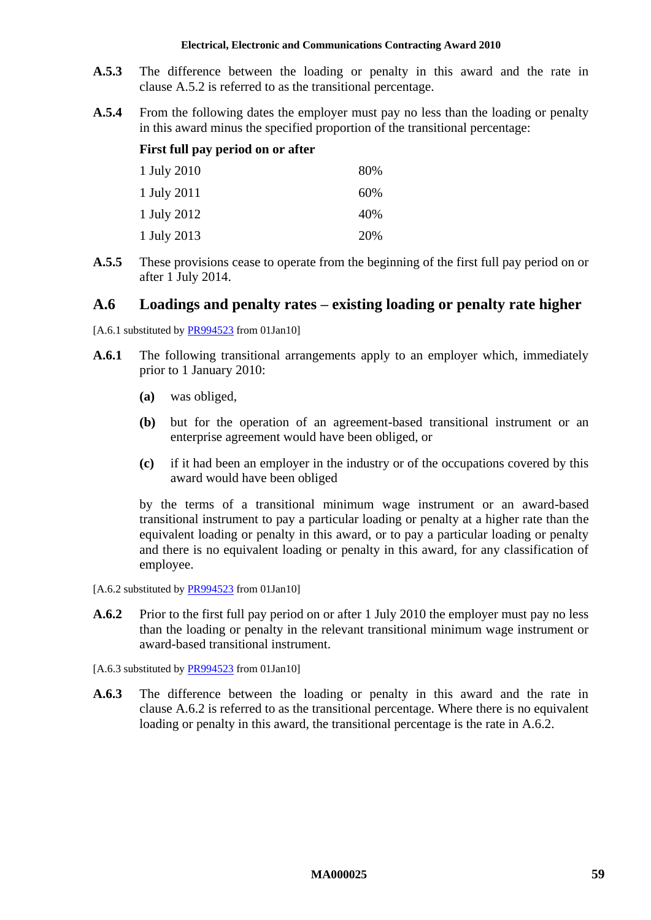- **A.5.3** The difference between the loading or penalty in this award and the rate in clause [A.5.2](#page-57-0) is referred to as the transitional percentage.
- **A.5.4** From the following dates the employer must pay no less than the loading or penalty in this award minus the specified proportion of the transitional percentage:

# **First full pay period on or after**

| 1 July 2010 | 80% |
|-------------|-----|
| 1 July 2011 | 60% |
| 1 July 2012 | 40% |
| 1 July 2013 | 20% |

**A.5.5** These provisions cease to operate from the beginning of the first full pay period on or after 1 July 2014.

# <span id="page-58-1"></span>**A.6 Loadings and penalty rates – existing loading or penalty rate higher**

[A.6.1 substituted by [PR994523](http://www.fwc.gov.au/awardsandorders/html/PR994523.htm) from 01Jan10]

- **A.6.1** The following transitional arrangements apply to an employer which, immediately prior to 1 January 2010:
	- **(a)** was obliged,
	- **(b)** but for the operation of an agreement-based transitional instrument or an enterprise agreement would have been obliged, or
	- **(c)** if it had been an employer in the industry or of the occupations covered by this award would have been obliged

by the terms of a transitional minimum wage instrument or an award-based transitional instrument to pay a particular loading or penalty at a higher rate than the equivalent loading or penalty in this award, or to pay a particular loading or penalty and there is no equivalent loading or penalty in this award, for any classification of employee.

[A.6.2 substituted by **PR994523** from 01Jan10]

- <span id="page-58-0"></span>**A.6.2** Prior to the first full pay period on or after 1 July 2010 the employer must pay no less than the loading or penalty in the relevant transitional minimum wage instrument or award-based transitional instrument.
- [A.6.3 substituted b[y PR994523](http://www.fwc.gov.au/awardsandorders/html/PR994523.htm) from 01Jan10]
- **A.6.3** The difference between the loading or penalty in this award and the rate in clause [A.6.2](#page-58-0) is referred to as the transitional percentage. Where there is no equivalent loading or penalty in this award, the transitional percentage is the rate in [A.6.2.](#page-58-0)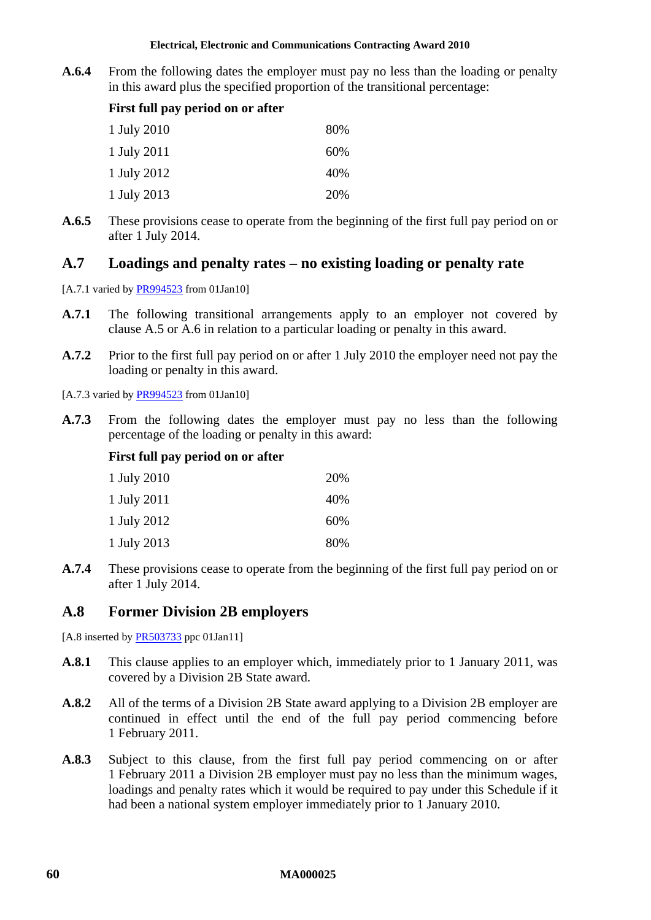**A.6.4** From the following dates the employer must pay no less than the loading or penalty in this award plus the specified proportion of the transitional percentage:

# **First full pay period on or after**

| 1 July 2010 | 80% |
|-------------|-----|
| 1 July 2011 | 60% |
| 1 July 2012 | 40% |
| 1 July 2013 | 20% |

**A.6.5** These provisions cease to operate from the beginning of the first full pay period on or after 1 July 2014.

# **A.7 Loadings and penalty rates – no existing loading or penalty rate**

- [A.7.1 varied b[y PR994523](http://www.fwc.gov.au/awardsandorders/html/PR994523.htm) from 01Jan10]
- **A.7.1** The following transitional arrangements apply to an employer not covered by clause [A.5](#page-57-1) or [A.6](#page-58-1) in relation to a particular loading or penalty in this award.
- **A.7.2** Prior to the first full pay period on or after 1 July 2010 the employer need not pay the loading or penalty in this award.

[A.7.3 varied b[y PR994523](http://www.fwc.gov.au/awardsandorders/html/PR994523.htm) from 01Jan10]

**A.7.3** From the following dates the employer must pay no less than the following percentage of the loading or penalty in this award:

# **First full pay period on or after**

| 1 July 2010 | 20% |
|-------------|-----|
| 1 July 2011 | 40% |
| 1 July 2012 | 60% |
| 1 July 2013 | 80% |

**A.7.4** These provisions cease to operate from the beginning of the first full pay period on or after 1 July 2014.

# **A.8 Former Division 2B employers**

[A.8 inserted by **PR503733** ppc 01Jan11]

- **A.8.1** This clause applies to an employer which, immediately prior to 1 January 2011, was covered by a Division 2B State award.
- **A.8.2** All of the terms of a Division 2B State award applying to a Division 2B employer are continued in effect until the end of the full pay period commencing before 1 February 2011.
- <span id="page-59-0"></span>**A.8.3** Subject to this clause, from the first full pay period commencing on or after 1 February 2011 a Division 2B employer must pay no less than the minimum wages, loadings and penalty rates which it would be required to pay under this Schedule if it had been a national system employer immediately prior to 1 January 2010.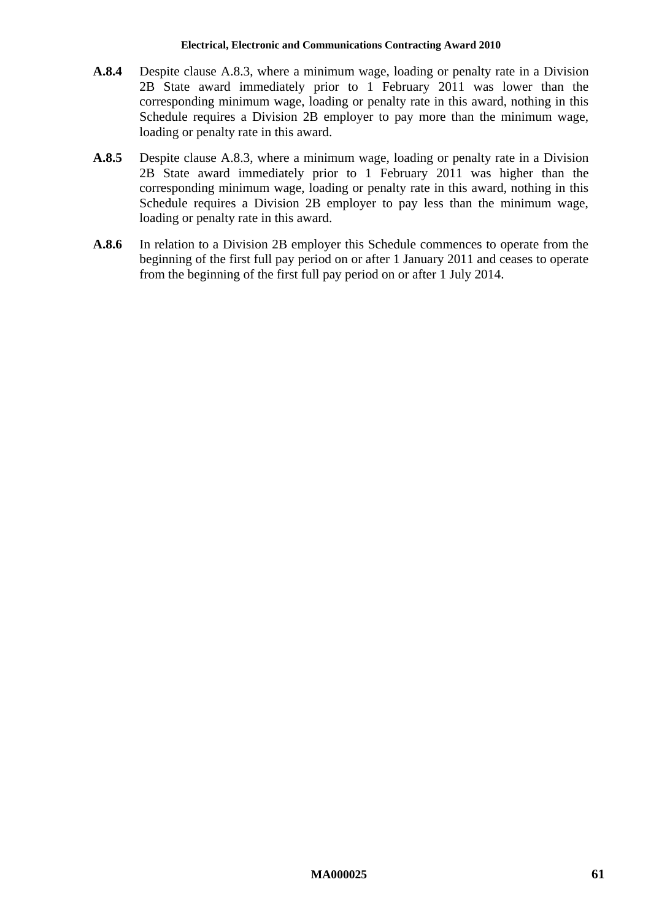- **A.8.4** Despite clause [A.8.3,](#page-59-0) where a minimum wage, loading or penalty rate in a Division 2B State award immediately prior to 1 February 2011 was lower than the corresponding minimum wage, loading or penalty rate in this award, nothing in this Schedule requires a Division 2B employer to pay more than the minimum wage, loading or penalty rate in this award.
- **A.8.5** Despite clause [A.8.3,](#page-59-0) where a minimum wage, loading or penalty rate in a Division 2B State award immediately prior to 1 February 2011 was higher than the corresponding minimum wage, loading or penalty rate in this award, nothing in this Schedule requires a Division 2B employer to pay less than the minimum wage, loading or penalty rate in this award.
- **A.8.6** In relation to a Division 2B employer this Schedule commences to operate from the beginning of the first full pay period on or after 1 January 2011 and ceases to operate from the beginning of the first full pay period on or after 1 July 2014.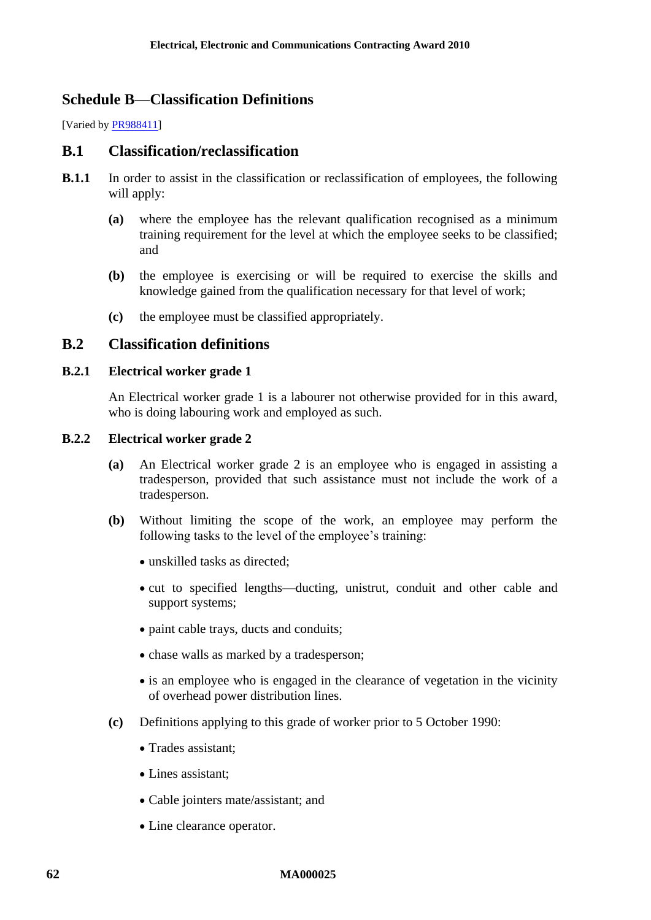# **Schedule B—Classification Definitions**

[Varied by [PR988411\]](http://www.fwc.gov.au/awardsandorders/html/PR988411.htm)

# **B.1 Classification/reclassification**

- **B.1.1** In order to assist in the classification or reclassification of employees, the following will apply:
	- **(a)** where the employee has the relevant qualification recognised as a minimum training requirement for the level at which the employee seeks to be classified; and
	- **(b)** the employee is exercising or will be required to exercise the skills and knowledge gained from the qualification necessary for that level of work;
	- **(c)** the employee must be classified appropriately.

# **B.2 Classification definitions**

## **B.2.1 Electrical worker grade 1**

An Electrical worker grade 1 is a labourer not otherwise provided for in this award, who is doing labouring work and employed as such.

### **B.2.2 Electrical worker grade 2**

- **(a)** An Electrical worker grade 2 is an employee who is engaged in assisting a tradesperson, provided that such assistance must not include the work of a tradesperson.
- **(b)** Without limiting the scope of the work, an employee may perform the following tasks to the level of the employee's training:
	- unskilled tasks as directed:
	- cut to specified lengths—ducting, unistrut, conduit and other cable and support systems;
	- paint cable trays, ducts and conduits;
	- chase walls as marked by a tradesperson;
	- is an employee who is engaged in the clearance of vegetation in the vicinity of overhead power distribution lines.
- **(c)** Definitions applying to this grade of worker prior to 5 October 1990:
	- Trades assistant:
	- Lines assistant:
	- Cable jointers mate/assistant; and
	- Line clearance operator.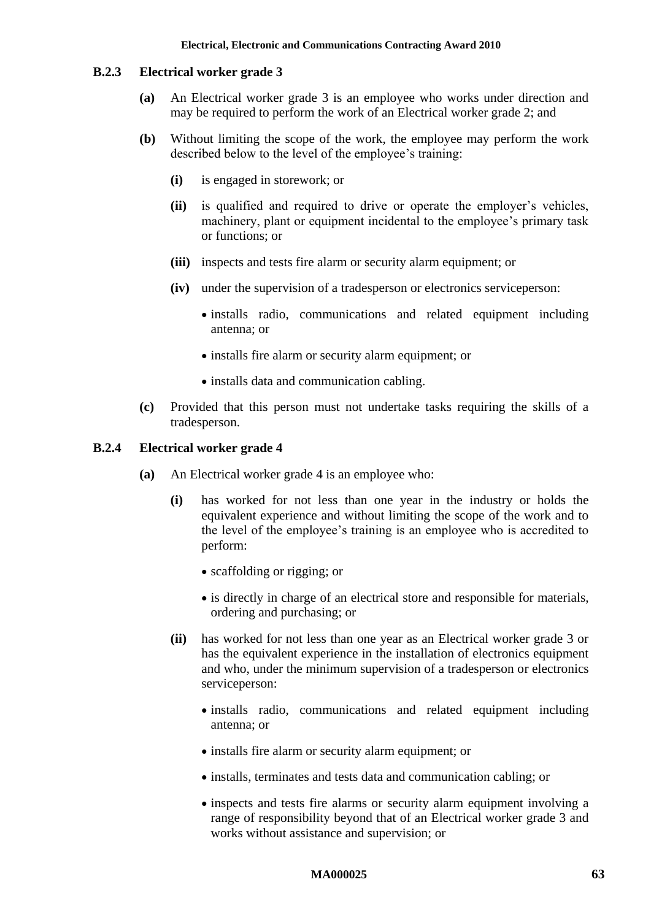#### **B.2.3 Electrical worker grade 3**

- **(a)** An Electrical worker grade 3 is an employee who works under direction and may be required to perform the work of an Electrical worker grade 2; and
- **(b)** Without limiting the scope of the work, the employee may perform the work described below to the level of the employee's training:
	- **(i)** is engaged in storework; or
	- **(ii)** is qualified and required to drive or operate the employer's vehicles, machinery, plant or equipment incidental to the employee's primary task or functions; or
	- **(iii)** inspects and tests fire alarm or security alarm equipment; or
	- **(iv)** under the supervision of a tradesperson or electronics serviceperson:
		- installs radio, communications and related equipment including antenna; or
		- installs fire alarm or security alarm equipment; or
		- installs data and communication cabling.
- **(c)** Provided that this person must not undertake tasks requiring the skills of a tradesperson.

### **B.2.4 Electrical worker grade 4**

- **(a)** An Electrical worker grade 4 is an employee who:
	- **(i)** has worked for not less than one year in the industry or holds the equivalent experience and without limiting the scope of the work and to the level of the employee's training is an employee who is accredited to perform:
		- scaffolding or rigging; or
		- is directly in charge of an electrical store and responsible for materials, ordering and purchasing; or
	- **(ii)** has worked for not less than one year as an Electrical worker grade 3 or has the equivalent experience in the installation of electronics equipment and who, under the minimum supervision of a tradesperson or electronics serviceperson:
		- installs radio, communications and related equipment including antenna; or
		- installs fire alarm or security alarm equipment; or
		- installs, terminates and tests data and communication cabling; or
		- inspects and tests fire alarms or security alarm equipment involving a range of responsibility beyond that of an Electrical worker grade 3 and works without assistance and supervision; or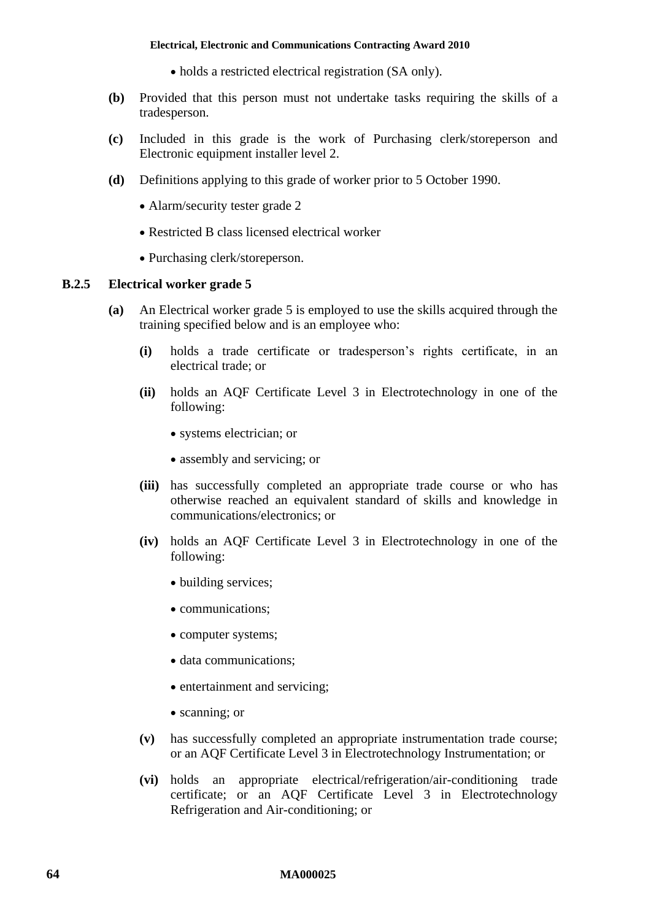- holds a restricted electrical registration (SA only).
- **(b)** Provided that this person must not undertake tasks requiring the skills of a tradesperson.
- **(c)** Included in this grade is the work of Purchasing clerk/storeperson and Electronic equipment installer level 2.
- **(d)** Definitions applying to this grade of worker prior to 5 October 1990.
	- Alarm/security tester grade 2
	- Restricted B class licensed electrical worker
	- Purchasing clerk/storeperson.

## **B.2.5 Electrical worker grade 5**

- **(a)** An Electrical worker grade 5 is employed to use the skills acquired through the training specified below and is an employee who:
	- **(i)** holds a trade certificate or tradesperson's rights certificate, in an electrical trade; or
	- **(ii)** holds an AQF Certificate Level 3 in Electrotechnology in one of the following:
		- systems electrician; or
		- assembly and servicing; or
	- **(iii)** has successfully completed an appropriate trade course or who has otherwise reached an equivalent standard of skills and knowledge in communications/electronics; or
	- **(iv)** holds an AQF Certificate Level 3 in Electrotechnology in one of the following:
		- building services;
		- communications;
		- computer systems;
		- data communications;
		- entertainment and servicing;
		- scanning; or
	- **(v)** has successfully completed an appropriate instrumentation trade course; or an AQF Certificate Level 3 in Electrotechnology Instrumentation; or
	- **(vi)** holds an appropriate electrical/refrigeration/air-conditioning trade certificate; or an AQF Certificate Level 3 in Electrotechnology Refrigeration and Air-conditioning; or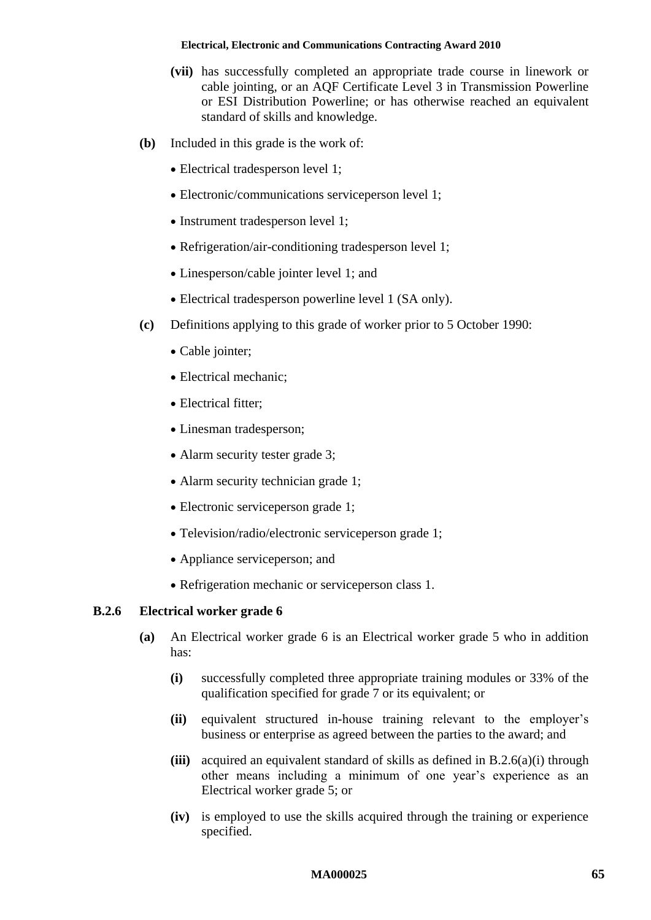- **(vii)** has successfully completed an appropriate trade course in linework or cable jointing, or an AQF Certificate Level 3 in Transmission Powerline or ESI Distribution Powerline; or has otherwise reached an equivalent standard of skills and knowledge.
- **(b)** Included in this grade is the work of:
	- Electrical tradesperson level 1;
	- Electronic/communications serviceperson level 1;
	- Instrument tradesperson level 1;
	- Refrigeration/air-conditioning tradesperson level 1;
	- Linesperson/cable jointer level 1; and
	- Electrical tradesperson powerline level 1 (SA only).
- **(c)** Definitions applying to this grade of worker prior to 5 October 1990:
	- Cable jointer;
	- Electrical mechanic;
	- Electrical fitter:
	- Linesman tradesperson;
	- Alarm security tester grade 3;
	- Alarm security technician grade 1;
	- Electronic serviceperson grade 1;
	- Television/radio/electronic serviceperson grade 1;
	- Appliance serviceperson; and
	- Refrigeration mechanic or service person class 1.

## <span id="page-64-0"></span>**B.2.6 Electrical worker grade 6**

- **(a)** An Electrical worker grade 6 is an Electrical worker grade 5 who in addition has:
	- **(i)** successfully completed three appropriate training modules or 33% of the qualification specified for grade 7 or its equivalent; or
	- **(ii)** equivalent structured in-house training relevant to the employer's business or enterprise as agreed between the parties to the award; and
	- **(iii)** acquired an equivalent standard of skills as defined in [B.2.6\(a\)\(i\)](#page-64-0) through other means including a minimum of one year's experience as an Electrical worker grade 5; or
	- **(iv)** is employed to use the skills acquired through the training or experience specified.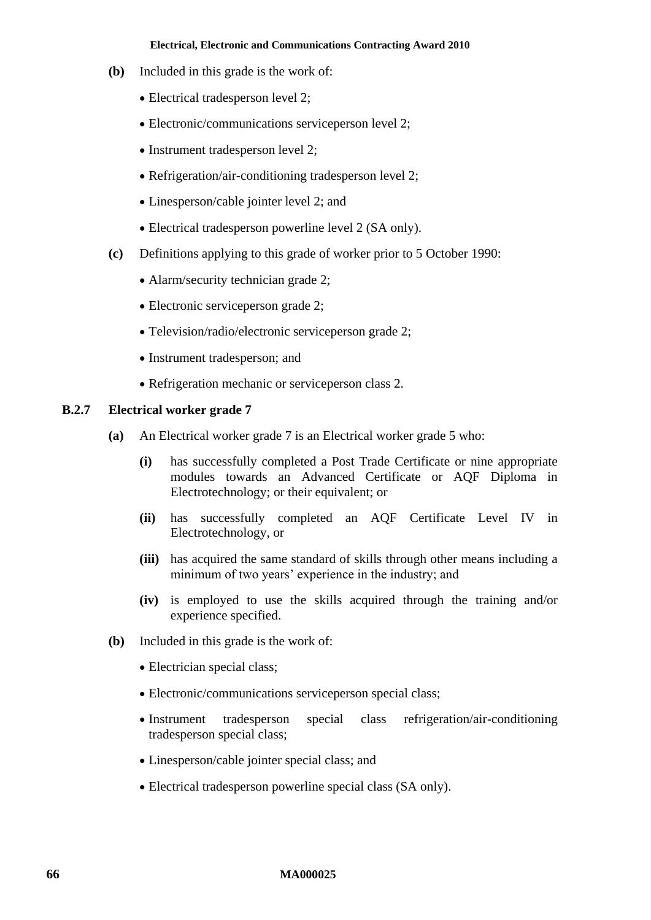- **(b)** Included in this grade is the work of:
	- Electrical tradesperson level 2;
	- Electronic/communications serviceperson level 2;
	- Instrument tradesperson level 2;
	- Refrigeration/air-conditioning tradesperson level 2;
	- Linesperson/cable jointer level 2; and
	- Electrical tradesperson powerline level 2 (SA only).
- **(c)** Definitions applying to this grade of worker prior to 5 October 1990:
	- Alarm/security technician grade 2;
	- Electronic serviceperson grade 2:
	- Television/radio/electronic serviceperson grade 2;
	- Instrument tradesperson; and
	- Refrigeration mechanic or service person class 2.

## **B.2.7 Electrical worker grade 7**

- **(a)** An Electrical worker grade 7 is an Electrical worker grade 5 who:
	- **(i)** has successfully completed a Post Trade Certificate or nine appropriate modules towards an Advanced Certificate or AQF Diploma in Electrotechnology; or their equivalent; or
	- **(ii)** has successfully completed an AQF Certificate Level IV in Electrotechnology, or
	- **(iii)** has acquired the same standard of skills through other means including a minimum of two years' experience in the industry; and
	- **(iv)** is employed to use the skills acquired through the training and/or experience specified.
- **(b)** Included in this grade is the work of:
	- Electrician special class;
	- Electronic/communications serviceperson special class:
	- Instrument tradesperson special class refrigeration/air-conditioning tradesperson special class;
	- Linesperson/cable jointer special class; and
	- Electrical tradesperson powerline special class (SA only).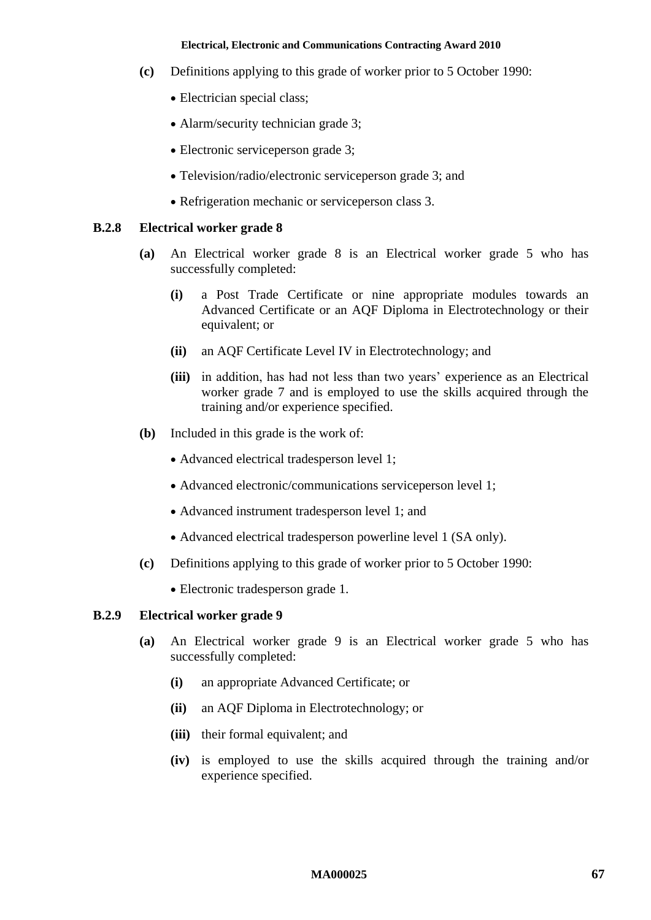- **(c)** Definitions applying to this grade of worker prior to 5 October 1990:
	- Electrician special class;
	- Alarm/security technician grade 3;
	- Electronic serviceperson grade 3;
	- Television/radio/electronic serviceperson grade 3; and
	- Refrigeration mechanic or serviceperson class 3.

### **B.2.8 Electrical worker grade 8**

- **(a)** An Electrical worker grade 8 is an Electrical worker grade 5 who has successfully completed:
	- **(i)** a Post Trade Certificate or nine appropriate modules towards an Advanced Certificate or an AQF Diploma in Electrotechnology or their equivalent; or
	- **(ii)** an AQF Certificate Level IV in Electrotechnology; and
	- **(iii)** in addition, has had not less than two years' experience as an Electrical worker grade 7 and is employed to use the skills acquired through the training and/or experience specified.
- **(b)** Included in this grade is the work of:
	- Advanced electrical tradesperson level 1;
	- Advanced electronic/communications serviceperson level 1;
	- Advanced instrument tradesperson level 1; and
	- Advanced electrical tradesperson powerline level 1 (SA only).
- **(c)** Definitions applying to this grade of worker prior to 5 October 1990:
	- Electronic tradesperson grade 1.

## **B.2.9 Electrical worker grade 9**

- **(a)** An Electrical worker grade 9 is an Electrical worker grade 5 who has successfully completed:
	- **(i)** an appropriate Advanced Certificate; or
	- **(ii)** an AQF Diploma in Electrotechnology; or
	- **(iii)** their formal equivalent; and
	- **(iv)** is employed to use the skills acquired through the training and/or experience specified.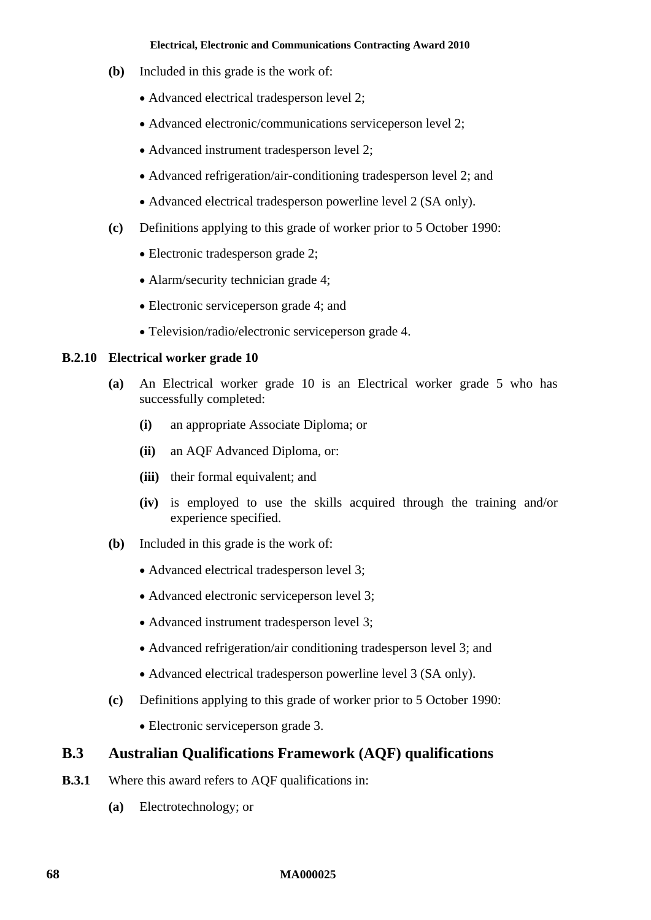- **(b)** Included in this grade is the work of:
	- Advanced electrical tradesperson level 2;
	- Advanced electronic/communications serviceperson level 2;
	- Advanced instrument tradesperson level 2;
	- Advanced refrigeration/air-conditioning tradesperson level 2; and
	- Advanced electrical tradesperson powerline level 2 (SA only).
- **(c)** Definitions applying to this grade of worker prior to 5 October 1990:
	- Electronic tradesperson grade 2;
	- Alarm/security technician grade 4;
	- Electronic serviceperson grade 4; and
	- Television/radio/electronic serviceperson grade 4.

## **B.2.10 Electrical worker grade 10**

- **(a)** An Electrical worker grade 10 is an Electrical worker grade 5 who has successfully completed:
	- **(i)** an appropriate Associate Diploma; or
	- **(ii)** an AQF Advanced Diploma, or:
	- **(iii)** their formal equivalent; and
	- **(iv)** is employed to use the skills acquired through the training and/or experience specified.
- **(b)** Included in this grade is the work of:
	- Advanced electrical tradesperson level 3;
	- Advanced electronic serviceperson level 3;
	- Advanced instrument tradesperson level 3;
	- Advanced refrigeration/air conditioning tradesperson level 3; and
	- Advanced electrical tradesperson powerline level 3 (SA only).
- **(c)** Definitions applying to this grade of worker prior to 5 October 1990:
	- Electronic serviceperson grade 3.

# **B.3 Australian Qualifications Framework (AQF) qualifications**

- **B.3.1** Where this award refers to AQF qualifications in:
	- **(a)** Electrotechnology; or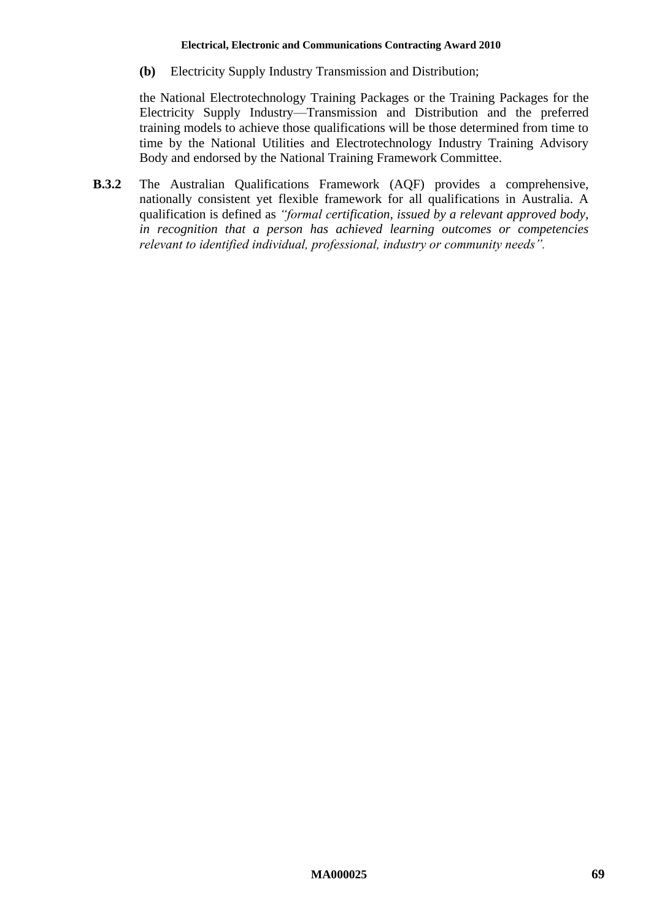**(b)** Electricity Supply Industry Transmission and Distribution;

the National Electrotechnology Training Packages or the Training Packages for the Electricity Supply Industry—Transmission and Distribution and the preferred training models to achieve those qualifications will be those determined from time to time by the National Utilities and Electrotechnology Industry Training Advisory Body and endorsed by the National Training Framework Committee.

**B.3.2** The Australian Qualifications Framework (AQF) provides a comprehensive, nationally consistent yet flexible framework for all qualifications in Australia. A qualification is defined as *"formal certification, issued by a relevant approved body, in recognition that a person has achieved learning outcomes or competencies relevant to identified individual, professional, industry or community needs".*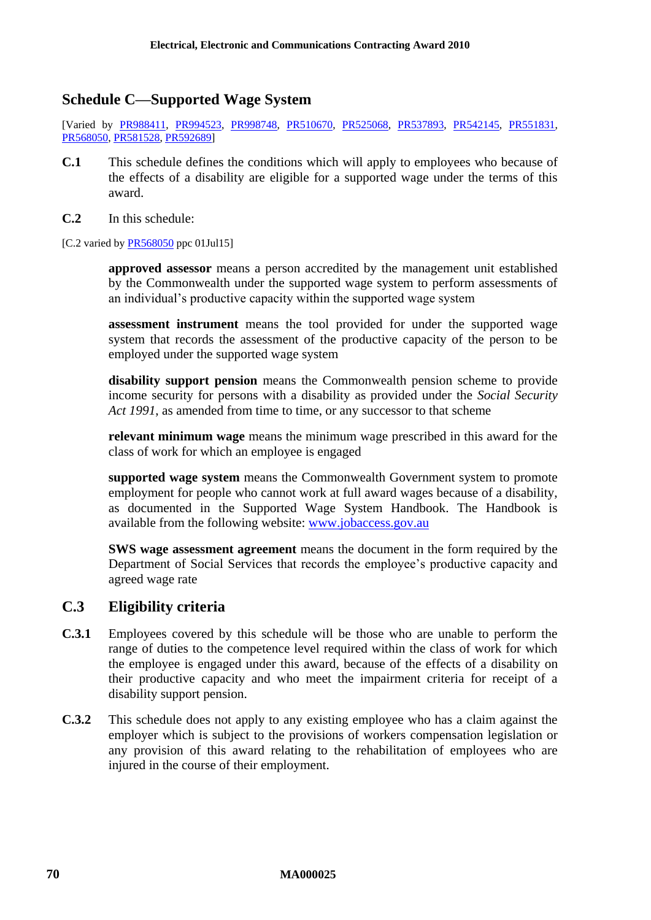# **Schedule C—Supported Wage System**

[Varied by [PR988411,](http://www.fwc.gov.au/awardsandorders/html/PR988411.htm) [PR994523,](http://www.fwc.gov.au/awardsandorders/html/PR994523.htm) [PR998748,](http://www.fwc.gov.au/awardsandorders/html/PR998748.htm) [PR510670,](http://www.fwc.gov.au/awardsandorders/html/PR510670.htm) [PR525068,](http://www.fwc.gov.au/awardsandorders/html/PR525068.htm) [PR537893,](http://www.fwc.gov.au/awardsandorders/html/PR537893.htm) [PR542145,](http://www.fwc.gov.au/awardsandorders/html/PR542145.htm) [PR551831,](http://www.fwc.gov.au/awardsandorders/html/PR551831.htm) [PR568050,](http://www.fwc.gov.au/awardsandorders/html/PR568050.htm) [PR581528,](http://www.fwc.gov.au/awardsandorders/html/PR581528.htm) [PR592689\]](http://www.fwc.gov.au/awardsandorders/html/PR592689.htm)

- **C.1** This schedule defines the conditions which will apply to employees who because of the effects of a disability are eligible for a supported wage under the terms of this award.
- **C.2** In this schedule:

[C.2 varied b[y PR568050](http://www.fwc.gov.au/awardsandorders/html/PR568050.htm) ppc 01Jul15]

**approved assessor** means a person accredited by the management unit established by the Commonwealth under the supported wage system to perform assessments of an individual's productive capacity within the supported wage system

**assessment instrument** means the tool provided for under the supported wage system that records the assessment of the productive capacity of the person to be employed under the supported wage system

**disability support pension** means the Commonwealth pension scheme to provide income security for persons with a disability as provided under the *Social Security Act 1991*, as amended from time to time, or any successor to that scheme

**relevant minimum wage** means the minimum wage prescribed in this award for the class of work for which an employee is engaged

**supported wage system** means the Commonwealth Government system to promote employment for people who cannot work at full award wages because of a disability, as documented in the Supported Wage System Handbook. The Handbook is available from the following website: [www.jobaccess.gov.au](http://www.jobaccess.gov.au/)

**SWS wage assessment agreement** means the document in the form required by the Department of Social Services that records the employee's productive capacity and agreed wage rate

# **C.3 Eligibility criteria**

- **C.3.1** Employees covered by this schedule will be those who are unable to perform the range of duties to the competence level required within the class of work for which the employee is engaged under this award, because of the effects of a disability on their productive capacity and who meet the impairment criteria for receipt of a disability support pension.
- **C.3.2** This schedule does not apply to any existing employee who has a claim against the employer which is subject to the provisions of workers compensation legislation or any provision of this award relating to the rehabilitation of employees who are injured in the course of their employment.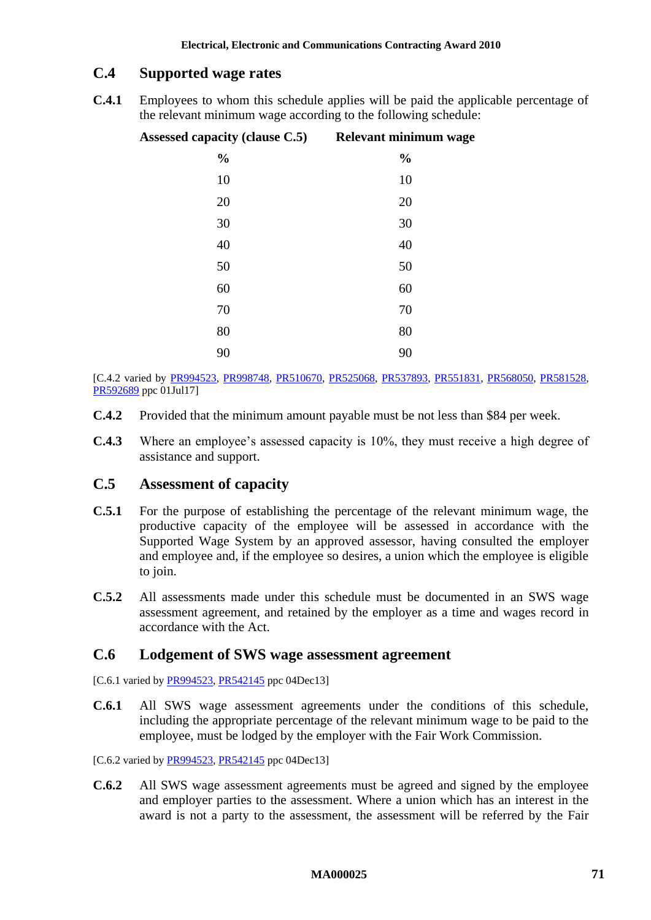# **C.4 Supported wage rates**

**C.4.1** Employees to whom this schedule applies will be paid the applicable percentage of the relevant minimum wage according to the following schedule:

| Assessed capacity (clause C.5) Relevant minimum wage |               |
|------------------------------------------------------|---------------|
| $\frac{0}{0}$                                        | $\frac{0}{0}$ |
| 10                                                   | 10            |
| 20                                                   | 20            |
| 30                                                   | 30            |
| 40                                                   | 40            |
| 50                                                   | 50            |
| 60                                                   | 60            |
| 70                                                   | $70\,$        |
| 80                                                   | 80            |
| 90                                                   | 90            |

[C.4.2 varied by [PR994523,](http://www.fwc.gov.au/awardsandorders/html/PR994523.htm) [PR998748,](http://www.fwc.gov.au/awardsandorders/html/PR998748.htm) [PR510670,](http://www.fwc.gov.au/awardsandorders/html/PR510670.htm) [PR525068,](http://www.fwc.gov.au/awardsandorders/html/PR525068.htm) [PR537893,](http://www.fwc.gov.au/awardsandorders/html/PR537893.htm) [PR551831,](http://www.fwc.gov.au/awardsandorders/html/PR551831.htm) [PR568050,](http://www.fwc.gov.au/awardsandorders/html/PR568050.htm) [PR581528,](http://www.fwc.gov.au/awardsandorders/html/PR581528.htm) [PR592689](http://www.fwc.gov.au/awardsandorders/html/PR592689.htm) ppc 01Jul17]

- **C.4.2** Provided that the minimum amount payable must be not less than \$84 per week.
- **C.4.3** Where an employee's assessed capacity is 10%, they must receive a high degree of assistance and support.

# <span id="page-70-0"></span>**C.5 Assessment of capacity**

- **C.5.1** For the purpose of establishing the percentage of the relevant minimum wage, the productive capacity of the employee will be assessed in accordance with the Supported Wage System by an approved assessor, having consulted the employer and employee and, if the employee so desires, a union which the employee is eligible to join.
- **C.5.2** All assessments made under this schedule must be documented in an SWS wage assessment agreement, and retained by the employer as a time and wages record in accordance with the Act.

# **C.6 Lodgement of SWS wage assessment agreement**

[C.6.1 varied b[y PR994523,](http://www.fwc.gov.au/awardsandorders/html/PR994523.htm) [PR542145](http://www.fwc.gov.au/awardsandorders/html/PR542145.htm) ppc 04Dec13]

**C.6.1** All SWS wage assessment agreements under the conditions of this schedule, including the appropriate percentage of the relevant minimum wage to be paid to the employee, must be lodged by the employer with the Fair Work Commission.

[C.6.2 varied b[y PR994523,](http://www.fwc.gov.au/awardsandorders/html/PR994523.htm) [PR542145](http://www.fwc.gov.au/awardsandorders/html/PR542145.htm) ppc 04Dec13]

**C.6.2** All SWS wage assessment agreements must be agreed and signed by the employee and employer parties to the assessment. Where a union which has an interest in the award is not a party to the assessment, the assessment will be referred by the Fair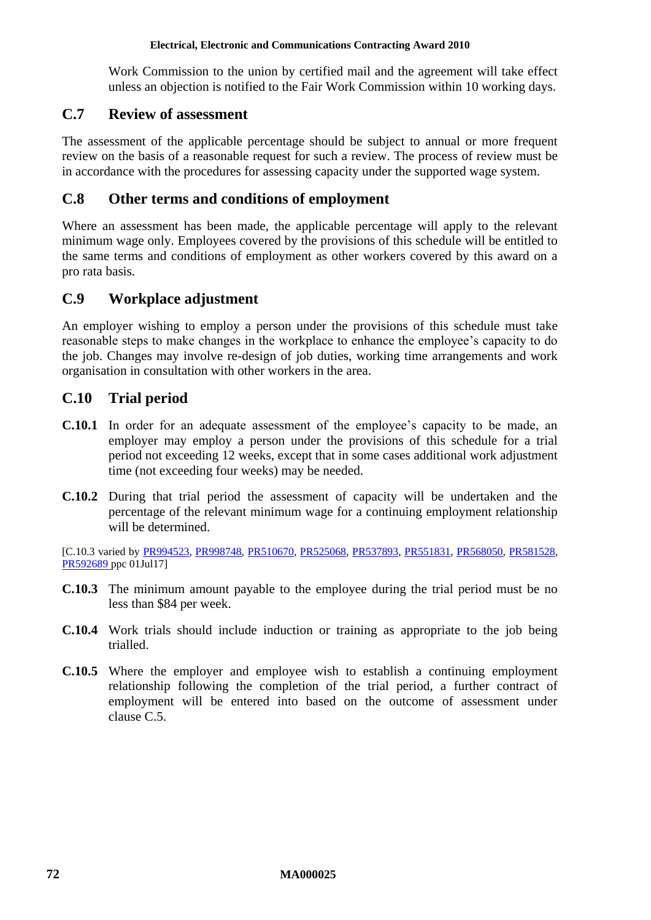Work Commission to the union by certified mail and the agreement will take effect unless an objection is notified to the Fair Work Commission within 10 working days.

# **C.7 Review of assessment**

The assessment of the applicable percentage should be subject to annual or more frequent review on the basis of a reasonable request for such a review. The process of review must be in accordance with the procedures for assessing capacity under the supported wage system.

# **C.8 Other terms and conditions of employment**

Where an assessment has been made, the applicable percentage will apply to the relevant minimum wage only. Employees covered by the provisions of this schedule will be entitled to the same terms and conditions of employment as other workers covered by this award on a pro rata basis.

# **C.9 Workplace adjustment**

An employer wishing to employ a person under the provisions of this schedule must take reasonable steps to make changes in the workplace to enhance the employee's capacity to do the job. Changes may involve re-design of job duties, working time arrangements and work organisation in consultation with other workers in the area.

# **C.10 Trial period**

- **C.10.1** In order for an adequate assessment of the employee's capacity to be made, an employer may employ a person under the provisions of this schedule for a trial period not exceeding 12 weeks, except that in some cases additional work adjustment time (not exceeding four weeks) may be needed.
- **C.10.2** During that trial period the assessment of capacity will be undertaken and the percentage of the relevant minimum wage for a continuing employment relationship will be determined.

[C.10.3 varied by [PR994523,](http://www.fwc.gov.au/awardsandorders/html/PR994523.htm) [PR998748,](http://www.fwc.gov.au/awardsandorders/html/PR998748.htm) [PR510670,](http://www.fwc.gov.au/awardsandorders/html/PR510670.htm) [PR525068,](http://www.fwc.gov.au/awardsandorders/html/PR525068.htm) [PR537893,](http://www.fwc.gov.au/awardsandorders/html/PR537893.htm) [PR551831,](http://www.fwc.gov.au/awardsandorders/html/PR551831.htm) [PR568050,](http://www.fwc.gov.au/awardsandorders/html/PR568050.htm) [PR581528,](http://www.fwc.gov.au/awardsandorders/html/PR581528.htm) [PR592689](http://www.fwc.gov.au/awardsandorders/html/PR592689.htm) ppc 01Jul17]

- **C.10.3** The minimum amount payable to the employee during the trial period must be no less than \$84 per week.
- **C.10.4** Work trials should include induction or training as appropriate to the job being trialled.
- **C.10.5** Where the employer and employee wish to establish a continuing employment relationship following the completion of the trial period, a further contract of employment will be entered into based on the outcome of assessment under clause [C.5.](#page-70-0)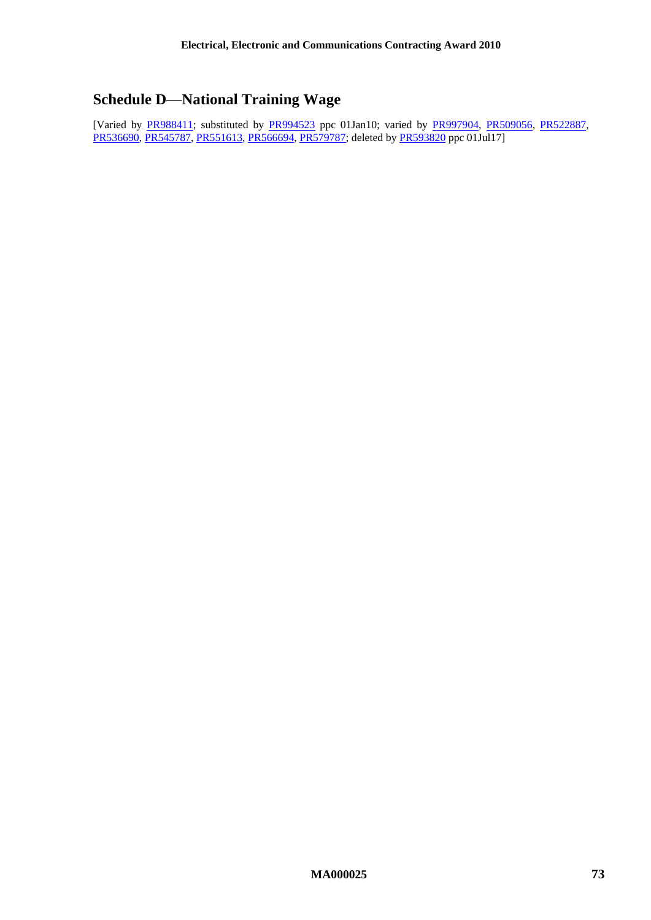# **Schedule D—National Training Wage**

[Varied by [PR988411;](http://www.fwc.gov.au/awardsandorders/html/PR988411.htm) substituted by [PR994523](http://www.fwc.gov.au/awardsandorders/html/PR994523.htm) ppc 01Jan10; varied by [PR997904,](http://www.fwc.gov.au/awardsandorders/html/PR997904.htm) [PR509056,](http://www.fwc.gov.au/awardsandorders/html/PR509056.htm) [PR522887,](http://www.fwc.gov.au/awardsandorders/html/PR522887.htm) [PR536690,](http://www.fwc.gov.au/awardsandorders/html/pr536690.htm) [PR545787,](http://www.fwc.gov.au/awardsandorders/html/PR545787.htm) [PR551613,](http://www.fwc.gov.au/awardsandorders/html/PR551613.htm) [PR566694,](https://www.fwc.gov.au/awardsandorders/html/PR566694.htm) [PR579787;](http://www.fwc.gov.au/awardsandorders/html/PR579787.htm) deleted by [PR593820](http://www.fwc.gov.au/awardsandorders/html/pr593820.htm) ppc 01Jul17]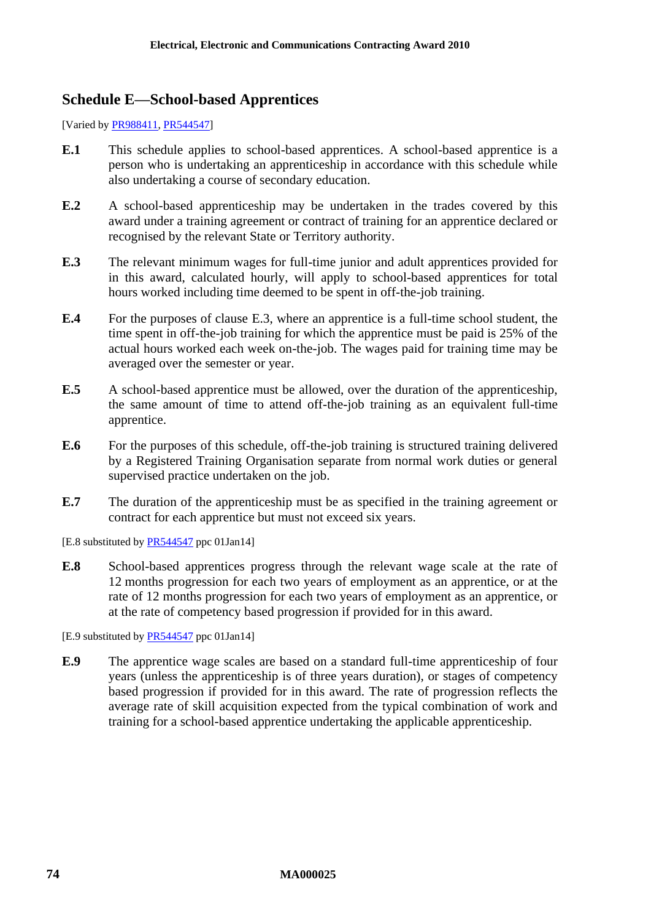#### **Schedule E—School-based Apprentices**

[Varied by [PR988411,](http://www.fwc.gov.au/awardsandorders/html/PR988411.htm) [PR544547\]](http://www.fwc.gov.au/awardsandorders/html/PR544547.htm)

- **E.1** This schedule applies to school-based apprentices. A school-based apprentice is a person who is undertaking an apprenticeship in accordance with this schedule while also undertaking a course of secondary education.
- **E.2** A school-based apprenticeship may be undertaken in the trades covered by this award under a training agreement or contract of training for an apprentice declared or recognised by the relevant State or Territory authority.
- <span id="page-73-0"></span>**E.3** The relevant minimum wages for full-time junior and adult apprentices provided for in this award, calculated hourly, will apply to school-based apprentices for total hours worked including time deemed to be spent in off-the-job training.
- **E.4** For the purposes of clause [E.3,](#page-73-0) where an apprentice is a full-time school student, the time spent in off-the-job training for which the apprentice must be paid is 25% of the actual hours worked each week on-the-job. The wages paid for training time may be averaged over the semester or year.
- **E.5** A school-based apprentice must be allowed, over the duration of the apprenticeship, the same amount of time to attend off-the-job training as an equivalent full-time apprentice.
- **E.6** For the purposes of this schedule, off-the-job training is structured training delivered by a Registered Training Organisation separate from normal work duties or general supervised practice undertaken on the job.
- **E.7** The duration of the apprenticeship must be as specified in the training agreement or contract for each apprentice but must not exceed six years.

[E.8 substituted by **PR544547** ppc 01Jan14]

**E.8** School-based apprentices progress through the relevant wage scale at the rate of 12 months progression for each two years of employment as an apprentice, or at the rate of 12 months progression for each two years of employment as an apprentice, or at the rate of competency based progression if provided for in this award.

[E.9 substituted b[y PR544547](http://www.fwc.gov.au/awardsandorders/html/PR544547.htm) ppc 01Jan14]

**E.9** The apprentice wage scales are based on a standard full-time apprenticeship of four years (unless the apprenticeship is of three years duration), or stages of competency based progression if provided for in this award. The rate of progression reflects the average rate of skill acquisition expected from the typical combination of work and training for a school-based apprentice undertaking the applicable apprenticeship.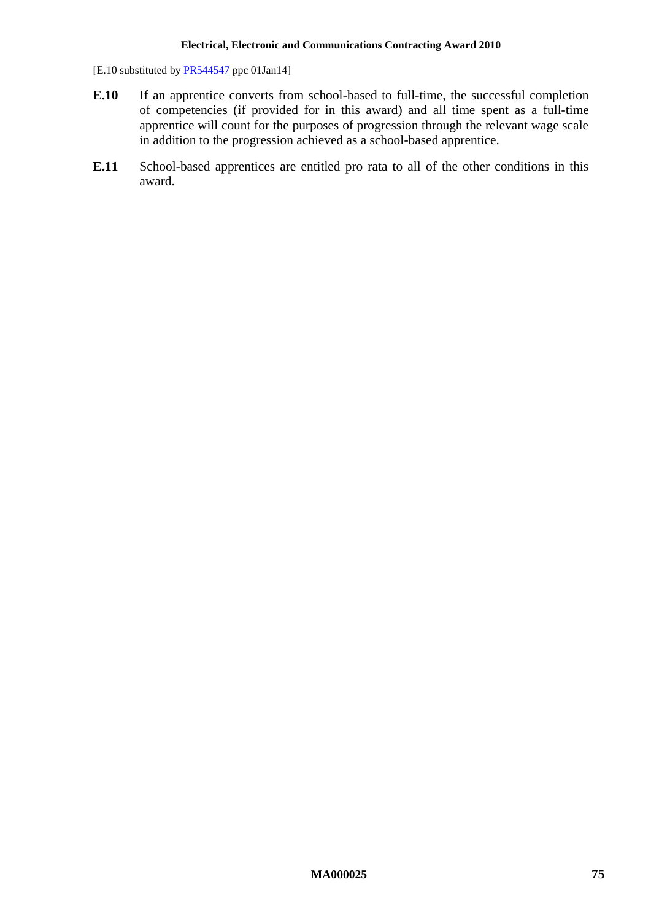[E.10 substituted by [PR544547](http://www.fwc.gov.au/awardsandorders/html/PR544547.htm) ppc 01Jan14]

- **E.10** If an apprentice converts from school-based to full-time, the successful completion of competencies (if provided for in this award) and all time spent as a full-time apprentice will count for the purposes of progression through the relevant wage scale in addition to the progression achieved as a school-based apprentice.
- **E.11** School-based apprentices are entitled pro rata to all of the other conditions in this award.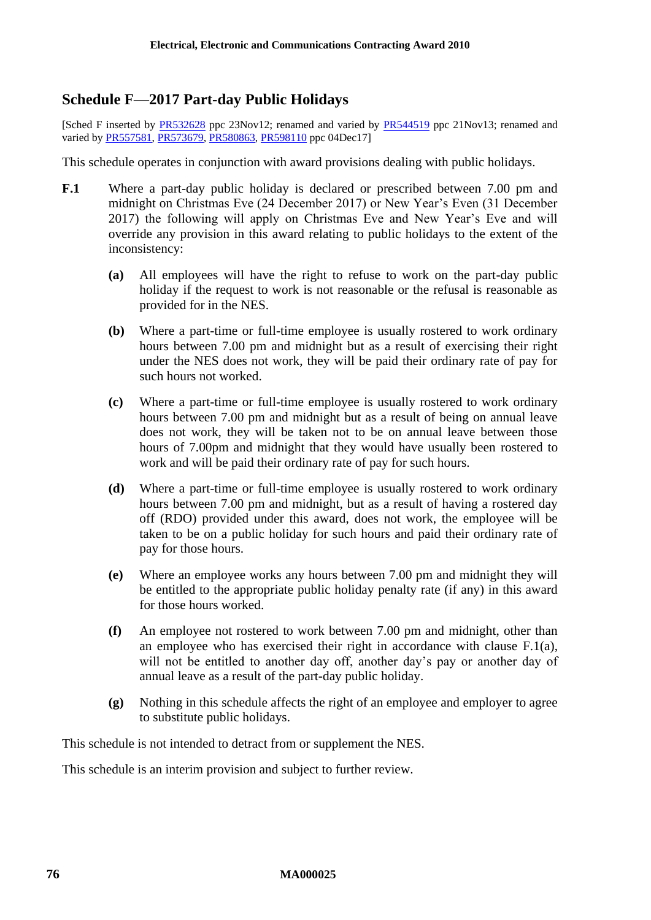## **Schedule F—2017 Part-day Public Holidays**

[Sched F inserted by [PR532628](http://www.fwc.gov.au/awardsandorders/html/pr532628.htm) ppc 23Nov12; renamed and varied by [PR544519](http://www.fwc.gov.au/awardsandorders/html/pr544519.htm) ppc 21Nov13; renamed and varied b[y PR557581,](http://www.fwc.gov.au/awardsandorders/html/PR557581.htm) [PR573679,](http://www.fwc.gov.au/awardsandorders/html/PR573679.htm) [PR580863,](http://www.fwc.gov.au/awardsandorders/html/PR580863.htm) [PR598110](http://www.fwc.gov.au/documents/awardsandorders/html/pr598110.htm) ppc 04Dec17]

This schedule operates in conjunction with award provisions dealing with public holidays.

- <span id="page-75-0"></span>**F.1** Where a part-day public holiday is declared or prescribed between 7.00 pm and midnight on Christmas Eve (24 December 2017) or New Year's Even (31 December 2017) the following will apply on Christmas Eve and New Year's Eve and will override any provision in this award relating to public holidays to the extent of the inconsistency:
	- **(a)** All employees will have the right to refuse to work on the part-day public holiday if the request to work is not reasonable or the refusal is reasonable as provided for in the NES.
	- **(b)** Where a part-time or full-time employee is usually rostered to work ordinary hours between 7.00 pm and midnight but as a result of exercising their right under the NES does not work, they will be paid their ordinary rate of pay for such hours not worked.
	- **(c)** Where a part-time or full-time employee is usually rostered to work ordinary hours between 7.00 pm and midnight but as a result of being on annual leave does not work, they will be taken not to be on annual leave between those hours of 7.00pm and midnight that they would have usually been rostered to work and will be paid their ordinary rate of pay for such hours.
	- **(d)** Where a part-time or full-time employee is usually rostered to work ordinary hours between 7.00 pm and midnight, but as a result of having a rostered day off (RDO) provided under this award, does not work, the employee will be taken to be on a public holiday for such hours and paid their ordinary rate of pay for those hours.
	- **(e)** Where an employee works any hours between 7.00 pm and midnight they will be entitled to the appropriate public holiday penalty rate (if any) in this award for those hours worked.
	- **(f)** An employee not rostered to work between 7.00 pm and midnight, other than an employee who has exercised their right in accordance with clause [F.1\(a\),](#page-75-0) will not be entitled to another day off, another day's pay or another day of annual leave as a result of the part-day public holiday.
	- **(g)** Nothing in this schedule affects the right of an employee and employer to agree to substitute public holidays.

This schedule is not intended to detract from or supplement the NES.

This schedule is an interim provision and subject to further review.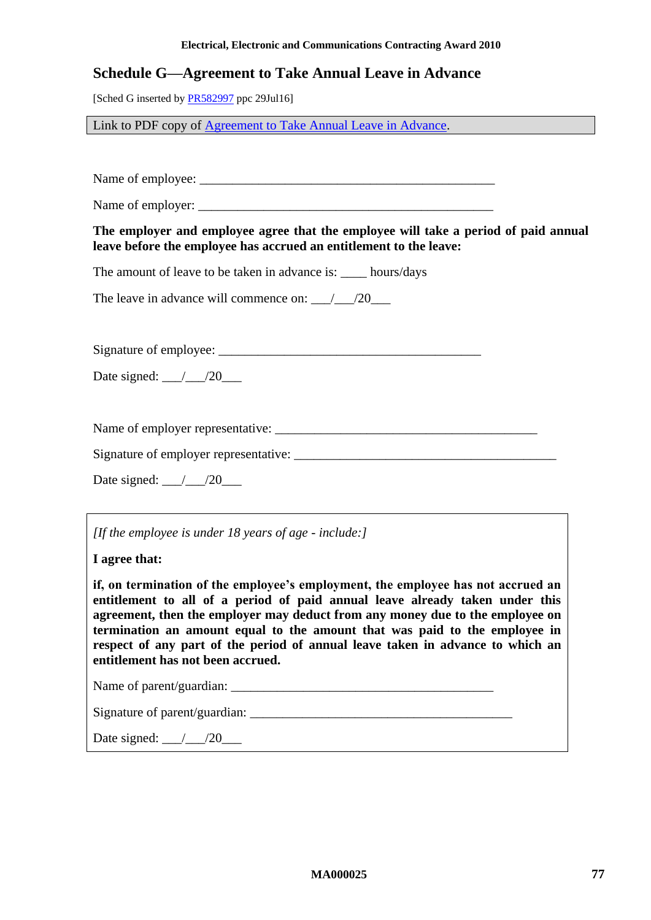#### **Electrical, Electronic and Communications Contracting Award 2010**

#### **Schedule G—Agreement to Take Annual Leave in Advance**

[Sched G inserted b[y PR582997](http://www.fwc.gov.au/awardsandorders/html/PR582997.htm) ppc 29Jul16]

Link to PDF copy of [Agreement to Take Annual Leave in Advance.](http://www.fwc.gov.au/documents/documents/modern_awards/leave-in-advance-agreement.pdf)

Name of employee: \_\_\_\_\_\_\_\_\_\_\_\_\_\_\_\_\_\_\_\_\_\_\_\_\_\_\_\_\_\_\_\_\_\_\_\_\_\_\_\_\_\_\_\_\_

Name of employer:

**The employer and employee agree that the employee will take a period of paid annual leave before the employee has accrued an entitlement to the leave:**

The amount of leave to be taken in advance is: hours/days

The leave in advance will commence on:  $\qquad$  /20

Signature of employee: \_\_\_\_\_\_\_\_\_\_\_\_\_\_\_\_\_\_\_\_\_\_\_\_\_\_\_\_\_\_\_\_\_\_\_\_\_\_\_\_

Date signed:  $\frac{\ }{\ }$  /20

Name of employer representative: \_\_\_\_\_\_\_\_\_\_\_\_\_\_\_\_\_\_\_\_\_\_\_\_\_\_\_\_\_\_\_\_\_\_\_\_\_\_\_\_

Signature of employer representative: \_\_\_\_\_\_\_\_\_\_\_\_\_\_\_\_\_\_\_\_\_\_\_\_\_\_\_\_\_\_\_\_\_\_\_\_\_\_\_\_

Date signed: \_\_\_/\_\_\_/20\_\_\_

*[If the employee is under 18 years of age - include:]*

**I agree that:**

**if, on termination of the employee's employment, the employee has not accrued an entitlement to all of a period of paid annual leave already taken under this agreement, then the employer may deduct from any money due to the employee on termination an amount equal to the amount that was paid to the employee in respect of any part of the period of annual leave taken in advance to which an entitlement has not been accrued.**

Name of parent/guardian:

Signature of parent/guardian: \_\_\_\_\_\_\_\_\_\_\_\_\_\_\_\_\_\_\_\_\_\_\_\_\_\_\_\_\_\_\_\_\_\_\_\_\_\_\_\_

Date signed:  $\frac{1}{20}$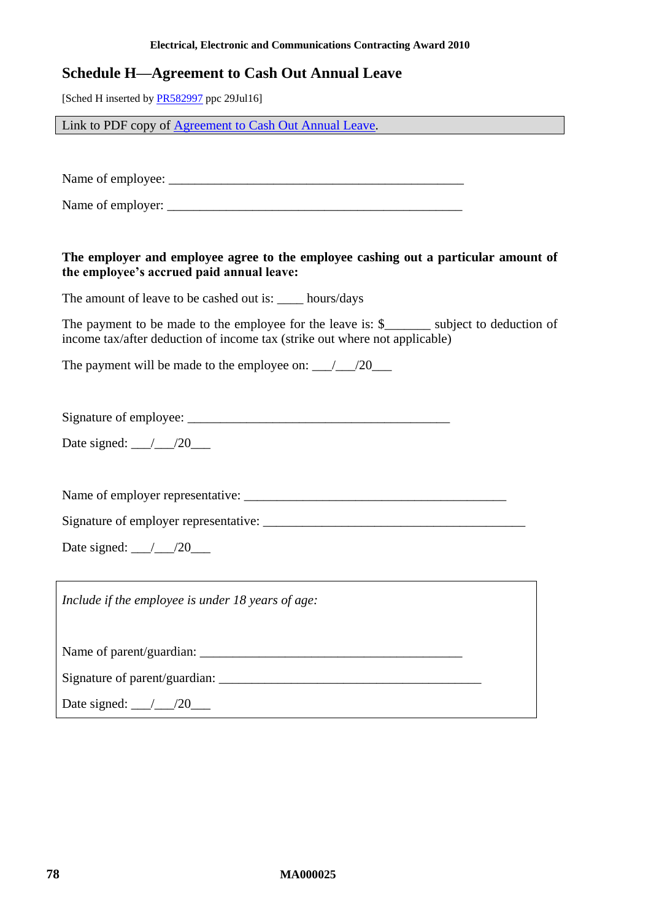## **Schedule H—Agreement to Cash Out Annual Leave**

[Sched H inserted by **PR582997** ppc 29Jul16]

Link to PDF copy of [Agreement to Cash Out Annual Leave.](http://www.fwc.gov.au/documents/documents/modern_awards/cash-out-agreement.pdf)

Name of employee: \_\_\_\_\_\_\_\_\_\_\_\_\_\_\_\_\_\_\_\_\_\_\_\_\_\_\_\_\_\_\_\_\_\_\_\_\_\_\_\_\_\_\_\_\_

Name of employer:

#### **The employer and employee agree to the employee cashing out a particular amount of the employee's accrued paid annual leave:**

The amount of leave to be cashed out is: \_\_\_\_ hours/days

The payment to be made to the employee for the leave is: \$ \_\_\_\_\_\_ subject to deduction of income tax/after deduction of income tax (strike out where not applicable)

The payment will be made to the employee on:  $\qquad$  /20

Signature of employee: \_\_\_\_\_\_\_\_\_\_\_\_\_\_\_\_\_\_\_\_\_\_\_\_\_\_\_\_\_\_\_\_\_\_\_\_\_\_\_\_

Date signed:  $\frac{\ }{\ }$  /20

Name of employer representative: \_\_\_\_\_\_\_\_\_\_\_\_\_\_\_\_\_\_\_\_\_\_\_\_\_\_\_\_\_\_\_\_\_\_\_\_\_\_\_\_

Signature of employer representative:

Date signed: \_\_\_/\_\_\_/20\_\_\_

*Include if the employee is under 18 years of age:*

Name of parent/guardian:

Signature of parent/guardian: \_\_\_\_\_\_\_\_\_\_\_\_\_\_\_\_\_\_\_\_\_\_\_\_\_\_\_\_\_\_\_\_\_\_\_\_\_\_\_\_

Date signed: \_\_\_/\_\_\_/20\_\_\_